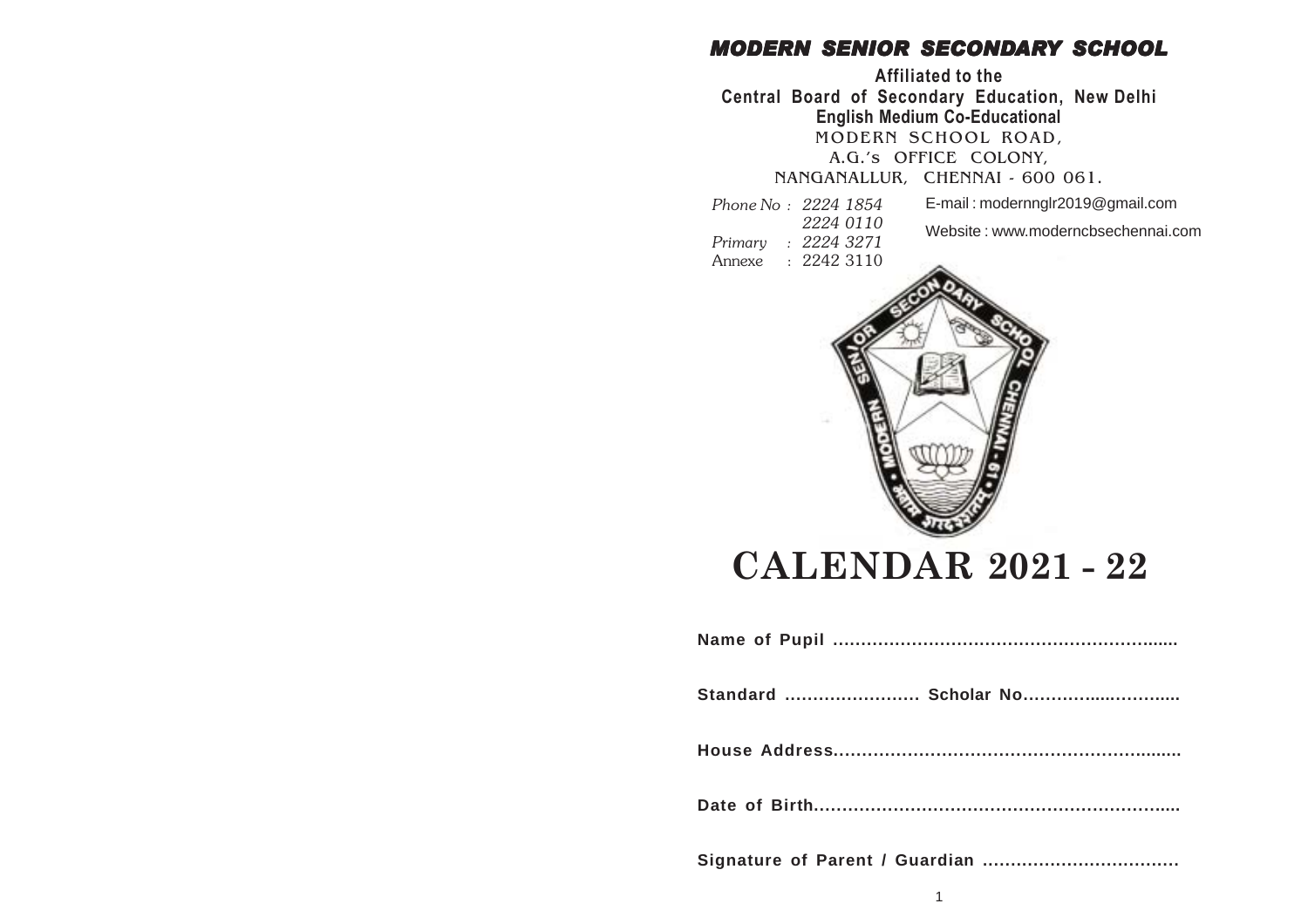### *MODERN SENIOR SECONDARY SCHOOL*

**Affiliated to the Central Board of Secondary Education, New Delhi English Medium Co-Educational** MODERN SCHOOL ROAD,

A.G.'s OFFICE COLONY,

NANGANALLUR, CHENNAI - 600 061.

*Phone No : 2224 1854 2224 0110*

- E-mail : modernnglr2019@gmail.com Website : www.moderncbsechennai.com
- *Primary : 2224 3271*
- Annexe : 2242 3110



# **CALENDAR 2021 - 22**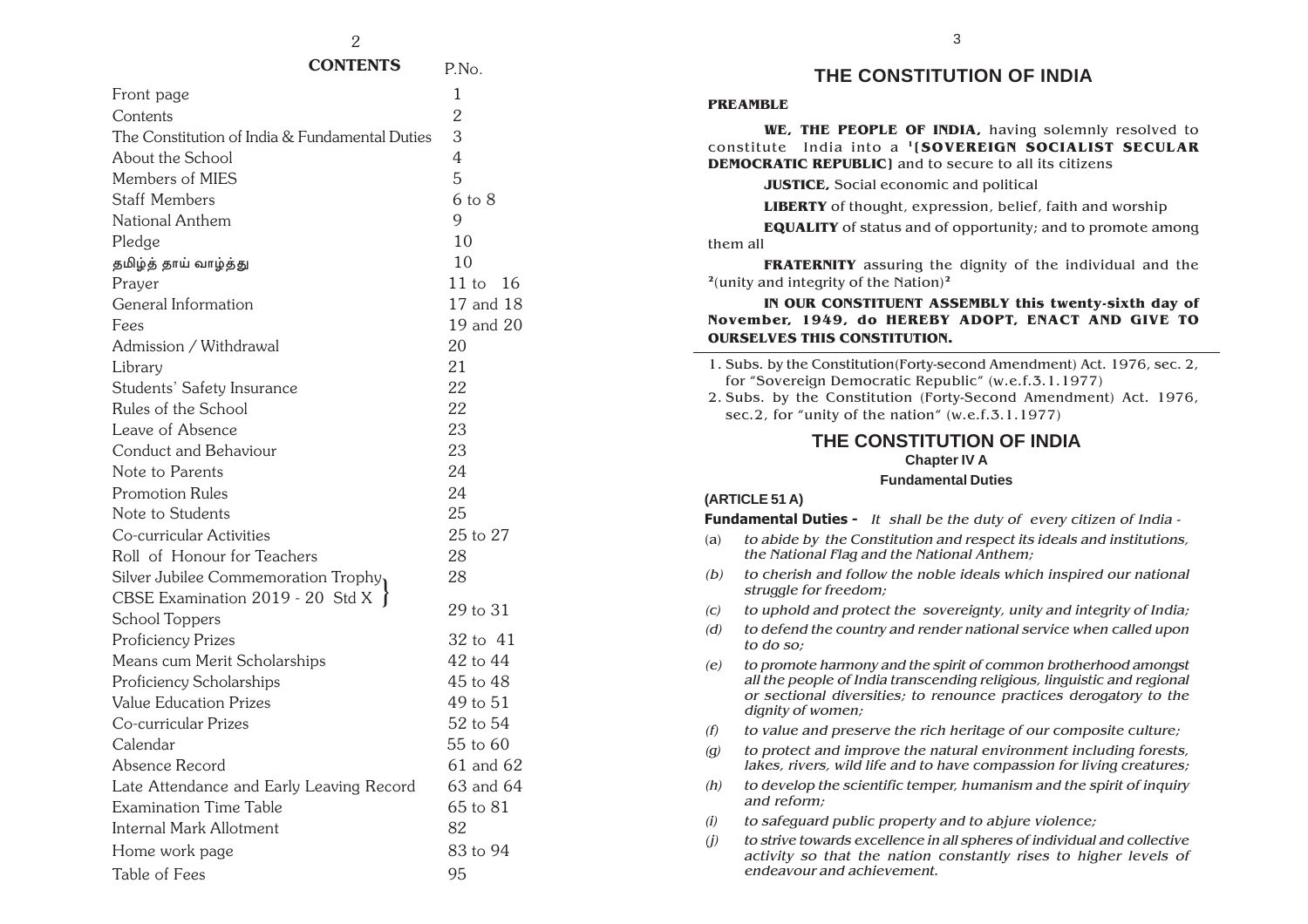| Front page                                     | 1              |
|------------------------------------------------|----------------|
| Contents                                       | $\overline{2}$ |
| The Constitution of India & Fundamental Duties | 3              |
| About the School                               | 4              |
| Members of MIES                                | 5              |
| <b>Staff Members</b>                           | $6$ to $8$     |
| National Anthem                                | 9              |
| Pledge                                         | 10             |
| தமிழ்த் தாய் வாழ்த்து                          | 10             |
| Prayer                                         | $11$ to<br>16  |
| General Information                            | 17 and 18      |
| Fees                                           | 19 and 20      |
| Admission / Withdrawal                         | 20             |
| Library                                        | 21             |
| Students' Safety Insurance                     | 22             |
| Rules of the School                            | 22             |
| Leave of Absence                               | 23             |
| Conduct and Behaviour                          | 23             |
| Note to Parents                                | 24             |
| <b>Promotion Rules</b>                         | 24             |
| Note to Students                               | 25             |
| Co-curricular Activities                       | 25 to 27       |
| Roll of Honour for Teachers                    | 28             |
| Silver Jubilee Commemoration Trophy            | 28             |
| CBSE Examination 2019 - 20 Std X $\}$          |                |
| School Toppers                                 | 29 to 31       |
| Proficiency Prizes                             | 32 to 41       |
| Means cum Merit Scholarships                   | 42 to 44       |
| Proficiency Scholarships                       | 45 to 48       |
| <b>Value Education Prizes</b>                  | 49 to 51       |
| Co-curricular Prizes                           | 52 to 54       |
| Calendar                                       | 55 to 60       |
| Absence Record                                 | 61 and 62      |
| Late Attendance and Early Leaving Record       | 63 and 64      |
| <b>Examination Time Table</b>                  | 65 to 81       |
| <b>Internal Mark Allotment</b>                 | 82             |
| Home work page                                 | 83 to 94       |
| Table of Fees                                  | 95             |

#### **THE CONSTITUTION OF INDIA**

#### **PREAMBLE**

**WE, THE PEOPLE OF INDIA,** having solemnly resolved to constitute India into a **1[SOVEREIGN SOCIALIST SECULAR DEMOCRATIC REPUBLIC]** and to secure to all its citizens

**JUSTICE,** Social economic and political

**LIBERTY** of thought, expression, belief, faith and worship

**EQUALITY** of status and of opportunity; and to promote among them all

**FRATERNITY** assuring the dignity of the individual and the **<sup>2</sup>**(unity and integrity of the Nation)**<sup>2</sup>**

**IN OUR CONSTITUENT ASSEMBLY this twenty-sixth day of November, 1949, do HEREBY ADOPT, ENACT AND GIVE TO OURSELVES THIS CONSTITUTION.**

1. Subs. by the Constitution(Forty-second Amendment) Act. 1976, sec. 2, for "Sovereign Democratic Republic" (w.e.f.3.1.1977) 2. Subs. by the Constitution (Forty-Second Amendment) Act. 1976, sec.2, for "unity of the nation" (w.e.f.3.1.1977)

#### **THE CONSTITUTION OF INDIA Chapter IV A Fundamental Duties**

#### **(ARTICLE 51 A)**

**Fundamental Duties -** It shall be the duty of every citizen of India -

- (a) to abide by the Constitution and respect its ideals and institutions, the National Flag and the National Anthem;
- (b) to cherish and follow the noble ideals which inspired our national struggle for freedom;
- $(c)$  to uphold and protect the sovereignty, unity and integrity of India;
- (d) to defend the country and render national service when called upon to do so;

(e) to promote harmony and the spirit of common brotherhood amongst all the people of India transcending religious, linguistic and regional or sectional diversities; to renounce practices derogatory to the dignity of women;

- $(f)$  to value and preserve the rich heritage of our composite culture;
- $(q)$  to protect and improve the natural environment including forests, lakes, rivers, wild life and to have compassion for living creatures;
- $(h)$  to develop the scientific temper, humanism and the spirit of inquiry and reform;
- $(i)$  to safeguard public property and to abjure violence;
- (j) to strive towards excellence in all spheres of individual and collective activity so that the nation constantly rises to higher levels of endeavour and achievement.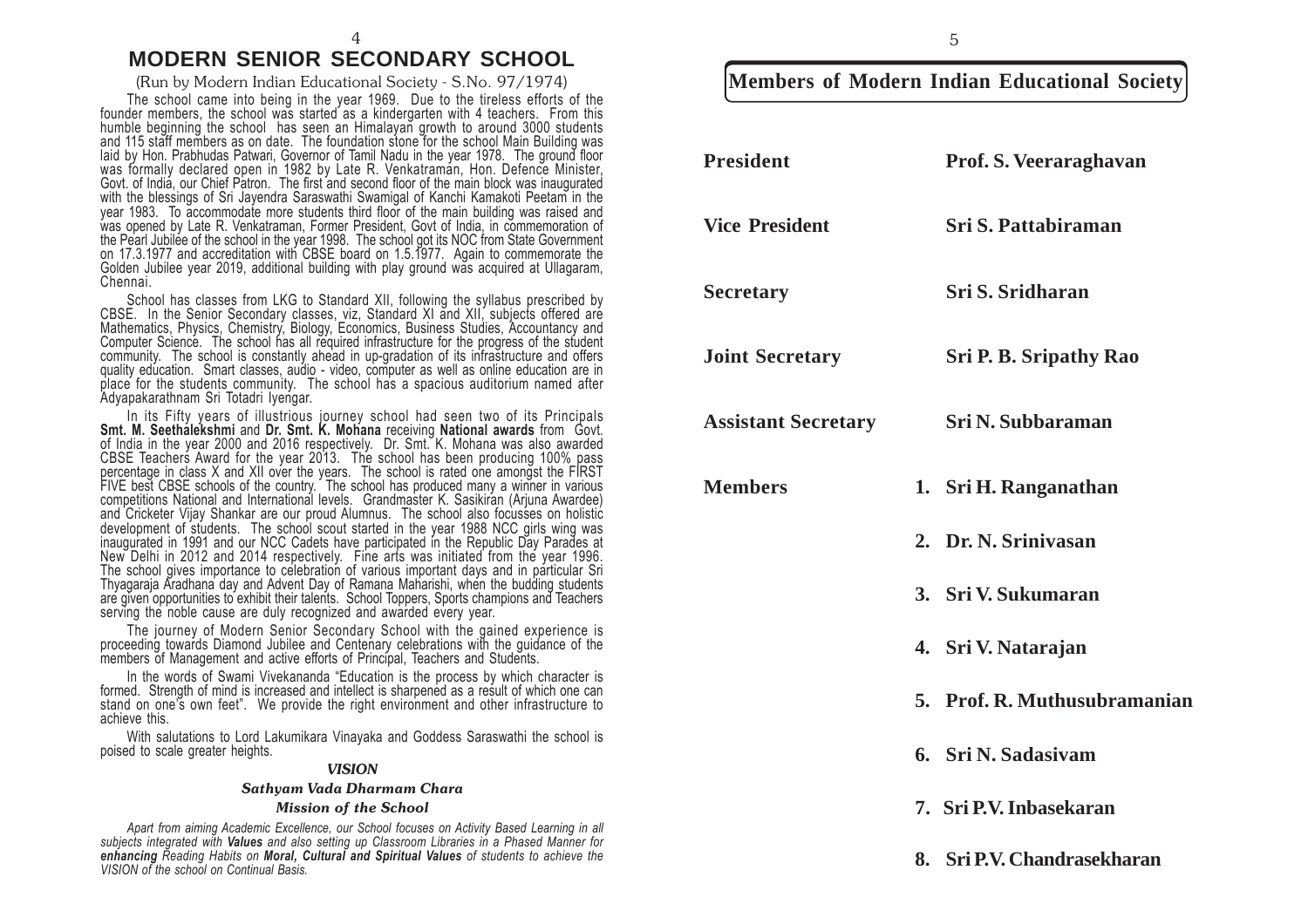#### 4 **MODERN SENIOR SECONDARY SCHOOL**

The school came into being in the year 1969. Due to the tireless efforts of the founder members, the school was started as a kindergarten with 4 teachers. From this humble beginning the school has seen an Himalayan growth to around 3000 students and 115 staff members as on date. The foundation stone for the school Main Building was laid by Hon. Prabhudas Patwari, Governor of Tamil Nadu in the year 1978. The ground floor<br>was formally declared open in 1982 by Late R. Venkatraman, Hon. Defence Minister, Govt. of India, our Chief Patron. The first and second floor of the main block was inaugurated with the blessings of Sri Jayendra Saraswathi Swamigal of Kanchi Kamakoti Peetam in the year 1983. To accommodate more students third floor of the main building was raised and was opened by Late R. Venkatraman, Former President, Govt of India, in commemoration of the Pearl Jubilee of the school in the year 1998. The school got its NOC from State Government on 17.3.1977 and accreditation with CBSE board on 1.5.1977. Again to commemorate the Golden Jubilee year 2019, additional building with play ground was acquired at Ullagaram, Chennai.

School has classes from LKG to Standard XII, following the syllabus prescribed by CBSE. In the Senior Secondary classes, viz, Standard XI and XII, subjects offered are Mathematics, Physics, Chemistry, Biology, Economics, Business Studies, Accountancy and Computer Science. The school has all required infrastructure for the progress of the student community. The school is constantly ahead in up-gradation of its infrastructure and offers quality education. Smart classes, audio - video, computer as well as online education are in place for the students community. The school has a spacious auditorium named after Adyapakarathnam Sri Totadri Iyengar.

In its Fifty years of illustrious journey school had seen two of its Principals **Smt. M. Seethalekshmi** and **Dr. Smt. K. Mohana** receiving **National awards** from Govt. of India in the year 2000 and 2016 respectively. Dr. Smt. K. Mohana was also awarded CBSE Teachers Award for the year 2013. The school has been producing 100% pass percentage in class X and XII over the years. The school is rated one amongst the FIRST FIVE best CBSE schools of the country. The school has produced many a winner in various competitions National and International levels. Grandmaster K. Sasikiran (Arjuna Awardee) and Cricketer Vijay Shankar are our proud Alumnus. The school also focusses on holistic development of students. The school scout started in the year 1988 NCC girls wing was inaugurated in 1991 and our NCC Cadets have participated in the Republic Day Parades at New Delhi in 2012 and 2014 respectively. Fine arts was initiated from the year 1996. The school gives importance to celebration of various important days and in particular Sri Thyagaraja Aradhana day and Advent Day of Ramana Maharishi, when the budding students are given opportunities to exhibit their talents. School Toppers, Sports champions and Teachers serving the noble cause are duly recognized and awarded every year.

The journey of Modern Senior Secondary School with the gained experience is proceeding towards Diamond Jubilee and Centenary celebrations with the guidance of the members of Management and active efforts of Principal, Teachers and Students.

In the words of Swami Vivekananda "Education is the process by which character is formed. Strength of mind is increased and intellect is sharpened as a result of which one can stand on one's own feet". We provide the right environment and other infrastructure to achieve this.

With salutations to Lord Lakumikara Vinayaka and Goddess Saraswathi the school is poised to scale greater heights.

#### *VISION*

#### *Sathyam Vada Dharmam Chara*

#### *Mission of the School*

*Apart from aiming Academic Excellence, our School focuses on Activity Based Learning in all subjects integrated with Values and also setting up Classroom Libraries in a Phased Manner for enhancing Reading Habits on Moral, Cultural and Spiritual Values of students to achieve the VISION of the school on Continual Basis.*

### (Run by Modern Indian Educational Society - S.No. 97/1974) **Members of Modern Indian Educational Society**

| <b>President</b>           | Prof. S. Veeraraghavan        |
|----------------------------|-------------------------------|
| <b>Vice President</b>      | Sri S. Pattabiraman           |
| <b>Secretary</b>           | Sri S. Sridharan              |
| <b>Joint Secretary</b>     | <b>Sri P. B. Sripathy Rao</b> |
| <b>Assistant Secretary</b> | <b>Sri N. Subbaraman</b>      |
| <b>Members</b>             | 1. Sri H. Ranganathan         |
|                            | 2. Dr. N. Srinivasan          |
|                            | 3. Sri V. Sukumaran           |
|                            | 4. Sri V. Natarajan           |
|                            | 5. Prof. R. Muthusubramanian  |
|                            | 6. Sri N. Sadasiyam           |
|                            | 7. Sri P.V. Inbasekaran       |
|                            | 8. Sri P.V. Chandrasekharan   |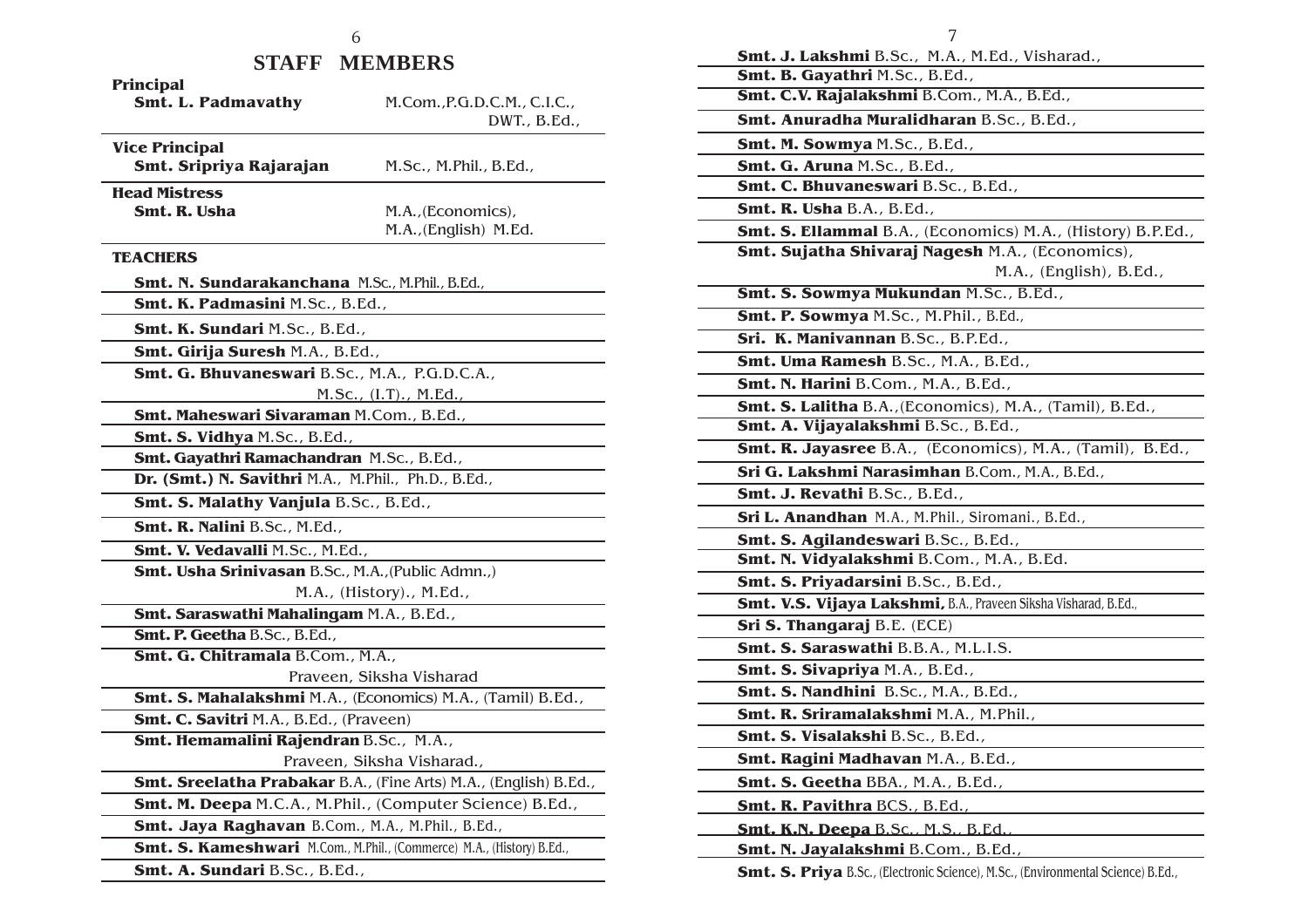### **STAFF MEMBERS**

| Principal                                                             |                                                                  |  |
|-----------------------------------------------------------------------|------------------------------------------------------------------|--|
| <b>Smt. L. Padmavathy</b>                                             | M.Com., P.G.D.C.M., C.I.C.,                                      |  |
|                                                                       | DWT., B.Ed.,                                                     |  |
| <b>Vice Principal</b>                                                 |                                                                  |  |
| Smt. Sripriya Rajarajan                                               | M.Sc., M.Phil., B.Ed.,                                           |  |
| <b>Head Mistress</b>                                                  |                                                                  |  |
| Smt. R. Usha                                                          | M.A., (Economics),                                               |  |
|                                                                       | M.A., (English) M.Ed.                                            |  |
| <b>TEACHERS</b>                                                       |                                                                  |  |
| Smt. N. Sundarakanchana M.Sc., M.Phil., B.Ed.,                        |                                                                  |  |
| Smt. K. Padmasini M.Sc., B.Ed.,                                       |                                                                  |  |
| Smt. K. Sundari M.Sc., B.Ed.,                                         |                                                                  |  |
| Smt. Girija Suresh M.A., B.Ed.,                                       |                                                                  |  |
| Smt. G. Bhuvaneswari B.Sc., M.A., P.G.D.C.A.,                         |                                                                  |  |
|                                                                       | M.Sc., (I.T)., M.Ed.,                                            |  |
| Smt. Maheswari Sivaraman M.Com., B.Ed.,                               |                                                                  |  |
| Smt. S. Vidhya M.Sc., B.Ed.,                                          |                                                                  |  |
| Smt. Gayathri Ramachandran M.Sc., B.Ed.,                              |                                                                  |  |
| Dr. (Smt.) N. Savithri M.A., M.Phil., Ph.D., B.Ed.,                   |                                                                  |  |
| Smt. S. Malathy Vanjula B.Sc., B.Ed.,                                 |                                                                  |  |
| Smt. R. Nalini B.Sc., M.Ed.,                                          |                                                                  |  |
| Smt. V. Vedavalli M.Sc., M.Ed.,                                       |                                                                  |  |
| Smt. Usha Srinivasan B.Sc., M.A., (Public Admn.,)                     |                                                                  |  |
|                                                                       | M.A., (History)., M.Ed.,                                         |  |
| Smt. Saraswathi Mahalingam M.A., B.Ed.,                               |                                                                  |  |
| Smt. P. Geetha B.Sc., B.Ed.,                                          |                                                                  |  |
| Smt. G. Chitramala B.Com., M.A.,                                      |                                                                  |  |
|                                                                       | Praveen, Siksha Visharad                                         |  |
| Smt. S. Mahalakshmi M.A., (Economics) M.A., (Tamil) B.Ed.,            |                                                                  |  |
| Smt. C. Savitri M.A., B.Ed., (Praveen)                                |                                                                  |  |
| Smt. Hemamalini Rajendran B.Sc., M.A.,                                |                                                                  |  |
|                                                                       | Praveen, Siksha Visharad.,                                       |  |
|                                                                       | Smt. Sreelatha Prabakar B.A., (Fine Arts) M.A., (English) B.Ed., |  |
| Smt. M. Deepa M.C.A., M.Phil., (Computer Science) B.Ed.,              |                                                                  |  |
| Smt. Jaya Raghavan B.Com., M.A., M.Phil., B.Ed.,                      |                                                                  |  |
| Smt. S. Kameshwari M.Com., M.Phil., (Commerce) M.A., (History) B.Ed., |                                                                  |  |
| Smt. A. Sundari B.Sc., B.Ed.,                                         |                                                                  |  |

7

| <b>Smt. J. Lakshmi</b> B.Sc., M.A., M.Ed., Visharad.,           |
|-----------------------------------------------------------------|
| Smt. B. Gayathri M.Sc., B.Ed.,                                  |
| Smt. C.V. Rajalakshmi B.Com., M.A., B.Ed.,                      |
| Smt. Anuradha Muralidharan B.Sc., B.Ed.,                        |
| Smt. M. Sowmya M.Sc., B.Ed.,                                    |
| Smt. G. Aruna M.Sc., B.Ed.,                                     |
| Smt. C. Bhuvaneswari B.Sc., B.Ed.,                              |
| Smt. R. Usha B.A., B.Ed.,                                       |
| Smt. S. Ellammal B.A., (Economics) M.A., (History) B.P.Ed.,     |
| Smt. Sujatha Shivaraj Nagesh M.A., (Economics),                 |
| M.A., (English), B.Ed.,                                         |
| Smt. S. Sowmya Mukundan M.Sc., B.Ed.,                           |
| Smt. P. Sowmya M.Sc., M.Phil., B.Ed.,                           |
| Sri. K. Manivannan B.Sc., B.P.Ed.,                              |
| Smt. Uma Ramesh B.Sc., M.A., B.Ed.,                             |
| Smt. N. Harini B.Com., M.A., B.Ed.,                             |
| Smt. S. Lalitha B.A., (Economics), M.A., (Tamil), B.Ed.,        |
| Smt. A. Vijayalakshmi B.Sc., B.Ed.,                             |
| Smt. R. Jayasree B.A., (Economics), M.A., (Tamil), B.Ed.,       |
| Sri G. Lakshmi Narasimhan B.Com., M.A., B.Ed.,                  |
| Smt. J. Revathi B.Sc., B.Ed.,                                   |
| Sri L. Anandhan M.A., M.Phil., Siromani., B.Ed.,                |
| Smt. S. Agilandeswari B.Sc., B.Ed.,                             |
| Smt. N. Vidyalakshmi B.Com., M.A., B.Ed.                        |
| Smt. S. Priyadarsini B.Sc., B.Ed.,                              |
| Smt. V.S. Vijaya Lakshmi, B.A., Praveen Siksha Visharad, B.Ed., |
| Sri S. Thangaraj B.E. (ECE)                                     |
| Smt. S. Saraswathi B.B.A., M.L.I.S.                             |
| Smt. S. Sivapriya M.A., B.Ed.,                                  |
| Smt. S. Nandhini B.Sc., M.A., B.Ed.,                            |
| Smt. R. Sriramalakshmi M.A., M.Phil.,                           |
| Smt. S. Visalakshi B.Sc., B.Ed.,                                |
| Smt. Ragini Madhavan M.A., B.Ed.,                               |
| Smt. S. Geetha BBA., M.A., B.Ed.,                               |
| Smt. R. Pavithra BCS., B.Ed.,                                   |
| Smt. K.N. Deepa B.Sc., M.S., B.Ed.,                             |
| Smt. N. Jayalakshmi B.Com., B.Ed.,                              |
|                                                                 |

**Smt. S. Priya** B.Sc., (Electronic Science), M.Sc., (Environmental Science) B.Ed.,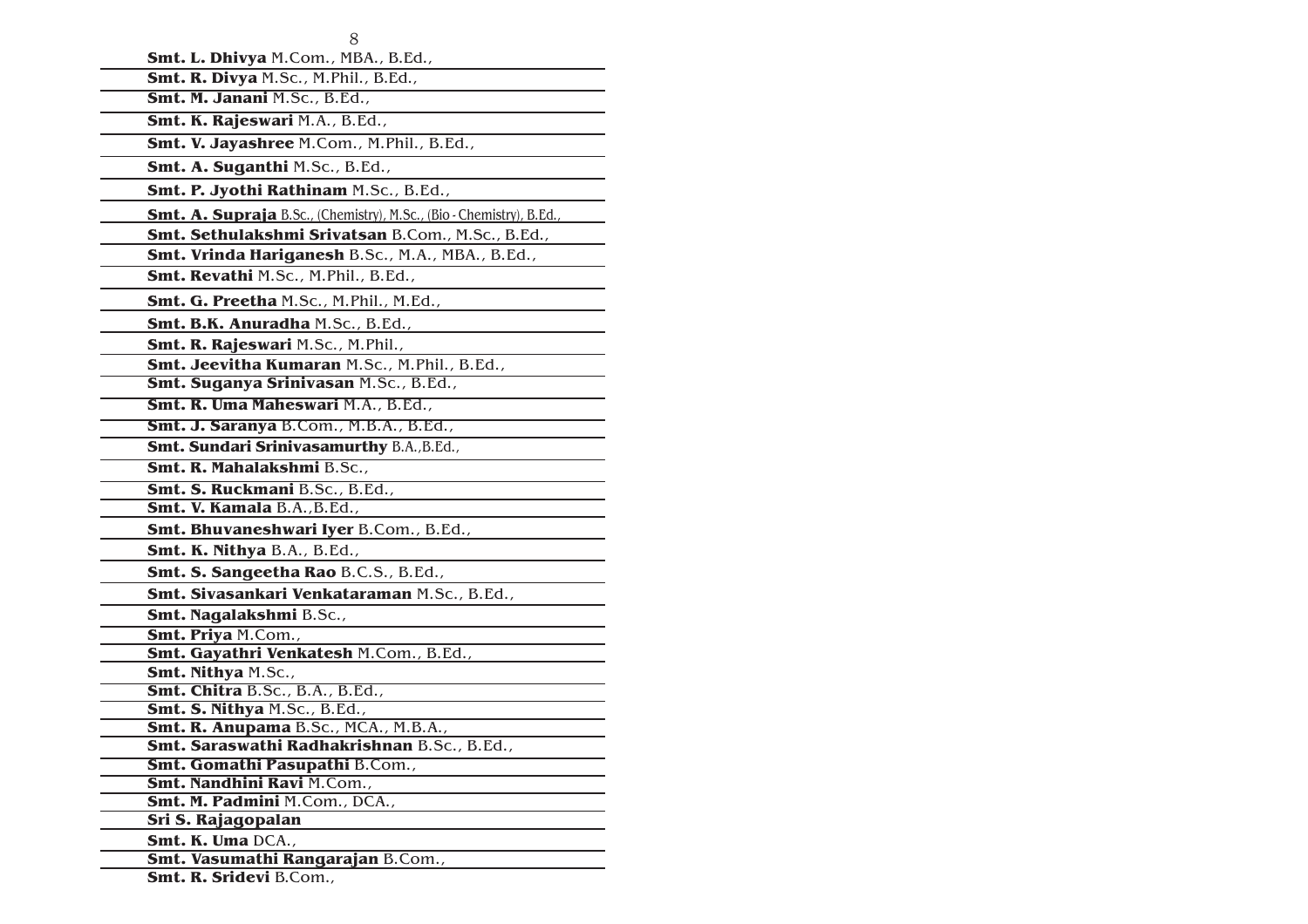| Smt. L. Dhivya M.Com., MBA., B.Ed.,                                  |
|----------------------------------------------------------------------|
| Smt. R. Divya M.Sc., M.Phil., B.Ed.,                                 |
| Smt. M. Janani M.Sc., B.Ed.,                                         |
| Smt. K. Rajeswari M.A., B.Ed.,                                       |
| Smt. V. Jayashree M.Com., M.Phil., B.Ed.,                            |
| Smt. A. Suganthi M.Sc., B.Ed.,                                       |
| Smt. P. Jyothi Rathinam M.Sc., B.Ed.,                                |
| Smt. A. Supraja B.Sc., (Chemistry), M.Sc., (Bio - Chemistry), B.Ed., |
| Smt. Sethulakshmi Srivatsan B.Com., M.Sc., B.Ed.,                    |
| Smt. Vrinda Hariganesh B.Sc., M.A., MBA., B.Ed.,                     |
| Smt. Revathi M.Sc., M.Phil., B.Ed.,                                  |
| Smt. G. Preetha M.Sc., M.Phil., M.Ed.,                               |
| Smt. B.K. Anuradha M.Sc., B.Ed.,                                     |
| Smt. R. Rajeswari M.Sc., M.Phil.,                                    |
| Smt. Jeevitha Kumaran M.Sc., M.Phil., B.Ed.,                         |
| Smt. Suganya Srinivasan M.Sc., B.Ed.,                                |
| Smt. R. Uma Maheswari M.A., B.Ed.,                                   |
| Smt. J. Saranya B.Com., M.B.A., B.Ed.,                               |
| Smt. Sundari Srinivasamurthy B.A., B.Ed.,                            |
| Smt. R. Mahalakshmi B.Sc.,                                           |
| Smt. S. Ruckmani B.Sc., B.Ed.,                                       |
| Smt. V. Kamala B.A., B.Ed.,                                          |
| Smt. Bhuvaneshwari Iyer B.Com., B.Ed.,                               |
| Smt. K. Nithya B.A., B.Ed.,                                          |
| Smt. S. Sangeetha Rao B.C.S., B.Ed.,                                 |
| Smt. Sivasankari Venkataraman M.Sc., B.Ed.,                          |
| <b>Smt. Nagalakshmi B.Sc.,</b>                                       |
| Smt. Priya M.Com.,                                                   |
| Smt. Gayathri Venkatesh M.Com., B.Ed.,                               |
| <b>Smt. Nithya M.Sc.,</b>                                            |
| Smt. Chitra B.Sc., B.A., B.Ed.,                                      |
| Smt. S. Nithya M.Sc., B.Ed.,<br>Smt. R. Anupama B.Sc., MCA., M.B.A., |
| Smt. Saraswathi Radhakrishnan B.Sc., B.Ed.,                          |
| Smt. Gomathi Pasupathi B.Com.,                                       |
| Smt. Nandhini Ravi M.Com.,                                           |
| Smt. M. Padmini M.Com., DCA.,                                        |
| Sri S. Rajagopalan                                                   |
| Smt. K. Uma DCA.,                                                    |
| Smt. Vasumathi Rangarajan B.Com.,                                    |
| Smt. R. Sridevi B.Com.,                                              |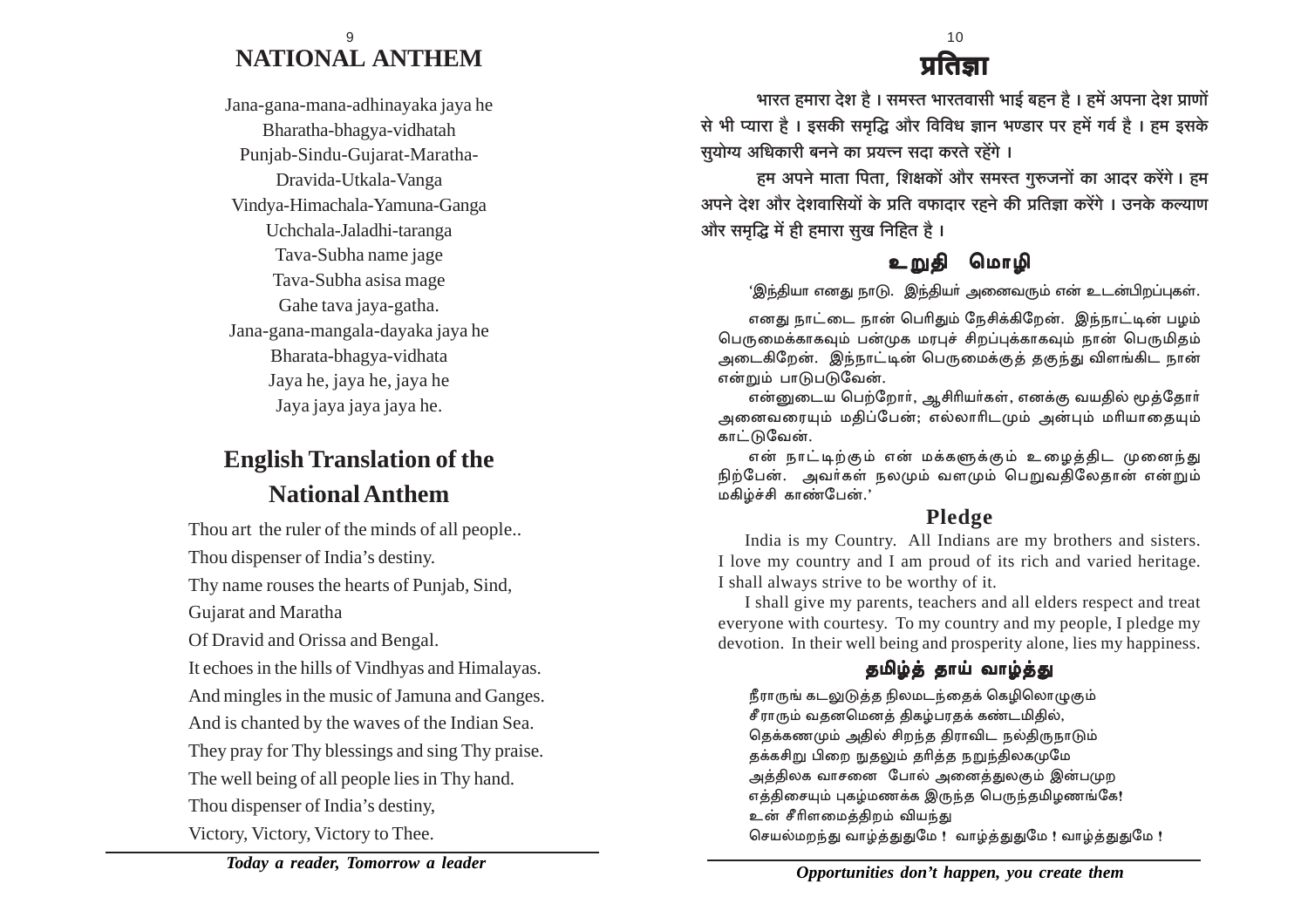### **NATIONAL ANTHEM** 9

Jana-gana-mana-adhinayaka jaya he Bharatha-bhagya-vidhatah Punjab-Sindu-Gujarat-Maratha-Dravida-Utkala-Vanga Vindya-Himachala-Yamuna-Ganga Uchchala-Jaladhi-taranga Tava-Subha name jage Tava-Subha asisa mage Gahe tava jaya-gatha. Jana-gana-mangala-dayaka jaya he Bharata-bhagya-vidhata Jaya he, jaya he, jaya he Jaya jaya jaya jaya he.

## **English Translation of the National Anthem**

Thou art the ruler of the minds of all people.. Thou dispenser of India's destiny. Thy name rouses the hearts of Punjab, Sind, Gujarat and Maratha Of Dravid and Orissa and Bengal. It echoes in the hills of Vindhyas and Himalayas. And mingles in the music of Jamuna and Ganges. And is chanted by the waves of the Indian Sea. They pray for Thy blessings and sing Thy praise. The well being of all people lies in Thy hand. Thou dispenser of India's destiny, Victory, Victory, Victory to Thee.

## पादा

<u> भारत हमारा देश है। समस्त भारतवासी भाई बहन है। हमें अपना देश प्राणों</u> से भी प्यारा है। इसकी समृद्धि और विविध ज्ञान भण्डार पर हमें गर्व है। हम इसके सयोग्य अधिकारी बनने का प्रयत्<del>त्</del>न सदा करते रहेंगे ।

हम अपने माता पिता, शिक्षकों और समस्त गुरुजनों का आदर करेंगे। हम अपने देश और देशवासियों के प्रति वफादार रहने की प्रतिज्ञा करेंगे । उनके कल्याण और समृद्धि में ही हमारा सुख निहित है।

## உறுதி மொமி

'இந்தியா எனது நாடு. இந்தியா் அனைவரும் என் உடன்பிறப்புகள்.

எனது நாட்டை நான் பெரிதும் நேசிக்கிறேன். இந்நாட்டின் பழம் பெருமைக்காகவும் பன்முக மரபுச் சிறப்புக்காகவும் நான் பெருமிதம் அடைகிறேன். இந்நாட்டின் பெருமைக்குத் தகுந்து விளங்கிட நான் என்றும் பாடுபடுவேன்.

என்னுடைய பெற்றோர், ஆசிரியர்கள், எனக்கு வயதில் மூத்தோர் அனைவரையும் மதிப்பேன்; எல்லாரிடமும் அன்பும் மரியாதையும் காட்டுவேன்.

என் நாட்டிற்கும் என் மக்களுக்கும் உழைத்திட முனைந்து நிற்பேன். அவர்கள் நலமும் வளமும் பெறுவகிலேதான் என்றும் மகிழ்ச்சி காண்பேன்.'

## **Pledge**

India is my Country. All Indians are my brothers and sisters. I love my country and I am proud of its rich and varied heritage. I shall always strive to be worthy of it.

I shall give my parents, teachers and all elders respect and treat everyone with courtesy. To my country and my people, I pledge my devotion. In their well being and prosperity alone, lies my happiness.

## தமிழ்த் தாய் வாழ்த்து

நீராருங் கடலுடுத்த நிலமடந்தைக் கெழிலொழுகும் சீராரும் வதனமெனத் திகழ்பரதக் கண்டமிதில், தெக்கணமும் அதில் சிறந்த திராவிட நல்திருநாடும் தக்கசிறு பிறை நுதலும் தரித்த நறுந்திலகமுமே அத்திலக வாசனை போல் அனைத்துலகும் இன்பமுற எத்திசையும் புகழ்மணக்க இருந்த பெருந்தமிழணங்கே! உன் சீரிளமைத்திறம் வியந்து செயல்மறந்து வாழ்த்துதுமே ! வாழ்த்துதுமே ! வாழ்த்துதுமே !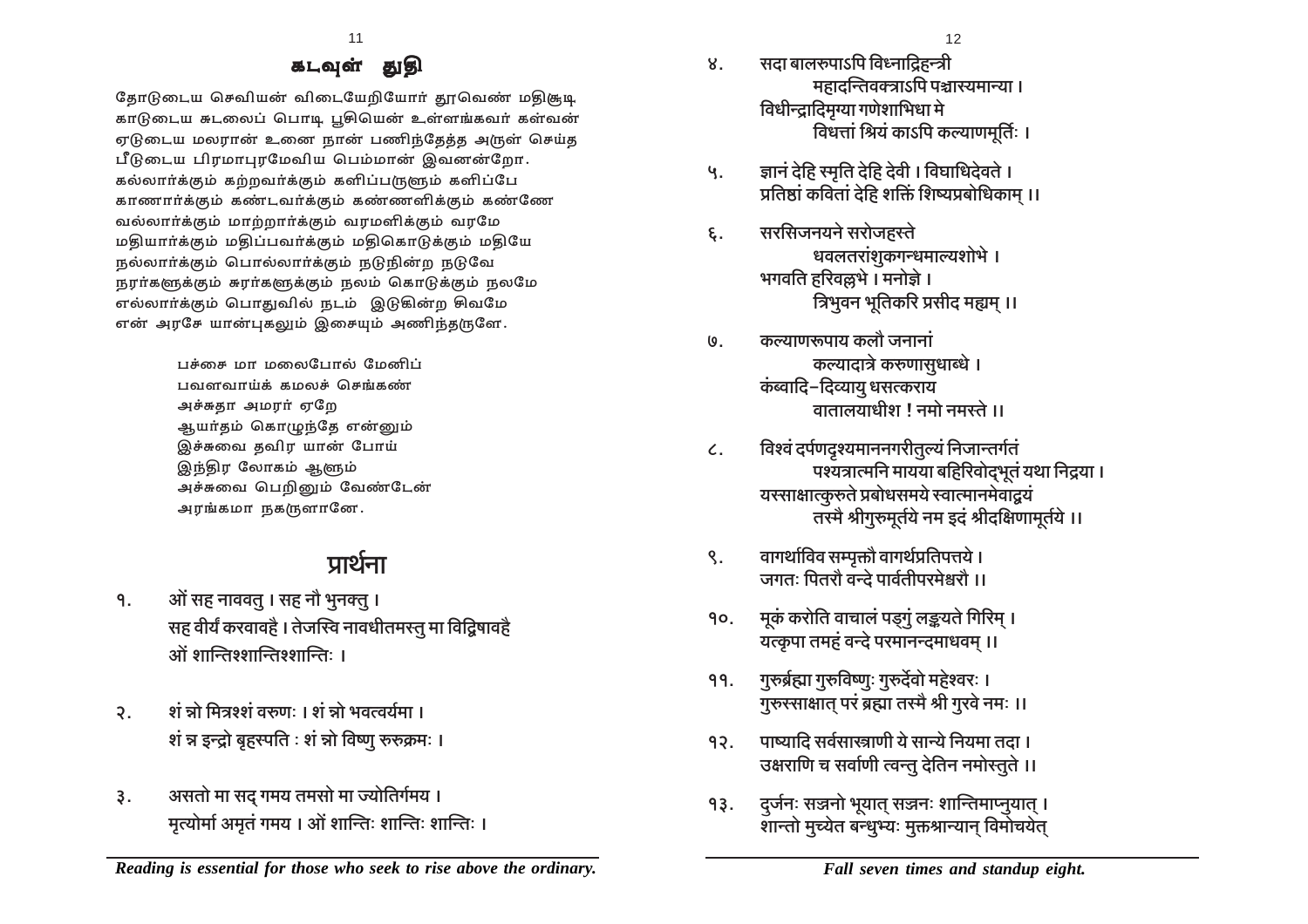### கடவுள் துகி

தோடுடைய செவியன் விடையேறியோர் தூவெண் மதிசூடி காடுடைய சுடலைப் பொடி பூசியென் உள்ளங்கவர் கள்வன் ஏடுடைய மலரான் உனை நான் பணிந்தேத்த அருள் செய்த பீடுடைய பிரமாபுரமேவிய பெம்மான் இவனன்றோ. கல்லார்க்கும் கற்றவர்க்கும் களிப்பருளும் களிப்பே காணார்க்கும் கண்டவர்க்கும் கண்ணளிக்கும் கண்ணே வல்லார்க்கும் மாற்றார்க்கும் வரமளிக்கும் வரமே மதியார்க்கும் மதிப்பவர்க்கும் மதிகொடுக்கும் மதியே நல்லார்க்கும் பொல்லார்க்கும் நடுநின்ற நடுவே நரர்களுக்கும் சுரர்களுக்கும் நலம் கொடுக்கும் நலமே எல்லார்க்கும் பொதுவில் நடம் இடுகின்ற சிவமே என் அரசே யான்புகலும் இசையும் அணிந்தருளே.

> பச்சை மா மலைபோல் மேனிப் பவளவாய்க் கமலச் செங்கண் அச்சுதா அமரர் ஏறே ஆயா்தம் கொழுந்தே என்னும் இச்சுவை தவிர யான் போய் இந்திர லோகம் ஆளும் அச்சுவை பெறினும் வேண்டேன் அரங்கமா நகருளானே.

## प्रार्थना

- <u>१. अों सह नाववत् । सह नौ भूनक्त् ।</u> सह वीर्यं करवावहै । तेजस्वि नावधीतमस्तु मा विद्विषावहै <u><sup>3</sup> अपन्ति श्रगन्तिः ।</u>
- <u>२. शं न्नो मित्रश्शं वरुणः । शं न्नो भवत्वर्यमा ।</u> <u>शं न्न इन्द्रो बृहस्पति : शं न्नो विष्णु रुरुक्रमः ।</u>
- 3. असतो मा सद गमय तमसो मा ज्योतिर्गमय । मृत्योर्मा अमृतं गमय । ओं शान्तिः शान्तिः शान्तिः ।
- <u>४. सदा बालरुपाऽपि विध्नादिहन्त्री</u> **महादन्तिवक्त्राऽपि पञ्चास्यमान्या । बिधीन्द्रादिमृग्या गणेशाभिधा मे | विधत्तां श्रियं काऽपि कल्याणमूर्तिः ।**
- **५.** ज्ञानं देहि स्मृति देहि देवी । विघाधिदेवते । <u>प्रतिष्ठां कवितां देहि शक्तिं शिष्यप्रबोधिकाम् ।।</u>
- **६. सरसिजनयने सरोजह**स्ते **धवलतरांशुकगन्धमाल्यशोभे** । <u>भगवति हरिवल्लभे । मनोज्ञे ।</u> <u>त्रिभवन भतिकरि प्रसीद मह्यम ।।</u>
- <u>७. कल्याणरूपाय कलौ जनानां</u> **कल्यादात्रे करुणासधा**ब्धे । **कंब्वादि-दिव्यायु** धसत्कराय <u>वातालयाधीश ! नमो नमस्ते ।।</u>
- $\epsilon$ . विश्वं दर्पणदृश्यमाननगरीतुल्यं निजान्तर्गतं <u>पश्यत्रात्मनि मायया बहिरिवोदभुतं यथा निद्रया ।</u> <u>यस्साक्षात्कुरुते प्रबोधसमये स्वात्मानमेवाद्वयं</u> **तरमै श्रीगुरुमूर्तये नम इदं श्रीदक्षिणामूर्तये ।।**
- <u>९. वागर्थाविव सम्पृक्तौ वागर्थप्रतिपत्तये ।</u> <u>जगतः पितरौ वन्दे पार्वतीपरमेश्वरौ ।।</u>
- **10. \_yH§\$ H\$amo{V dmMmb§ nS²>Jw§ b'>`Vo {J[a\_² & यत्कृपा तमहं वन्दे परमानन्दमाधवम्** ॥
- 19. गुरुर्ब्रह्मा गुरुविष्णुः गुरुर्देवो महेश्वरः । **गुरुस्साक्षात् परं ब्रह्मा तस्मै श्री गुरवे नमः ।।**
- 12. माष्यादि सर्वसास्त्राणी ये सान्ये नियमा तदा । <u>उक्षराणि च सर्वाणी त्वन्तु देतिन नमोस्तुते ।।</u>
- 13. दुर्जनः सञ्जनो भूयात् सञ्जनः शान्तिमाप्नुयात् ।<br>शान्तो मुच्येत बन्धुभ्यः मुक्तश्रान्यान् विमोचयेत्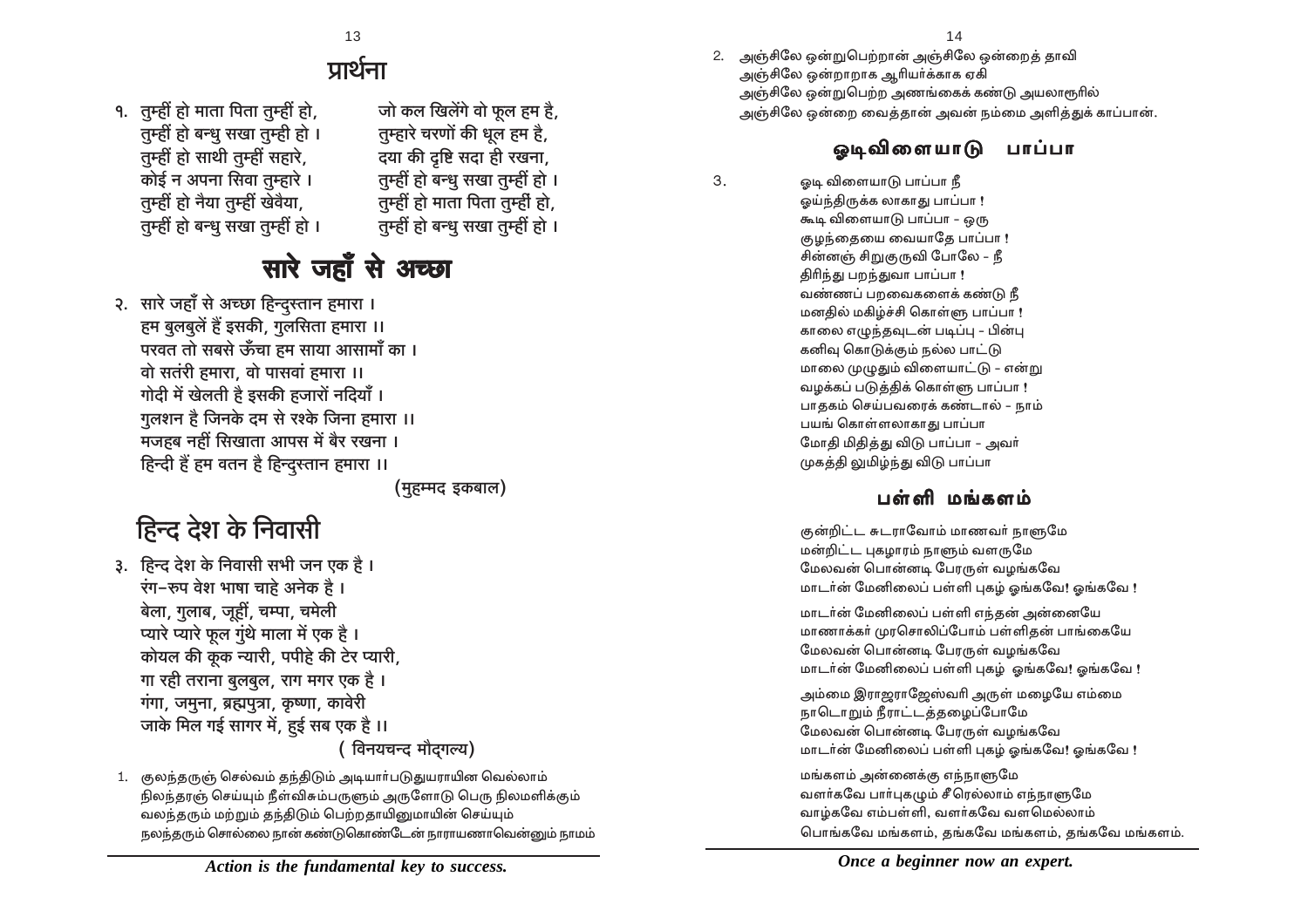2. அஞ்சிலே ஒன்றுபெற்றான் அஞ்சிலே ஒன்றைத் தாவி அஞ்சிலே ஒன்றாறாக ஆரியா்க்காக ஏகி அஞ்சிலே ஒன்றுபெற்ற அணங்கைக் கண்டு அயலாரூரில் அஞ்சிலே ஒன்றை வைத்தான் அவன் நம்மை அளித்துக் காப்பான்.

## டைவிளையாடு பாப்பா

3. @டி விளையாடு பாப்பா நீ லய்ந்திருக்க லாகாது பாப்பா ! கூடி விளையாடு பாப்பா – ஒரு குழந்தையை வையாதே பாப்பா ! சின்னஞ் சிறுகுருவி போலே – நீ திரிந்து பறந்துவா பாப்பா ! வண்ணப் பறவைகளைக் கண்டு நீ மனகில் மகிம்ச்சி கொள்ளு பாப்பா ! காலை எழுந்தவுடன் படிப்பு - பின்பு கனிவு கொடுக்கும் நல்ல பாட்டு மாலை முழுதும் விளையாட்டு – என்று வழக்கப் படுத்திக் கொள்ளு பாப்பா ! பாககம் செய்பவரைக் கண்டால் - நாம் பயங் கொள்ளலாகாது பாப்பா மோதி மிதித்து விடு பாப்பா - அவர் முகத்தி லுமிழ்ந்து விடு பாப்பா

## பள்ளி மங்களம்

குன்றிட்ட சுடராவோம் மாணவர் நாளுமே மன்றிட்ட புகழாரம் நாளும் வளருமே மேலவன் பொன்னடி பேரருள் வழங்கவே மாடர்ன் மேனிலைப் பள்ளி புகழ் ஓங்கவே! ஓங்கவே !

மாடர்ன் மேனிலைப் பள்ளி எந்தன் அன்னையே மாணாக்கர் முரசொலிப்போம் பள்ளிதன் பாங்கையே மேலவன் பொன்னடி பேரருள் வழங்கவே மாடர்ன் மேனிலைப் பள்ளி புகழ் ஒங்கவே! ஒங்கவே !

அம்மை இராஜராஜேஸ்வரி அருள் மழையே எம்மை நாடொறும் நீராட்டத்தழைப்போமே மேலவன் பொன்னடி போருள் வழங்கவே மாடர்ன் மேனிலைப் பள்ளி புகம் ஒங்கவே! ஒங்கவே !

மங்களம் அன்னைக்கு எந்நாளுமே வளர்கவே பார்புகழும் சீரெல்லாம் எந்நாளுமே வாழ்கவே எம்பள்ளி, வளர்கவே வளமெல்லாம் பொங்கவே மங்களம், தங்கவே மங்களம், தங்கவே மங்களம்.

## प्रार्थना

<u>الجهاز हो माता पिता तुम्हीं हो, لام जो कल खिलेंगे वो फूल हम है ,</u><br>| तम्हीं हो बन्ध सखा तम्ही हो | तम्हारे चरणों की धल हम है तुम्हीं हो बन्धु सखा तुम्ही हो ।<br>तुम्हीं हो साथी तुम्हीं सहारे, तुम्हीं हो साथी तुम्हीं सहारे, दया की दृष्टि सदा ही रखना,<br>कोई न अपना सिवा तम्हारे । तम्हीं हो बन्ध सखा तम्हीं हो **Vwåht hmo Z¡`m Vwåht Iod¡`m, Vwåht hmo \_mVm {nVm Vwåhr§ hmo,**

- **तम्हीं हो बन्धु सखा तुम्हीं हो। राम्ही हो बन्ध सखा तम्हीं हो ।**
- 

सारे जहाँ से अच्छा २. सारे जहाँ से अच्छा हिन्दस्तान हमारा । **हम बुलबुलें हैं इसकी, गुलसिता हमारा ।।** <u>परवत तो सबसे ऊँचा हम साया आसामाँ का ।</u> <u>वो सतंरी हमारा, वो पासवां हमारा ।।</u> <u>गो</u>दी में खेलती है इसकी हजारों नदियाँ । **गुलशन है जिनके दम से रश्के जिना हमारा ।। मजहब नहीं सिखाता आपस में बैर रखना । हिन्दी हैं हम वतन है हिन्दरनान हमारा ।।** *(महम्मद इकबाल)* 

## हिन्द देश के निवासी

- <u>3. हिन्द देश के निवासी सभी जन एक है ।</u> रंग-रूप वेश भाषा चाहे अनेक है । <u>बेला, गुलाब, जूहीं, चम्पा, चमेली</u> <u>प्यारे प्यारे फल गंथे माला में एक है</u>। <u>कोयल की कुक न्यारी, पपीहे की टेर प्यारी, </u> <u>गा रही तराना बुलबुल, राग मगर एक है</u> । <u>गंगा, जमना, ब्रह्मपत्रा, कृष्णा, कावेरी</u> <u>जाके मिल गई सागर में, हुई सब एक है ।।</u> *( विनयचन्द मौदगल्य)*
- 1. குலந்தருஞ் செல்வம் தந்திடும் அடியாா்படுதுயராயின வெல்லாம் நிலந்தரஞ் செய்யும் நீள்விசும்பருளும் அருளோடு பெரு நிலமளிக்கும் வலந்தரும் மற்றும் தந்திடும் பெற்றதாயினுமாயின் செய்யும் நலந்தரும் சொல்லை நான் கண்டுகொண்டேன் நாராயணாவென்னும் நாமம்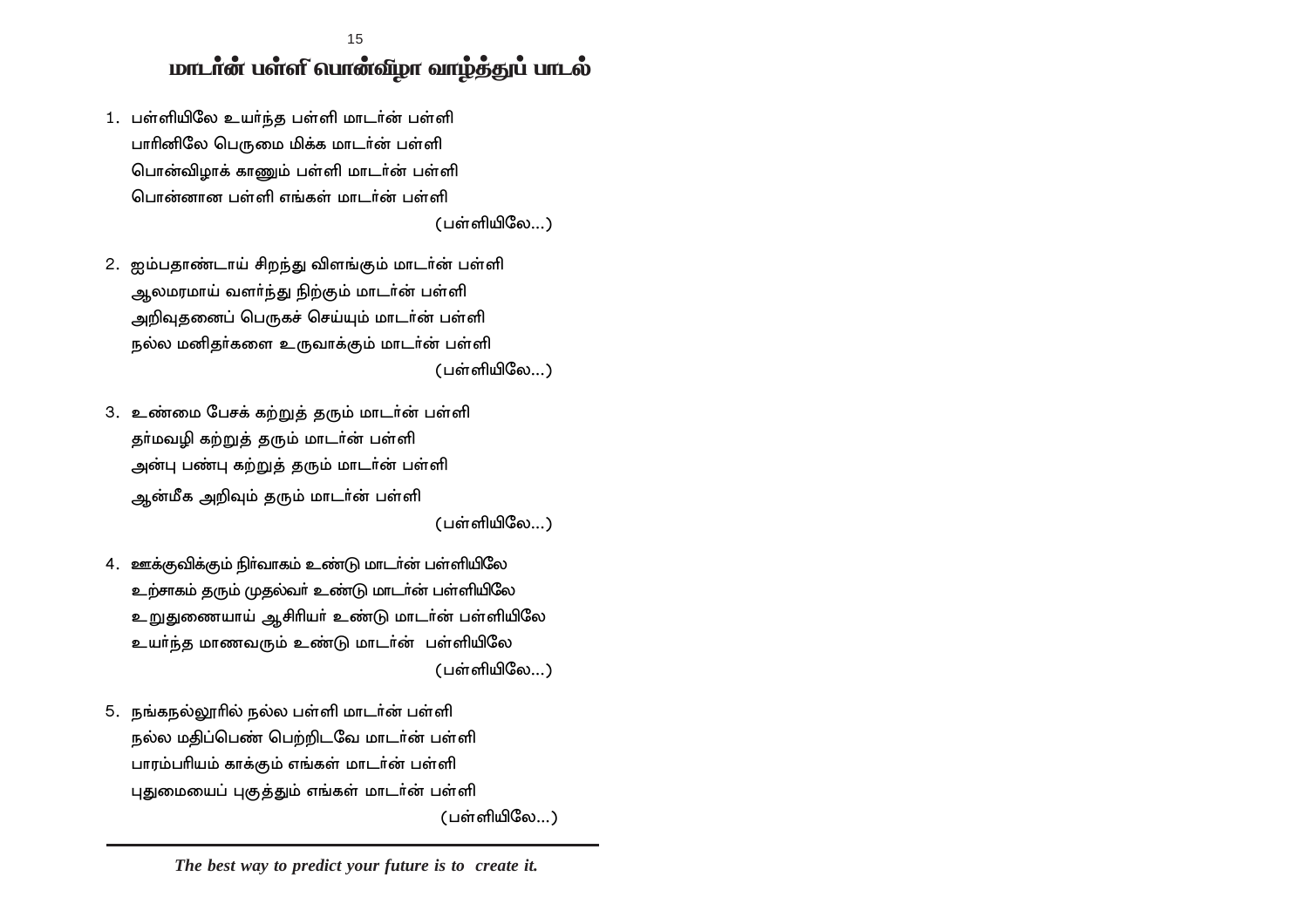மாடான் பள்ளி வான்விழா வாழ்த்துப் பாடல் 15

- 1. பள்ளியிலே உயர்ந்த பள்ளி மாடர்ன் பள்ளி பாரினிலே பெருமை மிக்க மாடர்ன் பள்ளி பொன்விழாக் காணும் பள்ளி மாடர்ன் பள்ளி பொன்னான பள்ளி எங்கள் மாடர்ன் பள்ளி (பள்ளியிலே...)
- 2. ஐம்பதாண்டாய் சிறந்து விளங்கும் மாடர்ன் பள்ளி ஆலமரமாய் வளா்ந்து நிற்கும் மாடா்ன் பள்ளி அறிவுதனைப் பெருகச் செய்யும் மாடர்ன் பள்ளி நல்ல மனிதர்களை உருவாக்கும் மாடர்ன் பள்ளி (பள்ளியிலே...)
- 3. உண்மை பேசக் கற்றுத் தரும் மாடர்ன் பள்ளி தர்மவழி கற்றுத் தரும் மாடர்ன் பள்ளி அன்பு பண்பு கற்றுத் தரும் மாடர்ன் பள்ளி ஆன்மீக அறிவும் தரும் மாடர்ன் பள்ளி

 $(u$ ள்ளியிலே...)

- 4. ஊக்குவிக்கும் நிர்வாகம் உண்டு மாடர்ன் பள்ளியிலே உற்சாகம் தரும் முதல்வா் உண்டு மாடா்ன் பள்ளியிலே ்உறுதுணையாய் ஆசிரியா் உண்டு மாடா்ன் பள்ளியிலே உயா்ந்த மாணவரும் உண்டு மாடா்ன் பள்ளியிலே  $($ பள்ளியிலே $...$
- 5. நங்கநல்லூரில் நல்ல பள்ளி மாடர்ன் பள்ளி நல்ல மதிப்பெண் பெற்றிடவே மாடர்ன் பள்ளி பாரம்பரியம் காக்கும் எங்கள் மாடர்ன் பள்ளி புதுமையைப் புகுத்தும் எங்கள் மாடர்ன் பள்ளி  $(u$ ள்ளியிலே...)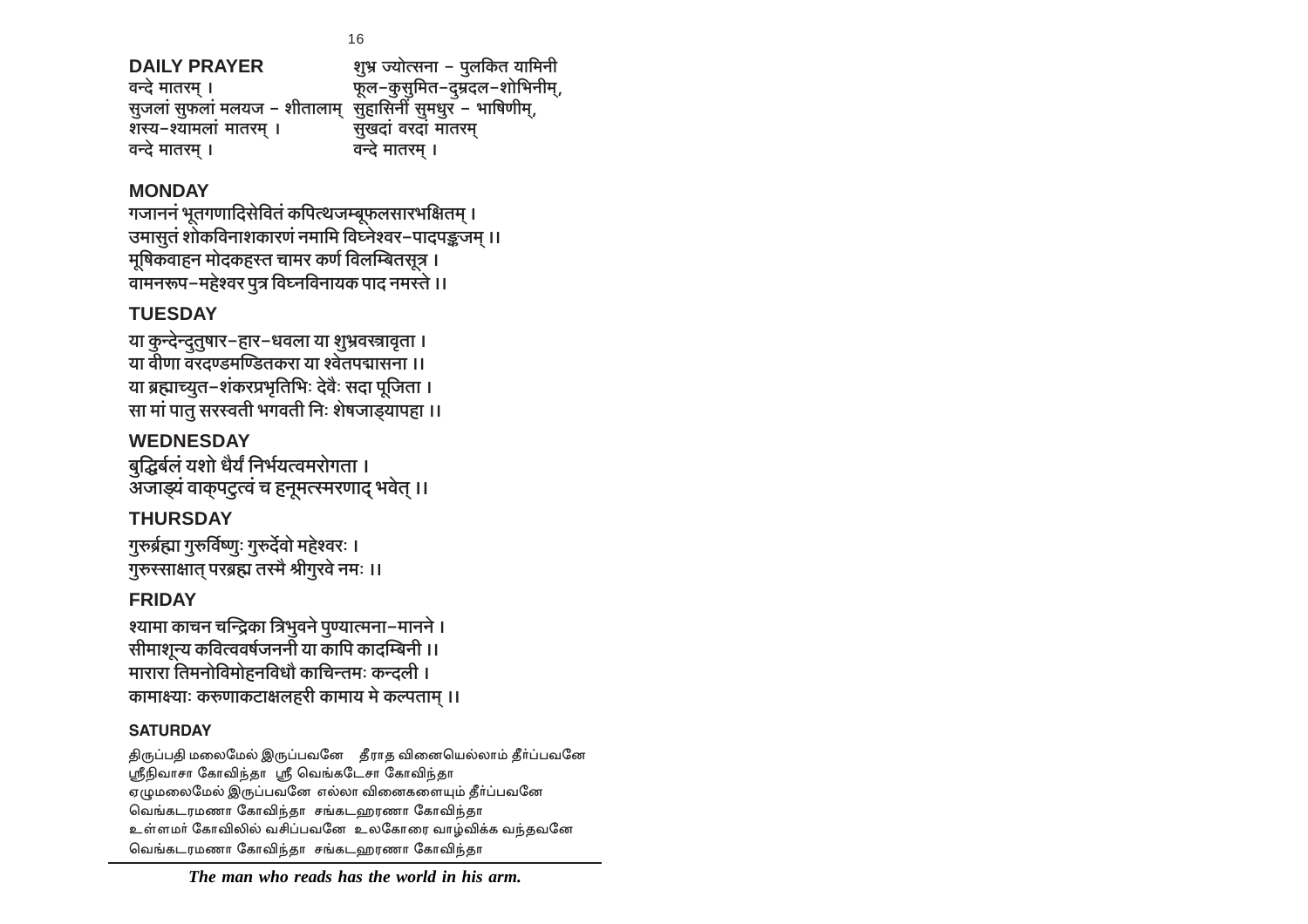### *The man who reads has the world in his arm.*

்திருப்பதி மலைமேல் இருப்பவனே தீராத வினையெல்லாம் தீா்ப்பவனே ஸ்ரீநிவாசா கோவிந்தா ஸ்ரீ வெங்கடேசா கோவிந்தா ஏழுமலைமேல் இருப்பவனே எல்லா வினைகளையும் தீா்ப்பவனே வெங்கடரமணா கோவிந்தா சங்கடஹரணா கோவிந்தா உள்ளமர் கோவிலில் வசிப்பவனே உலகோரை வாழ்விக்க வந்தவனே வெங்கடரமணா கோவிந்தா சங்கடஹரணா கோவிந்தா

### श्यामा काचन चन्द्रिका त्रिभुवने पुण्यात्मना–मानने **।** <u>सीमाशून्य कवित्ववर्षजननी या कापि कादम्बिनी ।।</u> <u>मारारा तिमनोविमोहनविधौ काचिन्तमः कन्दली ।</u> कामाक्ष्याः करूणाकटाक्षलहरी कामाय मे कल्पताम् ।।

**गुरुर्ब्रह्मा गुरुर्विष्णूः गुरुर्देवो महेश्वरः ।** <u>गुरुस्साक्षात परब्रह्म तस्मै श्रीगुरवे नमः ।।</u>

**WEDNESDAY** <u>बद्घिर्बलं यशो धैर्यं निर्भयत्वमरोगता ।</u> <u>अजाड़्यं वाकपट्रत्वं च हनूमत्स्मरणाद भवेत ।।</u>

**या कुन्देन्दुतुषार-हार-धवला या शुभ्रवस्त्रावृता ।** <u>या वीणा वरदण्डमण्डितकरा या श्वेतपद्मासना ।।</u> **या ब्रह्माच्यूत-शंकरप्रभृतिभिः देवैः सदा पूजिता ।** <u>सा मां पातु सरस्वती भगवती निः शेषजाडयापहा ।।</u>

गजाननं भूतगणादिसेवितं कपित्थजम्बूफलसारभक्षितम् । उमासुतं शोकविनाशकारणं नमामि विघ्नेश्वर-पादपङ्कजम् ।।

**मूषिकवाहन मोदकहरत चामर कर्ण विलम्बितसूत्र । ्तमनरूप-महेश्वर पत्र विघ्नविनायक पाद नमर**ते ।। **TUESDAY**

**MONDAY**

**THURSDAY**

**FRIDAY**

**SATURDAY**

**DAILY PRAYER ew^« Á`moËgZm - nwb{H\$V `m[\_Zr** <sup>.</sup> सुजलां सुफलां मलयज − शीतालाम् सुहासिनी सुमधुर − भाषिणीम्,<br>शस्य−श्यामलां मातरम । सखदां वरदां मातरम **eñ`-í`m\_bm§ \_mVa\_² & gwIXm§ daXm§ \_mVa\_² a**न्दे मातरम ।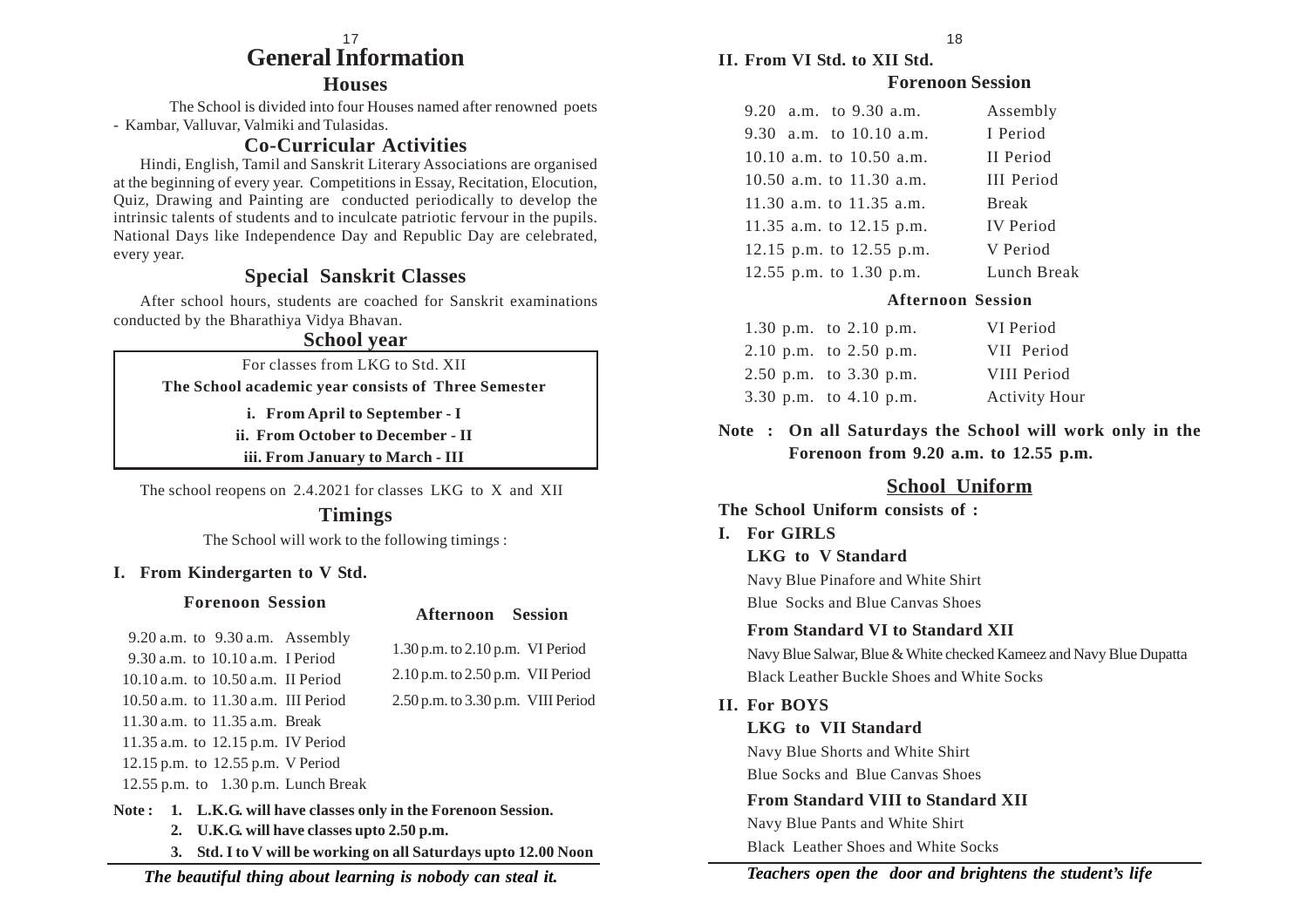#### **General Information** 17

#### **Houses**

The School is divided into four Houses named after renowned poets - Kambar, Valluvar, Valmiki and Tulasidas.

#### **Co-Curricular Activities**

Hindi, English, Tamil and Sanskrit Literary Associations are organised at the beginning of every year. Competitions in Essay, Recitation, Elocution, Quiz, Drawing and Painting are conducted periodically to develop the intrinsic talents of students and to inculcate patriotic fervour in the pupils. National Days like Independence Day and Republic Day are celebrated, every year.

### **Special Sanskrit Classes**

After school hours, students are coached for Sanskrit examinations conducted by the Bharathiya Vidya Bhavan.

#### **School year**

For classes from LKG to Std. XII **The School academic year consists of Three Semester**

**i. From April to September - I**

**ii. From October to December - II**

**iii. From January to March - III**

The school reopens on 2.4.2021 for classes LKG to X and XII

#### **Timings**

The School will work to the following timings :

#### **I. From Kindergarten to V Std.**

#### **Forenoon Session**

#### **Afternoon Session**

 9.20 a.m. to 9.30 a.m. Assembly 9.30 a.m. to 10.10 a.m. I Period 10.10 a.m. to 10.50 a.m. II Period 10.50 a.m. to 11.30 a.m. III Period 11.30 a.m. to 11.35 a.m. Break 11.35 a.m. to 12.15 p.m. IV Period 12.15 p.m. to 12.55 p.m. V Period 12.55 p.m. to 1.30 p.m. Lunch Break

1.30 p.m. to 2.10 p.m. VI Period 2.10 p.m. to 2.50 p.m. VII Period

#### 2.50 p.m. to 3.30 p.m. VIII Period

**Note : 1. L.K.G. will have classes only in the Forenoon Session.**

- **2. U.K.G. will have classes upto 2.50 p.m.**
- **3. Std. I to V will be working on all Saturdays upto 12.00 Noon**

**II. From VI Std. to XII Std.**

#### **Forenoon Session**

| 9.20 a.m. to 9.30 a.m.     | Assembly          |
|----------------------------|-------------------|
| 9.30 a.m. to $10.10$ a.m.  | I Period          |
| 10.10 a.m. to $10.50$ a.m. | II Period         |
| 10.50 a.m. to $11.30$ a.m. | <b>III</b> Period |
| 11.30 a.m. to $11.35$ a.m. | <b>Break</b>      |
| 11.35 a.m. to 12.15 p.m.   | <b>IV</b> Period  |
| 12.15 p.m. to 12.55 p.m.   | V Period          |
| 12.55 p.m. to $1.30$ p.m.  | Lunch Break       |

#### **Afternoon Session**

| 1.30 p.m. to $2.10$ p.m.   | VI Period            |
|----------------------------|----------------------|
| 2.10 p.m. to $2.50$ p.m.   | VII Period           |
| $2.50$ p.m. to $3.30$ p.m. | VIII Period          |
| 3.30 p.m. to 4.10 p.m.     | <b>Activity Hour</b> |

**Note : On all Saturdays the School will work only in the Forenoon from 9.20 a.m. to 12.55 p.m.**

### **School Uniform**

### **The School Uniform consists of : I. For GIRLS LKG to V Standard** Navy Blue Pinafore and White Shirt Blue Socks and Blue Canvas Shoes **From Standard VI to Standard XII** Navy Blue Salwar, Blue & White checked Kameez and Navy Blue Dupatta Black Leather Buckle Shoes and White Socks **II. For BOYS LKG to VII Standard** Navy Blue Shorts and White Shirt

Blue Socks and Blue Canvas Shoes

**From Standard VIII to Standard XII** Navy Blue Pants and White Shirt Black Leather Shoes and White Socks

*Teachers open the door and brightens the student's life*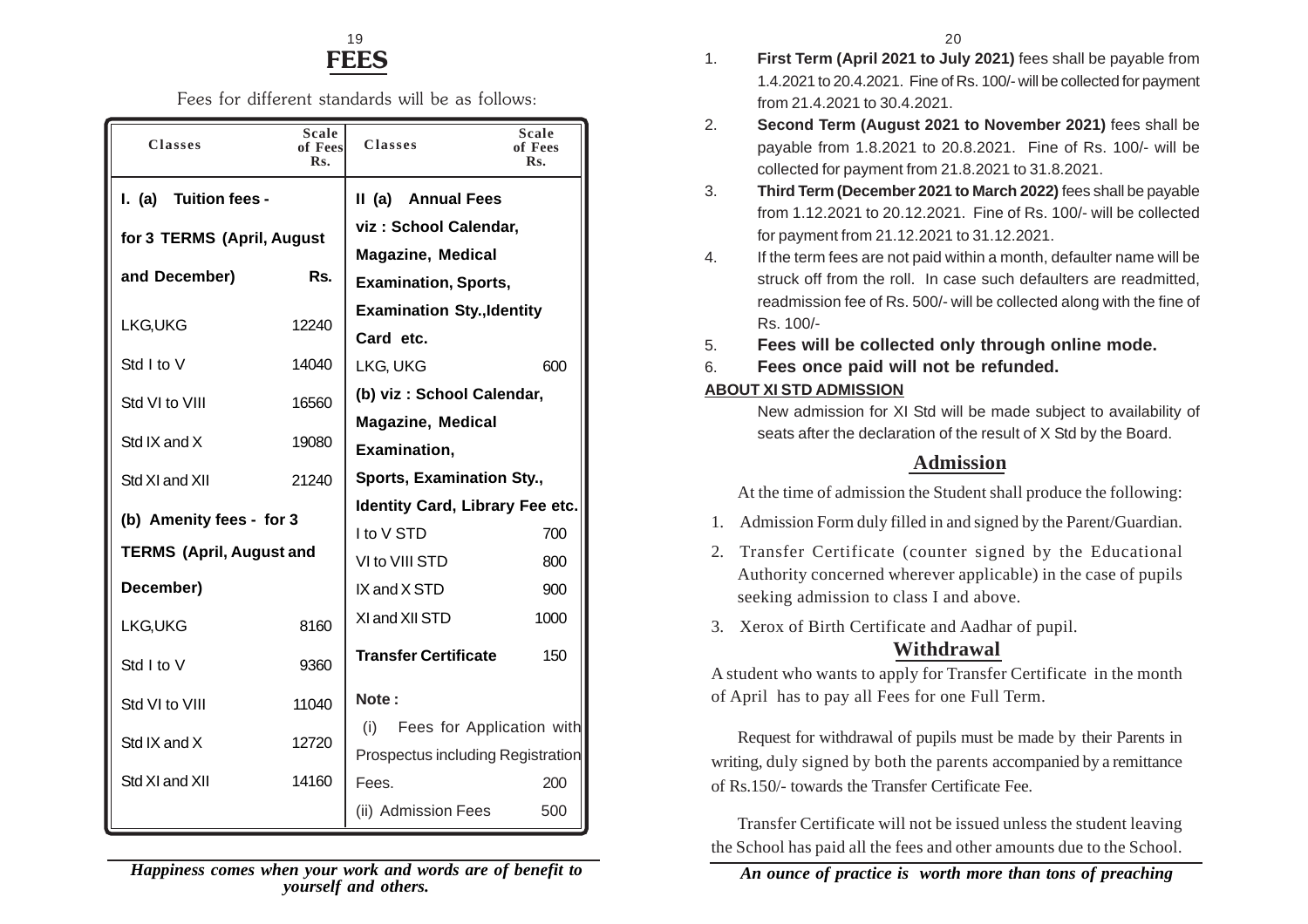### **FEES**  $19$  20

Fees for different standards will be as follows:

| <b>Classes</b>                  | Scale<br>of Fees<br>Rs. | <b>Classes</b>                         | Scale<br>of Fees<br>$\mathbf{R}$ <sub>S</sub> . |
|---------------------------------|-------------------------|----------------------------------------|-------------------------------------------------|
| <b>Tuition fees -</b><br>l. (a) |                         | II (a)<br><b>Annual Fees</b>           |                                                 |
| for 3 TERMS (April, August      |                         | viz: School Calendar,                  |                                                 |
| and December)                   | Rs.                     | <b>Magazine, Medical</b>               |                                                 |
|                                 |                         | <b>Examination, Sports,</b>            |                                                 |
| LKG, UKG                        | 12240                   | <b>Examination Sty., Identity</b>      |                                                 |
|                                 |                         | Card etc.                              |                                                 |
| Std I to V                      | 14040                   | LKG, UKG                               | 600                                             |
| Std VI to VIII                  | 16560                   | (b) viz: School Calendar,              |                                                 |
|                                 |                         | <b>Magazine, Medical</b>               |                                                 |
| Std IX and X                    | 19080                   | Examination,                           |                                                 |
| Std XI and XII                  | 21240                   | Sports, Examination Sty.,              |                                                 |
|                                 |                         | <b>Identity Card, Library Fee etc.</b> |                                                 |
| (b) Amenity fees - for 3        |                         | I to V STD                             | 700                                             |
| <b>TERMS (April, August and</b> |                         | VI to VIII STD                         | 800                                             |
| December)                       |                         | IX and X STD                           | 900                                             |
| LKG, UKG                        | 8160                    | XI and XII STD                         | 1000                                            |
| Std I to V                      | 9360                    | <b>Transfer Certificate</b>            | 150                                             |
| Std VI to VIII                  | 11040                   | Note:                                  |                                                 |
| Std IX and X                    | 12720                   | Fees for Application with<br>(i)       |                                                 |
|                                 |                         | Prospectus including Registration      |                                                 |
| Std XI and XII                  | 14160                   | Fees.                                  | 200                                             |
|                                 |                         | (ii) Admission Fees                    | 500                                             |

- 1. **First Term (April 2021 to July 2021)** fees shall be payable from 1.4.2021 to 20.4.2021. Fine of Rs. 100/- will be collected for payment from 21.4.2021 to 30.4.2021.
- 2. **Second Term (August 2021 to November 2021)** fees shall be payable from 1.8.2021 to 20.8.2021. Fine of Rs. 100/- will be collected for payment from 21.8.2021 to 31.8.2021.
- 3. **Third Term (December 2021 to March 2022)** fees shall be payable from 1.12.2021 to 20.12.2021. Fine of Rs. 100/- will be collected for payment from 21.12.2021 to 31.12.2021.
- 4. If the term fees are not paid within a month, defaulter name will be struck off from the roll. In case such defaulters are readmitted, readmission fee of Rs. 500/- will be collected along with the fine of Rs. 100/-
- 5. **Fees will be collected only through online mode.**
- 6. **Fees once paid will not be refunded.**

#### **ABOUT XI STD ADMISSION**

New admission for XI Std will be made subject to availability of seats after the declaration of the result of X Std by the Board.

### **Admission**

At the time of admission the Student shall produce the following:

- 1. Admission Form duly filled in and signed by the Parent/Guardian.
- 2. Transfer Certificate (counter signed by the Educational Authority concerned wherever applicable) in the case of pupils seeking admission to class I and above.
- 3. Xerox of Birth Certificate and Aadhar of pupil.

### **Withdrawal**

A student who wants to apply for Transfer Certificate in the month of April has to pay all Fees for one Full Term.

Request for withdrawal of pupils must be made by their Parents in writing, duly signed by both the parents accompanied by a remittance of Rs.150/- towards the Transfer Certificate Fee.

Transfer Certificate will not be issued unless the student leaving the School has paid all the fees and other amounts due to the School.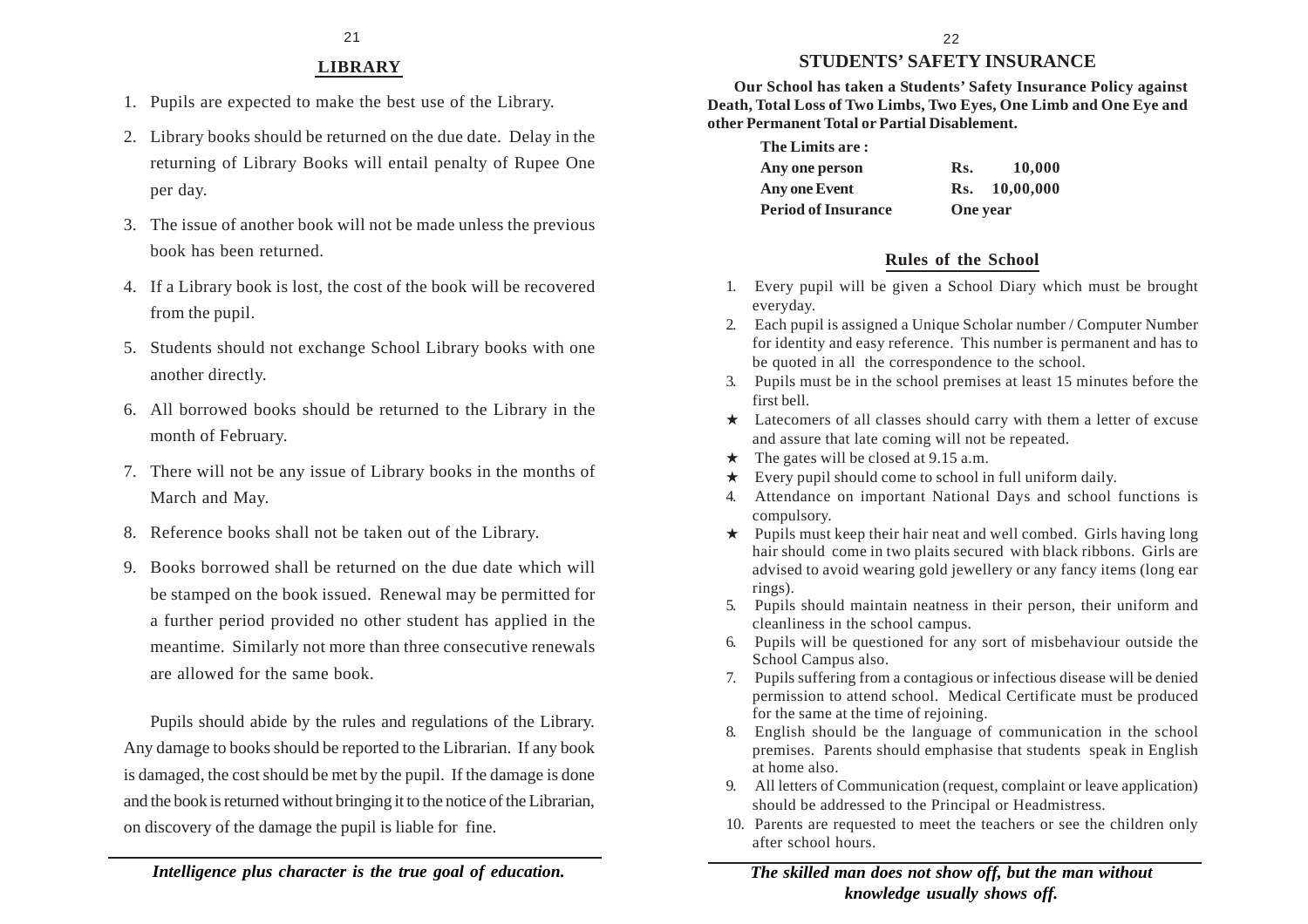### **STUDENTS' SAFETY INSURANCE**

**Our School has taken a Students' Safety Insurance Policy against Death, Total Loss of Two Limbs, Two Eyes, One Limb and One Eye and other Permanent Total or Partial Disablement.**

| The Limits are:            |                 |               |
|----------------------------|-----------------|---------------|
| Any one person             | Rs.             | 10,000        |
| Any one Event              |                 | Rs. 10.00.000 |
| <b>Period of Insurance</b> | <b>One</b> year |               |

### **Rules of the School**

- 1. Every pupil will be given a School Diary which must be brought everyday.
- 2. Each pupil is assigned a Unique Scholar number / Computer Number for identity and easy reference. This number is permanent and has to be quoted in all the correspondence to the school.
- 3. Pupils must be in the school premises at least 15 minutes before the first bell.
- $\star$  Latecomers of all classes should carry with them a letter of excuse and assure that late coming will not be repeated.
- $\star$  The gates will be closed at 9.15 a.m.
- $\star$  Every pupil should come to school in full uniform daily.
- 4. Attendance on important National Days and school functions is compulsory.
- $\star$  Pupils must keep their hair neat and well combed. Girls having long hair should come in two plaits secured with black ribbons. Girls are advised to avoid wearing gold jewellery or any fancy items (long ear rings).
- 5. Pupils should maintain neatness in their person, their uniform and cleanliness in the school campus.
- 6. Pupils will be questioned for any sort of misbehaviour outside the School Campus also.
- 7. Pupils suffering from a contagious or infectious disease will be denied permission to attend school. Medical Certificate must be produced for the same at the time of rejoining.
- 8. English should be the language of communication in the school premises. Parents should emphasise that students speak in English at home also.
- 9. All letters of Communication (request, complaint or leave application) should be addressed to the Principal or Headmistress.
- 10. Parents are requested to meet the teachers or see the children only after school hours.

### **LIBRARY**

- 1. Pupils are expected to make the best use of the Library.
- 2. Library books should be returned on the due date. Delay in the returning of Library Books will entail penalty of Rupee One per day.
- 3. The issue of another book will not be made unless the previous book has been returned.
- 4. If a Library book is lost, the cost of the book will be recovered from the pupil.
- 5. Students should not exchange School Library books with one another directly.
- 6. All borrowed books should be returned to the Library in the month of February.
- 7. There will not be any issue of Library books in the months of March and May.
- 8. Reference books shall not be taken out of the Library.
- 9. Books borrowed shall be returned on the due date which will be stamped on the book issued. Renewal may be permitted for a further period provided no other student has applied in the meantime. Similarly not more than three consecutive renewals are allowed for the same book.

Pupils should abide by the rules and regulations of the Library. Any damage to books should be reported to the Librarian. If any book is damaged, the cost should be met by the pupil. If the damage is done and the book is returned without bringing it to the notice of the Librarian, on discovery of the damage the pupil is liable for fine.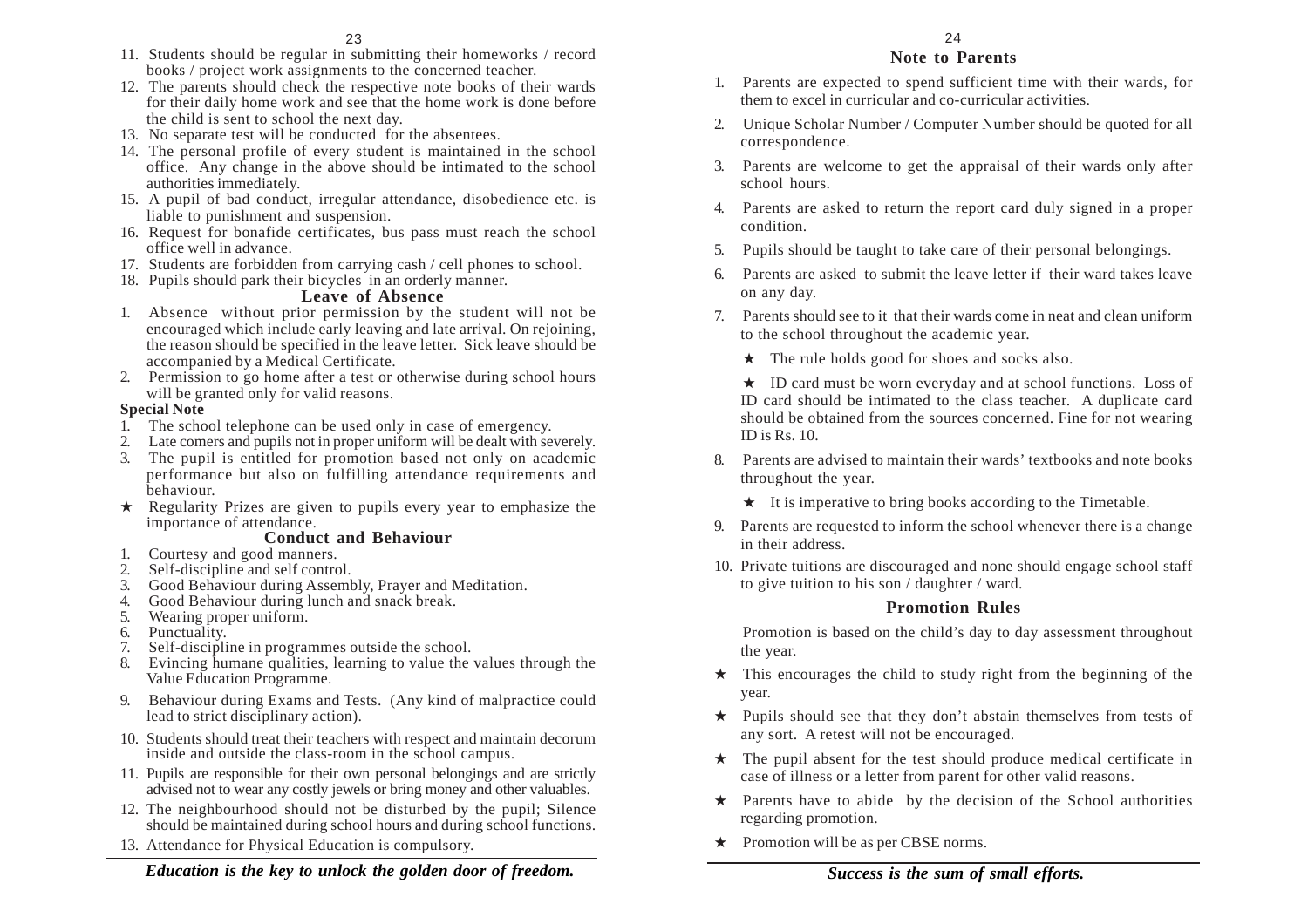- 11. Students should be regular in submitting their homeworks / record books / project work assignments to the concerned teacher.
- 12. The parents should check the respective note books of their wards for their daily home work and see that the home work is done before the child is sent to school the next day.
- 13. No separate test will be conducted for the absentees.
- 14. The personal profile of every student is maintained in the school office. Any change in the above should be intimated to the school authorities immediately.
- 15. A pupil of bad conduct, irregular attendance, disobedience etc. is liable to punishment and suspension.
- 16. Request for bonafide certificates, bus pass must reach the school office well in advance.
- 17. Students are forbidden from carrying cash / cell phones to school.
- 18. Pupils should park their bicycles in an orderly manner.

#### **Leave of Absence**

- 1. Absence without prior permission by the student will not be encouraged which include early leaving and late arrival. On rejoining, the reason should be specified in the leave letter. Sick leave should be accompanied by a Medical Certificate.
- 2. Permission to go home after a test or otherwise during school hours will be granted only for valid reasons.

#### **Special Note**

- 1. The school telephone can be used only in case of emergency.
- 2. Late comers and pupils not in proper uniform will be dealt with severely.
- 3. The pupil is entitled for promotion based not only on academic performance but also on fulfilling attendance requirements and behaviour.
- $\star$  Regularity Prizes are given to pupils every year to emphasize the importance of attendance.

#### **Conduct and Behaviour**

- 1. Courtesy and good manners.
- 2. Self-discipline and self control.
- 3. Good Behaviour during Assembly, Prayer and Meditation.
- 4. Good Behaviour during lunch and snack break.
- 5. Wearing proper uniform.
- 6. Punctuality.
- 7. Self-discipline in programmes outside the school.
- 8. Evincing humane qualities, learning to value the values through the Value Education Programme.
- 9. Behaviour during Exams and Tests. (Any kind of malpractice could lead to strict disciplinary action).
- 10. Students should treat their teachers with respect and maintain decorum inside and outside the class-room in the school campus.
- 11. Pupils are responsible for their own personal belongings and are strictly advised not to wear any costly jewels or bring money and other valuables.
- 12. The neighbourhood should not be disturbed by the pupil; Silence should be maintained during school hours and during school functions.
- 13. Attendance for Physical Education is compulsory.

#### **Note to Parents**

- 1. Parents are expected to spend sufficient time with their wards, for them to excel in curricular and co-curricular activities.
- 2. Unique Scholar Number / Computer Number should be quoted for all correspondence.
- 3. Parents are welcome to get the appraisal of their wards only after school hours.
- 4. Parents are asked to return the report card duly signed in a proper condition.
- 5. Pupils should be taught to take care of their personal belongings.
- 6. Parents are asked to submit the leave letter if their ward takes leave on any day.
- 7. Parents should see to it that their wards come in neat and clean uniform to the school throughout the academic year.
	- $\star$  The rule holds good for shoes and socks also.

 $\star$  ID card must be worn everyday and at school functions. Loss of ID card should be intimated to the class teacher. A duplicate card should be obtained from the sources concerned. Fine for not wearing ID is Rs. 10.

- 8. Parents are advised to maintain their wards' textbooks and note books throughout the year.
	- $\star$  It is imperative to bring books according to the Timetable.
- 9. Parents are requested to inform the school whenever there is a change in their address.
- 10. Private tuitions are discouraged and none should engage school staff to give tuition to his son / daughter / ward.

#### **Promotion Rules**

Promotion is based on the child's day to day assessment throughout the year.

- $\star$  This encourages the child to study right from the beginning of the year.
- $\star$  Pupils should see that they don't abstain themselves from tests of any sort. A retest will not be encouraged.
- $\star$  The pupil absent for the test should produce medical certificate in case of illness or a letter from parent for other valid reasons.
- $\star$  Parents have to abide by the decision of the School authorities regarding promotion.
- \* Promotion will be as per CBSE norms.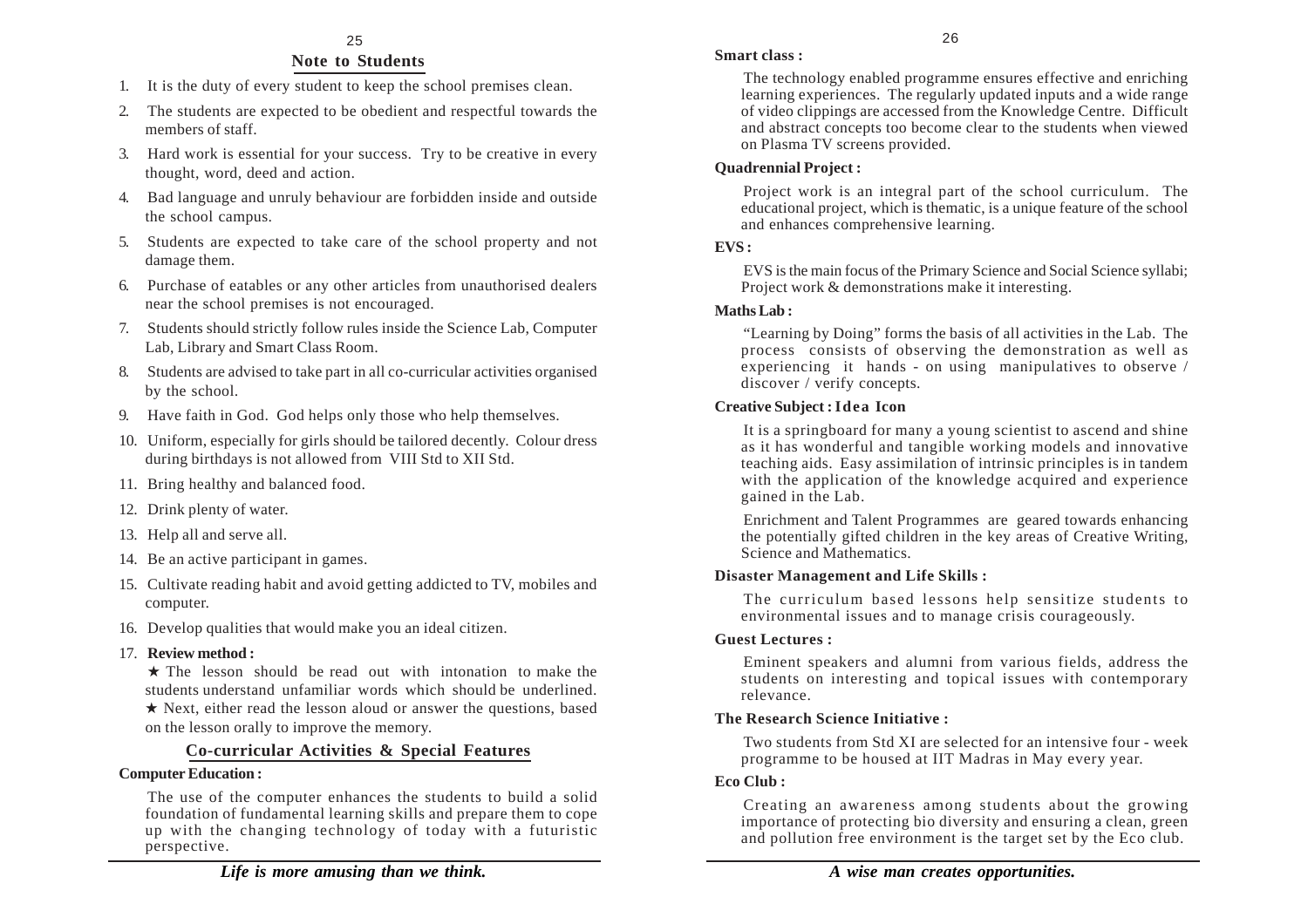#### **Note to Students**

- 1. It is the duty of every student to keep the school premises clean.
- 2. The students are expected to be obedient and respectful towards the members of staff.
- 3. Hard work is essential for your success. Try to be creative in every thought, word, deed and action.
- 4. Bad language and unruly behaviour are forbidden inside and outside the school campus.
- 5. Students are expected to take care of the school property and not damage them.
- 6. Purchase of eatables or any other articles from unauthorised dealers near the school premises is not encouraged.
- 7. Students should strictly follow rules inside the Science Lab, Computer Lab, Library and Smart Class Room.
- 8. Students are advised to take part in all co-curricular activities organised by the school.
- 9. Have faith in God. God helps only those who help themselves.
- 10. Uniform, especially for girls should be tailored decently. Colour dress during birthdays is not allowed from VIII Std to XII Std.
- 11. Bring healthy and balanced food.
- 12. Drink plenty of water.
- 13. Help all and serve all.
- 14. Be an active participant in games.
- 15. Cultivate reading habit and avoid getting addicted to TV, mobiles and computer.
- 16. Develop qualities that would make you an ideal citizen.
- 17. **Review method :**

 $\star$  The lesson should be read out with intonation to make the students understand unfamiliar words which should be underlined. \* Next, either read the lesson aloud or answer the questions, based on the lesson orally to improve the memory.

### **Co-curricular Activities & Special Features**

#### **Computer Education :**

The use of the computer enhances the students to build a solid foundation of fundamental learning skills and prepare them to cope up with the changing technology of today with a futuristic perspective.

The technology enabled programme ensures effective and enriching learning experiences. The regularly updated inputs and a wide range of video clippings are accessed from the Knowledge Centre. Difficult and abstract concepts too become clear to the students when viewed on Plasma TV screens provided.

### **Quadrennial Project :**

Project work is an integral part of the school curriculum. The educational project, which is thematic, is a unique feature of the school and enhances comprehensive learning.

#### **EVS :**

EVS is the main focus of the Primary Science and Social Science syllabi; Project work & demonstrations make it interesting.

#### **Maths Lab :**

"Learning by Doing" forms the basis of all activities in the Lab. The process consists of observing the demonstration as well as experiencing it hands - on using manipulatives to observe / discover / verify concepts.

#### **Creative Subject : Idea Icon**

It is a springboard for many a young scientist to ascend and shine as it has wonderful and tangible working models and innovative teaching aids. Easy assimilation of intrinsic principles is in tandem with the application of the knowledge acquired and experience gained in the Lab.

Enrichment and Talent Programmes are geared towards enhancing the potentially gifted children in the key areas of Creative Writing, Science and Mathematics.

#### **Disaster Management and Life Skills :**

The curriculum based lessons help sensitize students to environmental issues and to manage crisis courageously.

#### **Guest Lectures :**

Eminent speakers and alumni from various fields, address the students on interesting and topical issues with contemporary relevance.

#### **The Research Science Initiative :**

Two students from Std XI are selected for an intensive four - week programme to be housed at IIT Madras in May every year.

#### **Eco Club :**

Creating an awareness among students about the growing importance of protecting bio diversity and ensuring a clean, green and pollution free environment is the target set by the Eco club.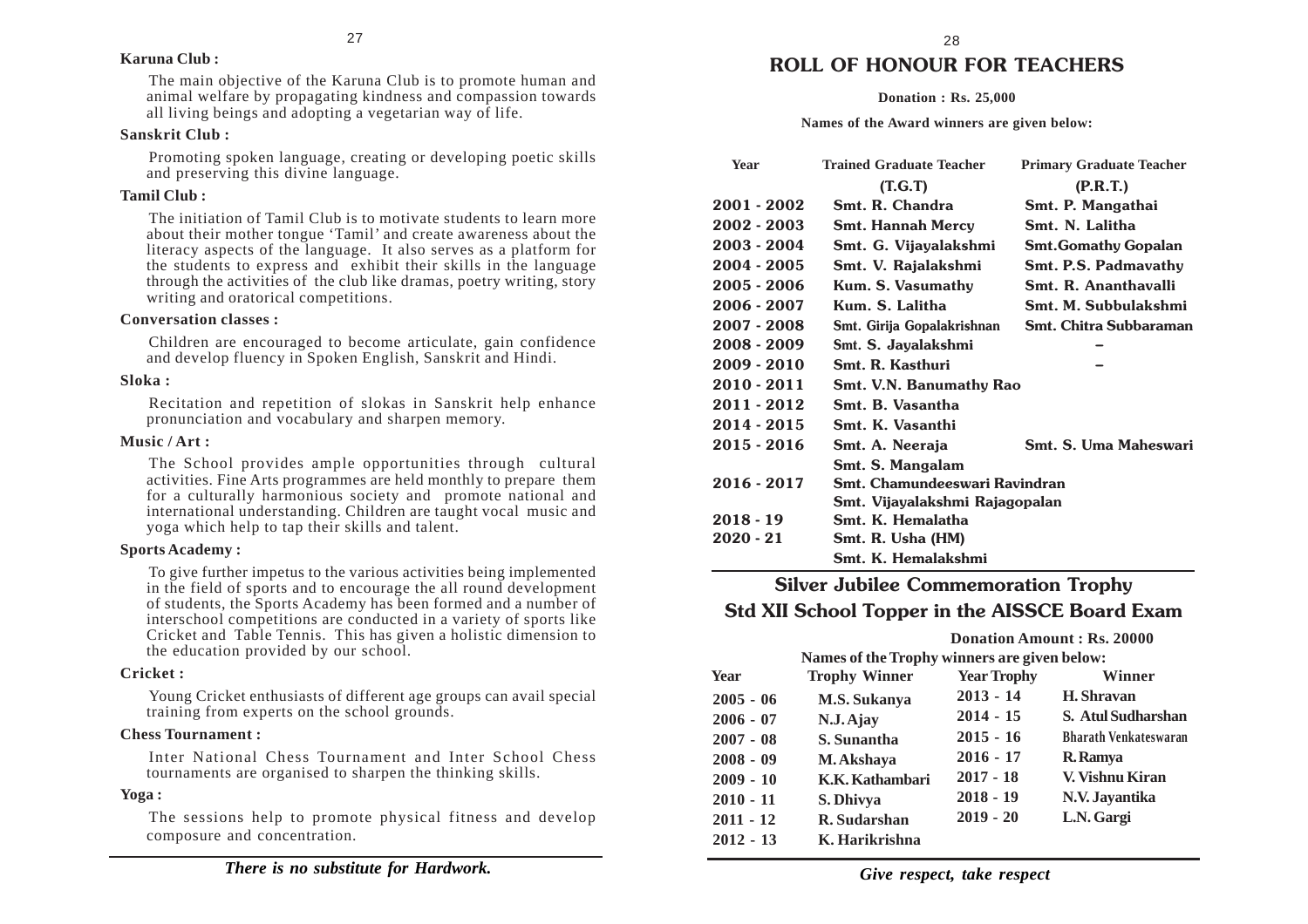#### **Karuna Club :**

The main objective of the Karuna Club is to promote human and animal welfare by propagating kindness and compassion towards all living beings and adopting a vegetarian way of life.

#### **Sanskrit Club :**

Promoting spoken language, creating or developing poetic skills and preserving this divine language.

#### **Tamil Club :**

The initiation of Tamil Club is to motivate students to learn more about their mother tongue 'Tamil' and create awareness about the literacy aspects of the language. It also serves as a platform for the students to express and exhibit their skills in the language through the activities of the club like dramas, poetry writing, story writing and oratorical competitions.

#### **Conversation classes :**

Children are encouraged to become articulate, gain confidence and develop fluency in Spoken English, Sanskrit and Hindi.

#### **Sloka :**

Recitation and repetition of slokas in Sanskrit help enhance pronunciation and vocabulary and sharpen memory.

#### **Music / Art :**

The School provides ample opportunities through cultural activities. Fine Arts programmes are held monthly to prepare them for a culturally harmonious society and promote national and international understanding. Children are taught vocal music and yoga which help to tap their skills and talent.

#### **Sports Academy :**

To give further impetus to the various activities being implemented in the field of sports and to encourage the all round development of students, the Sports Academy has been formed and a number of interschool competitions are conducted in a variety of sports like Cricket and Table Tennis. This has given a holistic dimension to the education provided by our school.

#### **Cricket :**

Young Cricket enthusiasts of different age groups can avail special training from experts on the school grounds.

#### **Chess Tournament :**

Inter National Chess Tournament and Inter School Chess tournaments are organised to sharpen the thinking skills.

#### **Yoga :**

The sessions help to promote physical fitness and develop composure and concentration.

### **ROLL OF HONOUR FOR TEACHERS**

#### **Donation : Rs. 25,000**

#### **Names of the Award winners are given below:**

| <b>Year</b> | <b>Trained Graduate Teacher</b> | <b>Primary Graduate Teacher</b> |  |
|-------------|---------------------------------|---------------------------------|--|
|             | (T.G.T)                         | (P.R.T.)                        |  |
| 2001 - 2002 | Smt. R. Chandra                 | Smt. P. Mangathai               |  |
| 2002 - 2003 | <b>Smt. Hannah Mercy</b>        | Smt. N. Lalitha                 |  |
| 2003 - 2004 | Smt. G. Vijayalakshmi           | <b>Smt.Gomathy Gopalan</b>      |  |
| 2004 - 2005 | Smt. V. Rajalakshmi             | <b>Smt. P.S. Padmavathy</b>     |  |
| 2005 - 2006 | Kum. S. Vasumathy               | Smt. R. Ananthavalli            |  |
| 2006 - 2007 | Kum. S. Lalitha                 | Smt. M. Subbulakshmi            |  |
| 2007 - 2008 | Smt. Girija Gopalakrishnan      | Smt. Chitra Subbaraman          |  |
| 2008 - 2009 | Smt. S. Jayalakshmi             |                                 |  |
| 2009 - 2010 | Smt. R. Kasthuri                |                                 |  |
| 2010 - 2011 | Smt. V.N. Banumathy Rao         |                                 |  |
| 2011 - 2012 | Smt. B. Vasantha                |                                 |  |
| 2014 - 2015 | Smt. K. Vasanthi                |                                 |  |
| 2015 - 2016 | Smt. A. Neeraja                 | Smt. S. Uma Maheswari           |  |
|             | Smt. S. Mangalam                |                                 |  |
| 2016 - 2017 | Smt. Chamundeeswari Ravindran   |                                 |  |
|             | Smt. Vijayalakshmi Rajagopalan  |                                 |  |
| $2018 - 19$ | Smt. K. Hemalatha               |                                 |  |
| $2020 - 21$ | Smt. R. Usha (HM)               |                                 |  |
|             | Smt. K. Hemalakshmi             |                                 |  |

### **Silver Jubilee Commemoration Trophy Std XII School Topper in the AISSCE Board Exam**

|             |                      | Donation Amount: Rs. 20000                   |                              |  |
|-------------|----------------------|----------------------------------------------|------------------------------|--|
|             |                      | Names of the Trophy winners are given below: |                              |  |
| <b>Year</b> | <b>Trophy Winner</b> | <b>Year Trophy</b>                           | Winner                       |  |
| $2005 - 06$ | <b>M.S. Sukanya</b>  | $2013 - 14$                                  | H. Shravan                   |  |
| $2006 - 07$ | N.J. Ajay            | $2014 - 15$                                  | <b>S. Atul Sudharshan</b>    |  |
| $2007 - 08$ | S. Sunantha          | $2015 - 16$                                  | <b>Bharath Venkateswaran</b> |  |
| $2008 - 09$ | M. Akshava           | $2016 - 17$                                  | <b>R.</b> Ramya              |  |
| $2009 - 10$ | K.K. Kathambari      | $2017 - 18$                                  | V. Vishnu Kiran              |  |
| $2010 - 11$ | S. Dhivya            | $2018 - 19$                                  | N.V. Jayantika               |  |
| $2011 - 12$ | R. Sudarshan         | $2019 - 20$                                  | L.N. Gargi                   |  |
| $2012 - 13$ | K. Harikrishna       |                                              |                              |  |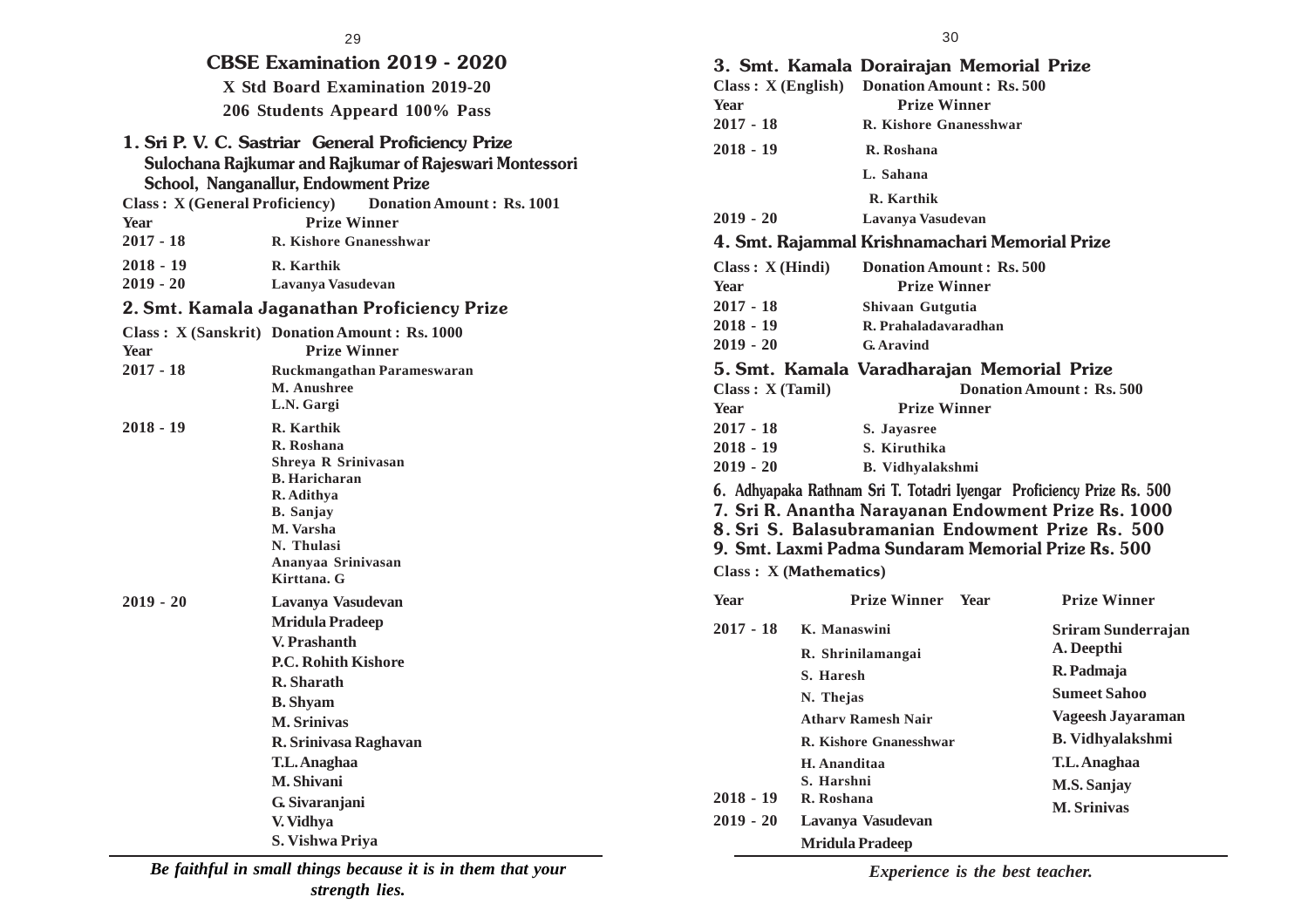| <b>CBSE Examination 2019 - 2020</b> |                                                                                                                                                       |  |  |  |  |
|-------------------------------------|-------------------------------------------------------------------------------------------------------------------------------------------------------|--|--|--|--|
|                                     | X Std Board Examination 2019-20                                                                                                                       |  |  |  |  |
|                                     | 206 Students Appeard 100% Pass                                                                                                                        |  |  |  |  |
|                                     | 1. Sri P. V. C. Sastriar General Proficiency Prize<br>Sulochana Rajkumar and Rajkumar of Rajeswari Montessori<br>School, Nanganallur, Endowment Prize |  |  |  |  |
|                                     | <b>Class: X (General Proficiency)</b> Donation Amount: Rs. 1001                                                                                       |  |  |  |  |
| Year                                | <b>Prize Winner</b>                                                                                                                                   |  |  |  |  |
| $2017 - 18$                         | <b>R. Kishore Gnanesshwar</b>                                                                                                                         |  |  |  |  |
| $2018 - 19$                         | R. Karthik                                                                                                                                            |  |  |  |  |
| $2019 - 20$                         | Lavanya Vasudevan                                                                                                                                     |  |  |  |  |
|                                     | 2. Smt. Kamala Jaganathan Proficiency Prize                                                                                                           |  |  |  |  |
|                                     | Class: X (Sanskrit) Donation Amount: Rs. 1000                                                                                                         |  |  |  |  |
| <b>Year</b>                         | <b>Prize Winner</b>                                                                                                                                   |  |  |  |  |
| $2017 - 18$                         | Ruckmangathan Parameswaran                                                                                                                            |  |  |  |  |
|                                     | M. Anushree                                                                                                                                           |  |  |  |  |
|                                     | L.N. Gargi                                                                                                                                            |  |  |  |  |
| $2018 - 19$                         | R. Karthik                                                                                                                                            |  |  |  |  |
|                                     | R. Roshana<br>Shreva R Srinivasan                                                                                                                     |  |  |  |  |
|                                     | <b>B.</b> Haricharan                                                                                                                                  |  |  |  |  |
|                                     | R. Adithya                                                                                                                                            |  |  |  |  |
|                                     | <b>B.</b> Sanjay                                                                                                                                      |  |  |  |  |
|                                     | M. Varsha                                                                                                                                             |  |  |  |  |
|                                     | N. Thulasi                                                                                                                                            |  |  |  |  |
|                                     | Ananyaa Srinivasan<br>Kirttana. G                                                                                                                     |  |  |  |  |
| $2019 - 20$                         | Lavanya Vasudevan                                                                                                                                     |  |  |  |  |
|                                     | <b>Mridula Pradeep</b>                                                                                                                                |  |  |  |  |
|                                     | V. Prashanth                                                                                                                                          |  |  |  |  |
|                                     | <b>P.C. Rohith Kishore</b>                                                                                                                            |  |  |  |  |
|                                     | R. Sharath                                                                                                                                            |  |  |  |  |
|                                     | <b>B.</b> Shyam                                                                                                                                       |  |  |  |  |
|                                     | <b>M. Srinivas</b>                                                                                                                                    |  |  |  |  |
|                                     | R. Srinivasa Raghavan                                                                                                                                 |  |  |  |  |
|                                     | T.L. Anaghaa                                                                                                                                          |  |  |  |  |
|                                     | M. Shivani                                                                                                                                            |  |  |  |  |
|                                     | G. Sivaranjani                                                                                                                                        |  |  |  |  |
|                                     | V. Vidhya                                                                                                                                             |  |  |  |  |
| S. Vishwa Priva                     |                                                                                                                                                       |  |  |  |  |

30

|                        |                        | 3. Smt. Kamala Dorairajan Memorial Prize<br>Class: X (English) Donation Amount: Rs. 500 |             |                                                                                                                                                                                                                                           |
|------------------------|------------------------|-----------------------------------------------------------------------------------------|-------------|-------------------------------------------------------------------------------------------------------------------------------------------------------------------------------------------------------------------------------------------|
| <b>Year</b>            |                        | <b>Prize Winner</b>                                                                     |             |                                                                                                                                                                                                                                           |
| $2017 - 18$            |                        | R. Kishore Gnanesshwar                                                                  |             |                                                                                                                                                                                                                                           |
| $2018 - 19$            |                        | R. Roshana                                                                              |             |                                                                                                                                                                                                                                           |
|                        |                        | L. Sahana                                                                               |             |                                                                                                                                                                                                                                           |
|                        |                        | R. Karthik                                                                              |             |                                                                                                                                                                                                                                           |
| $2019 - 20$            |                        | Lavanya Vasudevan                                                                       |             |                                                                                                                                                                                                                                           |
|                        |                        | 4. Smt. Rajammal Krishnamachari Memorial Prize                                          |             |                                                                                                                                                                                                                                           |
| Class: X (Hindi)       |                        | <b>Donation Amount: Rs. 500</b>                                                         |             |                                                                                                                                                                                                                                           |
| <b>Year</b>            |                        | <b>Prize Winner</b>                                                                     |             |                                                                                                                                                                                                                                           |
| $2017 - 18$            |                        | Shivaan Gutgutia                                                                        |             |                                                                                                                                                                                                                                           |
| $2018 - 19$            |                        | R. Prahaladavaradhan                                                                    |             |                                                                                                                                                                                                                                           |
| $2019 - 20$            |                        | G. Aravind                                                                              |             |                                                                                                                                                                                                                                           |
|                        |                        | 5. Smt. Kamala Varadharajan Memorial Prize                                              |             |                                                                                                                                                                                                                                           |
| Class: X (Tamil)       |                        |                                                                                         |             | Donation Amount: Rs. 500                                                                                                                                                                                                                  |
| <b>Year</b>            |                        | <b>Prize Winner</b>                                                                     |             |                                                                                                                                                                                                                                           |
| $2017 - 18$            |                        | S. Jayasree                                                                             |             |                                                                                                                                                                                                                                           |
| $2018 - 19$            |                        | S. Kiruthika                                                                            |             |                                                                                                                                                                                                                                           |
| $2019 - 20$            |                        | <b>B.</b> Vidhyalakshmi                                                                 |             |                                                                                                                                                                                                                                           |
|                        |                        |                                                                                         |             | 6. Adhyapaka Rathnam Sri T. Totadri Iyengar Proficiency Prize Rs. 500<br>7. Sri R. Anantha Narayanan Endowment Prize Rs. 1000<br>8. Sri S. Balasubramanian Endowment Prize Rs. 500<br>9. Smt. Laxmi Padma Sundaram Memorial Prize Rs. 500 |
| Class: X (Mathematics) |                        |                                                                                         |             |                                                                                                                                                                                                                                           |
| <b>Year</b>            |                        | <b>Prize Winner</b>                                                                     | <b>Year</b> | <b>Prize Winner</b>                                                                                                                                                                                                                       |
| $2017 - 18$            | K. Manaswini           |                                                                                         |             | Sriram Sunderrajan<br>A. Deepthi                                                                                                                                                                                                          |
|                        | S. Haresh              | R. Shrinilamangai                                                                       |             | R. Padmaja                                                                                                                                                                                                                                |
|                        | N. Thejas              |                                                                                         |             | <b>Sumeet Sahoo</b>                                                                                                                                                                                                                       |
|                        |                        | <b>Athary Ramesh Nair</b>                                                               |             | Vageesh Jayaraman                                                                                                                                                                                                                         |
|                        |                        | R. Kishore Gnanesshwar                                                                  |             | <b>B.</b> Vidhyalakshmi                                                                                                                                                                                                                   |
|                        | H. Ananditaa           |                                                                                         |             | T.L. Anaghaa                                                                                                                                                                                                                              |
|                        | S. Harshni             |                                                                                         |             |                                                                                                                                                                                                                                           |
| $2018 - 19$            | R. Roshana             |                                                                                         |             | M.S. Sanjay                                                                                                                                                                                                                               |
| $2019 - 20$            |                        | Lavanya Vasudevan                                                                       |             | <b>M. Srinivas</b>                                                                                                                                                                                                                        |
|                        | <b>Mridula Pradeep</b> |                                                                                         |             |                                                                                                                                                                                                                                           |

*Be faithful in small things because it is in them that your strength lies.*

*Experience is the best teacher.*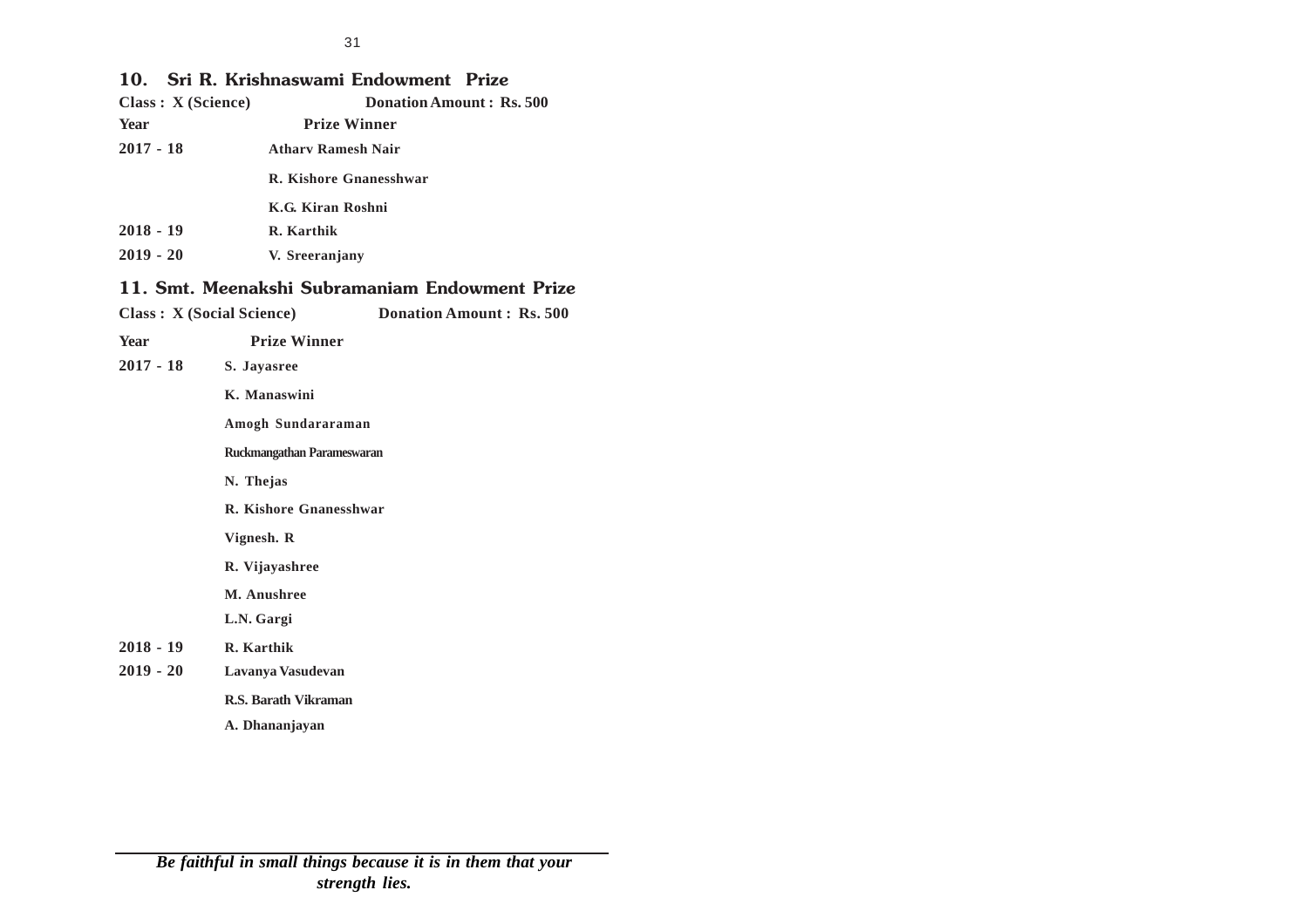### **10. Sri R. Krishnaswami Endowment Prize**

| 1V.<br>Class: X (Science) |                                   | <b>311 R. Krishnaswann Liluowinent Frize</b><br><b>Donation Amount: Rs. 500</b> |  |  |
|---------------------------|-----------------------------------|---------------------------------------------------------------------------------|--|--|
| Year                      |                                   | <b>Prize Winner</b>                                                             |  |  |
| 2017 - 18                 | <b>Athary Ramesh Nair</b>         |                                                                                 |  |  |
|                           |                                   | R. Kishore Gnanesshwar                                                          |  |  |
|                           | K.G. Kiran Roshni                 |                                                                                 |  |  |
| 2018 - 19                 | R. Karthik                        |                                                                                 |  |  |
| 2019 - 20                 | V. Sreeranjany                    |                                                                                 |  |  |
|                           |                                   | 11. Smt. Meenakshi Subramaniam Endowment Prize                                  |  |  |
|                           | <b>Class : X (Social Science)</b> | <b>Donation Amount: Rs. 500</b>                                                 |  |  |
| Year                      | <b>Prize Winner</b>               |                                                                                 |  |  |
| 2017 - 18                 | S. Javasree                       |                                                                                 |  |  |
|                           | K. Manaswini                      |                                                                                 |  |  |
|                           | Amogh Sundararaman                |                                                                                 |  |  |
|                           | Ruckmangathan Parameswaran        |                                                                                 |  |  |
|                           | N. Thejas                         |                                                                                 |  |  |
|                           | R. Kishore Gnanesshwar            |                                                                                 |  |  |
|                           | Vignesh. R                        |                                                                                 |  |  |
|                           | R. Vijayashree                    |                                                                                 |  |  |
|                           | M. Anushree                       |                                                                                 |  |  |
|                           | L.N. Gargi                        |                                                                                 |  |  |
| 2018 - 19                 | R. Karthik                        |                                                                                 |  |  |
|                           |                                   |                                                                                 |  |  |

**2019 - 20 Lavanya Vasudevan**

**R.S. Barath Vikraman**

**A. Dhananjayan**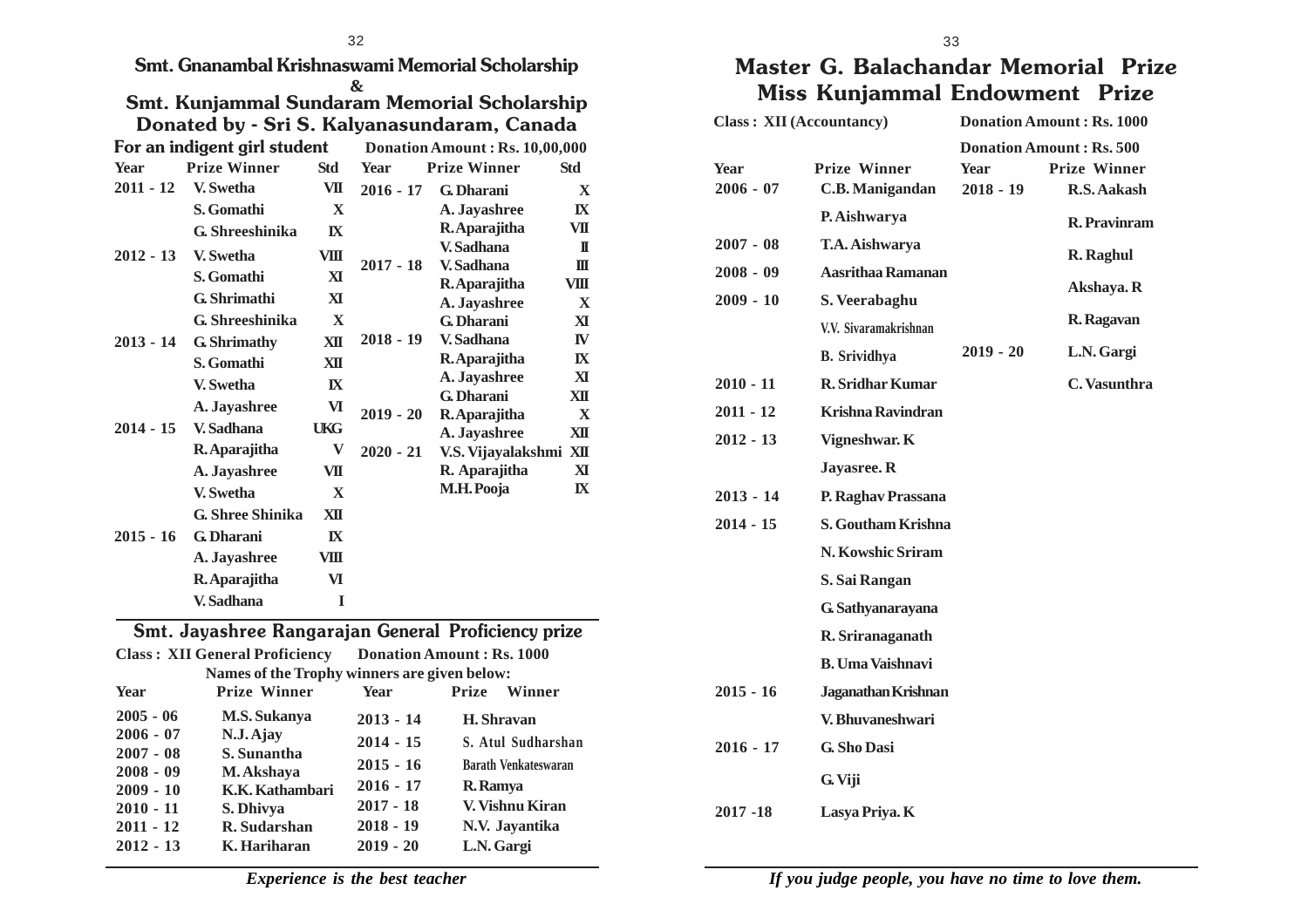**Smt. Gnanambal Krishnaswami Memorial Scholarship**

|             | &<br><b>Smt. Kunjammal Sundaram Memorial Scholarship</b><br>Donated by - Sri S. Kalyanasundaram, Canada |              |             |                                |                         |  |
|-------------|---------------------------------------------------------------------------------------------------------|--------------|-------------|--------------------------------|-------------------------|--|
|             | For an indigent girl student                                                                            |              |             | Donation Amount: Rs. 10,00,000 |                         |  |
| <b>Year</b> | <b>Prize Winner</b>                                                                                     | Std          | <b>Year</b> | <b>Prize Winner</b>            | <b>Std</b>              |  |
| $2011 - 12$ | V. Swetha                                                                                               | VII          | $2016 - 17$ | <b>G.</b> Dharani              | $\mathbf X$             |  |
|             | S. Gomathi                                                                                              | X            |             | A. Jayashree                   | $\mathbf{K}$            |  |
|             | G. Shreeshinika                                                                                         | IX           |             | R. Aparajitha                  | VП                      |  |
| $2012 - 13$ | V. Swetha                                                                                               | VIII         |             | V. Sadhana                     | П                       |  |
|             | S. Gomathi                                                                                              | XI           | $2017 - 18$ | V. Sadhana                     | Ш                       |  |
|             | G. Shrimathi                                                                                            | XT           |             | R. Aparajitha                  | VШ                      |  |
|             |                                                                                                         |              |             | A. Javashree                   | $\mathbf{x}$            |  |
|             | G. Shreeshinika                                                                                         | $\mathbf{x}$ |             | G. Dharani                     | $\overline{\mathbf{X}}$ |  |
| $2013 - 14$ | <b>G.</b> Shrimathy                                                                                     | XII          | $2018 - 19$ | V. Sadhana                     | IV                      |  |
|             | S. Gomathi                                                                                              | XII          |             | R. Aparajitha                  | $\mathbf{I}$            |  |
|             | V. Swetha                                                                                               | $\mathbf{I}$ |             | A. Jayashree                   | XI                      |  |
|             | A. Jayashree                                                                                            | VI           | $2019 - 20$ | G. Dharani                     | XII<br>$\mathbf{X}$     |  |
| $2014 - 15$ | V. Sadhana                                                                                              | <b>TKG</b>   |             | R. Aparajitha<br>A. Jayashree  | XII                     |  |
|             | R. Aparajitha                                                                                           | V            | $2020 - 21$ | V.S. Vijayalakshmi XII         |                         |  |
|             | A. Jayashree                                                                                            | VII          |             | R. Aparajitha                  | $\mathbf{X}$            |  |
|             | V. Swetha                                                                                               | $\mathbf{x}$ |             | M.H. Pooja                     | $\mathbf{X}$            |  |
|             | <b>G. Shree Shinika</b>                                                                                 | XII          |             |                                |                         |  |
| $2015 - 16$ | <b>G.</b> Dharani                                                                                       | $\mathbf{I}$ |             |                                |                         |  |
|             | A. Jayashree                                                                                            | VIII         |             |                                |                         |  |
|             | R. Aparajitha                                                                                           | VI           |             |                                |                         |  |
|             | V. Sadhana                                                                                              | I            |             |                                |                         |  |

| Smt. Jayashree Kangarajan General Proficiency prize                |                                              |             |                             |  |  |
|--------------------------------------------------------------------|----------------------------------------------|-------------|-----------------------------|--|--|
| <b>Class: XII General Proficiency</b><br>Donation Amount: Rs. 1000 |                                              |             |                             |  |  |
|                                                                    | Names of the Trophy winners are given below: |             |                             |  |  |
| <b>Year</b>                                                        | <b>Prize Winner</b>                          | <b>Year</b> | <b>Prize</b><br>Winner      |  |  |
| $2005 - 06$                                                        | <b>M.S. Sukanya</b>                          | $2013 - 14$ | H. Shravan                  |  |  |
| $2006 - 07$                                                        | N.J. Ajay                                    | $2014 - 15$ | S. Atul Sudharshan          |  |  |
| $2007 - 08$<br>$2008 - 09$                                         | S. Sunantha<br>M. Akshaya                    | $2015 - 16$ | <b>Barath Venkateswaran</b> |  |  |
| $2009 - 10$                                                        | K.K. Kathambari                              | $2016 - 17$ | R. Ramya                    |  |  |
| $2010 - 11$                                                        | S. Dhivya                                    | $2017 - 18$ | V. Vishnu Kiran             |  |  |
| $2011 - 12$                                                        | R. Sudarshan                                 | $2018 - 19$ | N.V. Jayantika              |  |  |
| $2012 - 13$                                                        | K. Hariharan                                 | $2019 - 20$ | L.N. Gargi                  |  |  |

## **Master G. Balachandar Memorial Prize Miss Kunjammal Endowment Prize**

| <b>Class: XII (Accountancy)</b>           |                                                                      | <b>Donation Amount: Rs. 1000</b> |                                                                       |  |
|-------------------------------------------|----------------------------------------------------------------------|----------------------------------|-----------------------------------------------------------------------|--|
| <b>Year</b><br>$2006 - 07$                | <b>Prize Winner</b><br><b>C.B. Manigandan</b>                        | <b>Year</b><br>$2018 - 19$       | <b>Donation Amount: Rs. 500</b><br><b>Prize Winner</b><br>R.S. Aakash |  |
| $2007 - 08$<br>$2008 - 09$                | P. Aishwarya<br>T.A. Aishwarya<br>Aasrithaa Ramanan                  |                                  | <b>R.</b> Pravinram<br>R. Raghul<br>Akshaya. R                        |  |
| $2009 - 10$                               | S. Veerabaghu<br>V.V. Sivaramakrishnan<br><b>B.</b> Srividhya        | $2019 - 20$                      | R. Ragavan<br>L.N. Gargi                                              |  |
| $2010 - 11$<br>$2011 - 12$<br>$2012 - 13$ | <b>R. Sridhar Kumar</b><br><b>Krishna Ravindran</b><br>Vigneshwar. K |                                  | C. Vasunthra                                                          |  |
| $2013 - 14$<br>$2014 - 15$                | Jayasree. R<br>P. Raghav Prassana<br>S. Goutham Krishna              |                                  |                                                                       |  |
|                                           | N. Kowshic Sriram<br>S. Sai Rangan<br>G. Sathyanarayana              |                                  |                                                                       |  |
|                                           | R. Sriranaganath<br><b>B. Uma Vaishnavi</b>                          |                                  |                                                                       |  |
| $2015 - 16$<br>$2016 - 17$                | Jaganathan Krishnan<br>V. Bhuvaneshwari<br><b>G. Sho Dasi</b>        |                                  |                                                                       |  |
| 2017-18                                   | G. Viji<br>Lasya Priya. K                                            |                                  |                                                                       |  |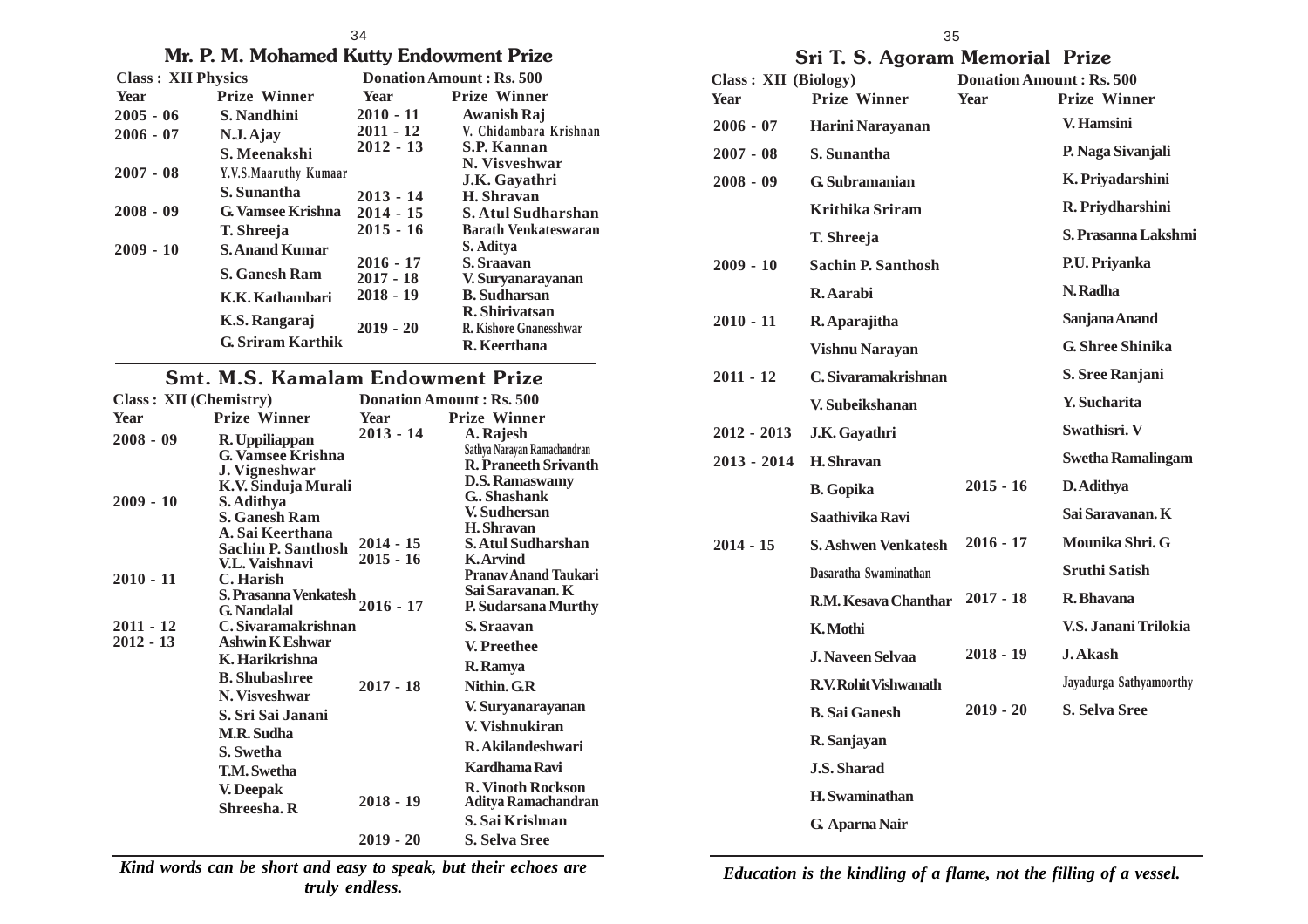#### 34

### **Mr. P. M. Mohamed Kutty Endowment Prize**

| <b>Class: XII Physics</b> |                                           | Donation Amount: Rs. 500                  |                                                                          |
|---------------------------|-------------------------------------------|-------------------------------------------|--------------------------------------------------------------------------|
| Year                      | <b>Prize Winner</b>                       | Year                                      | <b>Prize Winner</b>                                                      |
| $2005 - 06$               | S. Nandhini                               | $2010 - 11$                               | <b>Awanish Raj</b>                                                       |
| $2006 - 07$               | $N.J.A$ jay                               | $2011 - 12$                               | V. Chidambara Krishnan                                                   |
|                           | S. Meenakshi                              | $2012 - 13$                               | <b>S.P. Kannan</b>                                                       |
| $2007 - 08$               | Y.V.S.Maaruthy Kumaar                     |                                           | N. Visveshwar<br>J.K. Gayathri                                           |
|                           | S. Sunantha                               | $2013 - 14$                               | H. Shravan                                                               |
| $2008 - 09$               | <b>G. Vamsee Krishna</b>                  | $2014 - 15$                               | <b>S. Atul Sudharshan</b>                                                |
|                           | T. Shreeja                                | $2015 - 16$                               | <b>Barath Venkateswaran</b>                                              |
| $2009 - 10$               | <b>S. Anand Kumar</b>                     |                                           | S. Aditya                                                                |
|                           | <b>S. Ganesh Ram</b><br>K.K. Kathambari   | $2016 - 17$<br>$2017 - 18$<br>$2018 - 19$ | S. Sraavan<br>V. Suryanarayanan<br><b>B.</b> Sudharsan<br>R. Shiriyatsan |
|                           | K.S. Rangaraj<br><b>G. Sriram Karthik</b> | $2019 - 20$                               | R. Kishore Gnanesshwar<br>R. Keerthana                                   |

### **Smt. M.S. Kamalam Endowment Prize**

| <b>Class: XII (Chemistry)</b> |                                             |             | Donation Amount: Rs. 500              |
|-------------------------------|---------------------------------------------|-------------|---------------------------------------|
| <b>Year</b>                   | <b>Prize Winner</b>                         | Year        | <b>Prize Winner</b>                   |
| $2008 - 09$                   | R. Uppiliappan                              | $2013 - 14$ | A. Rajesh                             |
|                               | <b>G. Vamsee Krishna</b>                    |             | Sathya Narayan Ramachandran           |
|                               | J. Vigneshwar                               |             | <b>R. Praneeth Srivanth</b>           |
|                               | K.V. Sinduja Murali                         |             | <b>D.S. Ramaswamy</b><br>G., Shashank |
| $2009 - 10$                   | S. Adithya                                  |             | V. Sudhersan                          |
|                               | S. Ganesh Ram                               |             | <b>H.</b> Shravan                     |
|                               | A. Sai Keerthana                            | $2014 - 15$ | S. Atul Sudharshan                    |
|                               | Sachin P. Santhosh                          | $2015 - 16$ | <b>K.Arvind</b>                       |
|                               | V.L. Vaishnavi                              |             | <b>Pranav Anand Taukari</b>           |
| $2010 - 11$                   | C. Harish                                   |             | Sai Saravanan. K                      |
|                               | S. Prasanna Venkatesh<br><b>G.</b> Nandalal | $2016 - 17$ | P. Sudarsana Murthy                   |
| $2011 - 12$                   | C. Sivaramakrishnan                         |             | S. Sraavan                            |
| $2012 - 13$                   | <b>Ashwin K Eshwar</b>                      |             |                                       |
|                               | K. Harikrishna                              |             | V. Preethee                           |
|                               |                                             |             | R. Ramya                              |
|                               | <b>B.</b> Shubashree<br>N. Visveshwar       | $2017 - 18$ | Nithin, G.R.                          |
|                               | S. Sri Sai Janani                           |             | V. Suryanarayanan                     |
|                               | <b>M.R. Sudha</b>                           |             | V. Vishnukiran                        |
|                               | S. Swetha                                   |             | R. Akilandeshwari                     |
|                               | <b>T.M. Swetha</b>                          |             | Kardhama Ravi                         |
|                               | V. Deepak                                   |             | <b>R. Vinoth Rockson</b>              |
|                               | Shreesha. R                                 | $2018 - 19$ | Aditya Ramachandran                   |
|                               |                                             |             | S. Sai Krishnan                       |
|                               |                                             | $2019 - 20$ | S. Selva Sree                         |
|                               |                                             |             |                                       |

*Kind words can be short and easy to speak, but their echoes are truly endless.*

35

### **Sri T. S. Agoram Memorial Prize**

| <b>Class: XII (Biology)</b><br><b>Year</b> | <b>Prize Winner</b>        | <b>Donation Amount: Rs. 500</b><br><b>Year</b> | <b>Prize Winner</b>      |
|--------------------------------------------|----------------------------|------------------------------------------------|--------------------------|
| $2006 - 07$                                | Harini Narayanan           |                                                | V. Hamsini               |
| $2007 - 08$                                | S. Sunantha                |                                                | P. Naga Sivanjali        |
| $2008 - 09$                                | G. Subramanian             |                                                | K. Priyadarshini         |
|                                            | Krithika Sriram            |                                                | R. Priydharshini         |
|                                            | T. Shreeja                 |                                                | S. Prasanna Lakshmi      |
| $2009 - 10$                                | <b>Sachin P. Santhosh</b>  |                                                | P.U. Priyanka            |
|                                            | R. Aarabi                  |                                                | N. Radha                 |
| $2010 - 11$                                | R. Aparajitha              |                                                | Sanjana Anand            |
|                                            | <b>Vishnu Narayan</b>      |                                                | <b>G. Shree Shinika</b>  |
| $2011 - 12$                                | C. Sivaramakrishnan        |                                                | S. Sree Ranjani          |
|                                            | V. Subeikshanan            |                                                | <b>Y.</b> Sucharita      |
| $2012 - 2013$                              | J.K. Gayathri              |                                                | Swathisri, V             |
| $2013 - 2014$                              | H. Shravan                 |                                                | <b>Swetha Ramalingam</b> |
|                                            | <b>B.</b> Gopika           | $2015 - 16$                                    | D. Adithya               |
|                                            | Saathivika Ravi            |                                                | Sai Sarayanan. K         |
| $2014 - 15$                                | <b>S. Ashwen Venkatesh</b> | $2016 - 17$                                    | Mounika Shri. G          |
|                                            | Dasaratha Swaminathan      |                                                | <b>Sruthi Satish</b>     |
|                                            | R.M. Kesaya Chanthar       | $2017 - 18$                                    | R. Bhavana               |
|                                            | K. Mothi                   |                                                | V.S. Janani Trilokia     |
|                                            | <b>J. Naveen Selvaa</b>    | $2018 - 19$                                    | <b>J. Akash</b>          |
|                                            | R.V. Rohit Vishwanath      |                                                | Jayadurga Sathyamoorthy  |
|                                            | <b>B.</b> Sai Ganesh       | $2019 - 20$                                    | S. Selva Sree            |
|                                            | R. Sanjayan                |                                                |                          |
|                                            | <b>J.S. Sharad</b>         |                                                |                          |
|                                            | H. Swaminathan             |                                                |                          |
|                                            | G. Aparna Nair             |                                                |                          |

*Education is the kindling of a flame, not the filling of a vessel.*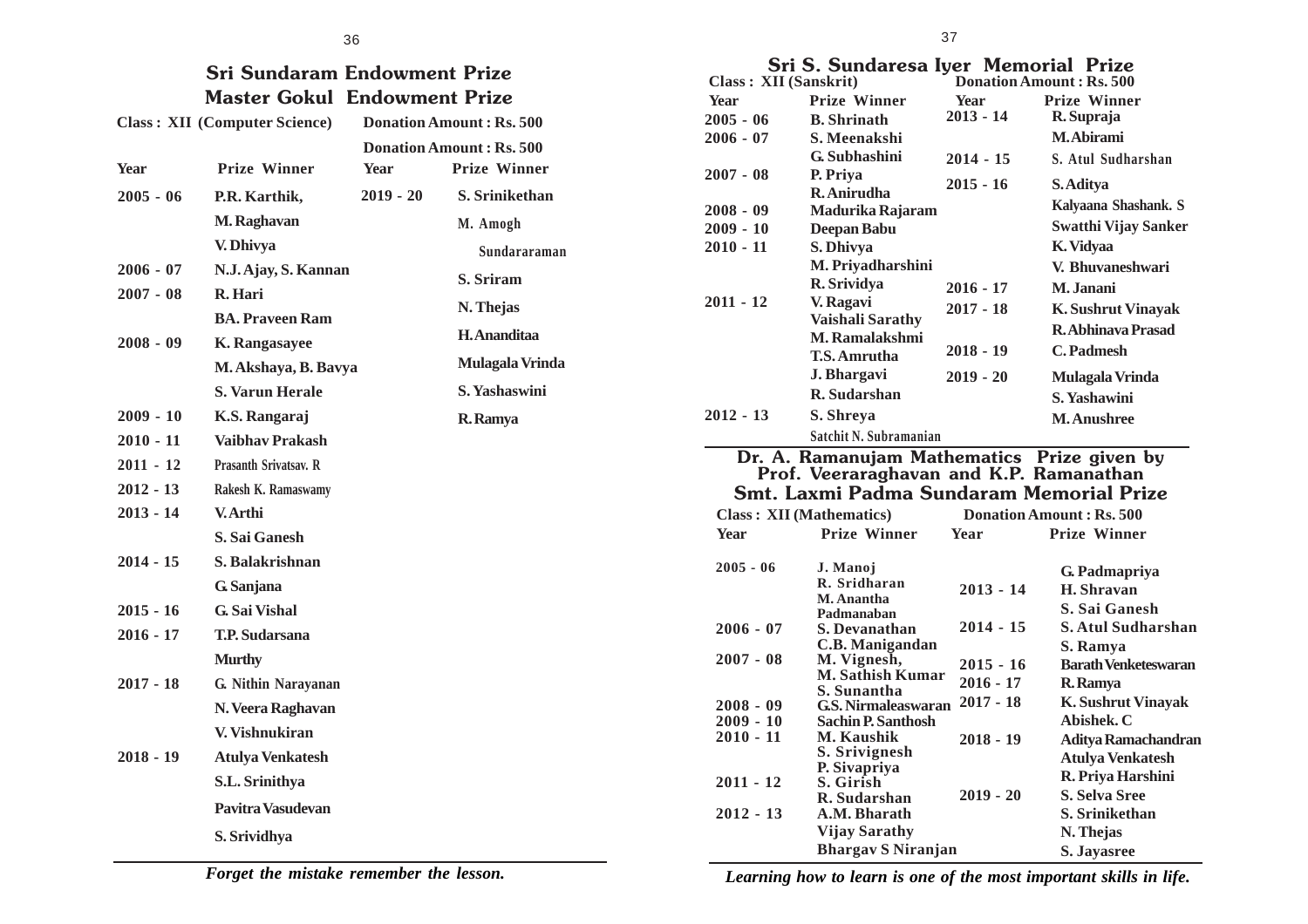#### 36 **Sri Sundaram Endowment Prize Master Gokul Endowment Prize Class : XII (Computer Science) Donation Amount : Rs. 500 Donation Amount : Rs. 500 Year Prize Winner Year Prize Winner 2005 - 06 P.R. Karthik, M. Raghavan V. Dhivya 2006 - 07 N.J. Ajay, S. Kannan 2007 - 08 R. Hari BA. Praveen Ram 2008 - 09 K. Rangasayee M. Akshaya, B. Bavya S. Varun Herale 2009 - 10 K.S. Rangaraj 2010 - 11 Vaibhav Prakash 2011 - 12 Prasanth Srivatsav. R 2012 - 13 Rakesh K. Ramaswamy 2013 - 14 V. Arthi S. Sai Ganesh 2014 - 15 S. Balakrishnan G. Sanjana 2015 - 16 G. Sai Vishal 2019 - 20 S. Srinikethan M. Amogh Sundararaman S. Sriram N. Thejas H. Ananditaa Mulagala Vrinda S. Yashaswini R. Ramya**

- **2016 17 T.P. Sudarsana Murthy**
- **2017 18 G. Nithin Narayanan N. Veera Raghavan V. Vishnukiran**
- **2018 19 Atulya Venkatesh S.L. Srinithya Pavitra Vasudevan**

**S. Srividhya**

|  | Sri S. Sundaresa Iyer Memorial Prize                                                                                 |  |
|--|----------------------------------------------------------------------------------------------------------------------|--|
|  | <u>a comparative de la comparative de la comparative de la comparative de la comparative de la comparative de la</u> |  |

|                       | Sri S. Sundaresa Iyer Memorial Prize        |             |                                 |
|-----------------------|---------------------------------------------|-------------|---------------------------------|
| Class: XII (Sanskrit) |                                             |             | <b>Donation Amount: Rs. 500</b> |
| <b>Year</b>           | <b>Prize Winner</b>                         | <b>Year</b> | <b>Prize Winner</b>             |
| $2005 - 06$           | <b>B.</b> Shrinath                          | $2013 - 14$ | R. Supraja                      |
| $2006 - 07$           | S. Meenakshi                                |             | M. Abirami                      |
|                       | G. Subhashini                               | $2014 - 15$ | S. Atul Sudharshan              |
| $2007 - 08$           | P. Priya<br>R. Anirudha                     | $2015 - 16$ | S. Aditya                       |
| 2008 - 09             |                                             |             | Kalyaana Shashank. S            |
| 2009 - 10             | Madurika Rajaram                            |             | <b>Swatthi Vijay Sanker</b>     |
| 2010 - 11             | Deepan Babu<br>S. Dhivya                    |             | K. Vidyaa                       |
|                       | M. Priyadharshini                           |             |                                 |
|                       | R. Srividya                                 |             | V. Bhuvaneshwari                |
| $2011 - 12$           | V. Ragavi                                   | 2016 - 17   | M. Janani                       |
|                       | Vaishali Sarathy                            | $2017 - 18$ | <b>K. Sushrut Vinayak</b>       |
|                       | M. Ramalakshmi                              |             | <b>R.Abhinava Prasad</b>        |
|                       | T.S. Amrutha                                | 2018 - 19   | C. Padmesh                      |
|                       | J. Bhargavi                                 | $2019 - 20$ | Mulagala Vrinda                 |
|                       | R. Sudarshan                                |             | S. Yashawini                    |
| 2012 - 13             | S. Shreya                                   |             | <b>M. Anushree</b>              |
|                       | Satchit N. Subramanian                      |             |                                 |
|                       | Dr. A. Ramanujam Mathematics Prize given by |             |                                 |
|                       | Prof. Veeraraghavan and K.P. Ramanathan     |             |                                 |
|                       | Smt. Laxmi Padma Sundaram Memorial Prize    |             |                                 |
|                       | <b>Class: XII (Mathematics)</b>             |             | <b>Donation Amount: Rs. 500</b> |
| <b>Year</b>           | <b>Prize Winner</b>                         | Year        | <b>Prize Winner</b>             |
|                       |                                             |             |                                 |
| $2005 - 06$           | J. Manoj<br>R. Sridharan                    |             | G. Padmapriya                   |
|                       | M. Anantha                                  | $2013 - 14$ | H. Shravan                      |
|                       | Padmanaban                                  |             | S. Sai Ganesh                   |
| $2006 - 07$           | S. Devanathan                               | 2014 - 15   | <b>S. Atul Sudharshan</b>       |
|                       | C.B. Manigandan                             |             | S. Ramya                        |
| $2007 - 08$           | M. Vignesh,                                 | $2015 - 16$ | <b>Barath Venketeswaran</b>     |
|                       | <b>M. Sathish Kumar</b><br>S. Sunantha      | $2016 - 17$ | R. Ramya                        |
| 2008 - 09             | <b>G.S. Nirmaleaswaran</b>                  | $2017 - 18$ | <b>K. Sushrut Vinayak</b>       |
| $2009 - 10$           | <b>Sachin P. Santhosh</b>                   |             | Abishek. C                      |
| 2010 - 11             | <b>M. Kaushik</b>                           | $2018 - 19$ | <b>Aditya Ramachandran</b>      |
|                       | S. Srivignesh                               |             | <b>Atulya Venkatesh</b>         |
|                       | P. Sivapriya                                |             | R. Priya Harshini               |
| $2011 - 12$           | S. Girish<br>R. Sudarshan                   | $2019 - 20$ | <b>S. Selva Sree</b>            |
| $2012 - 13$           | A.M. Bharath                                |             | S. Srinikethan                  |
|                       | <b>Vijay Sarathy</b>                        |             | N. Thejas                       |
|                       | <b>Bhargav S Niranjan</b>                   |             | S. Jayasree                     |
|                       |                                             |             |                                 |

*Forget the mistake remember the lesson.*

*Learning how to learn is one of the most important skills in life.*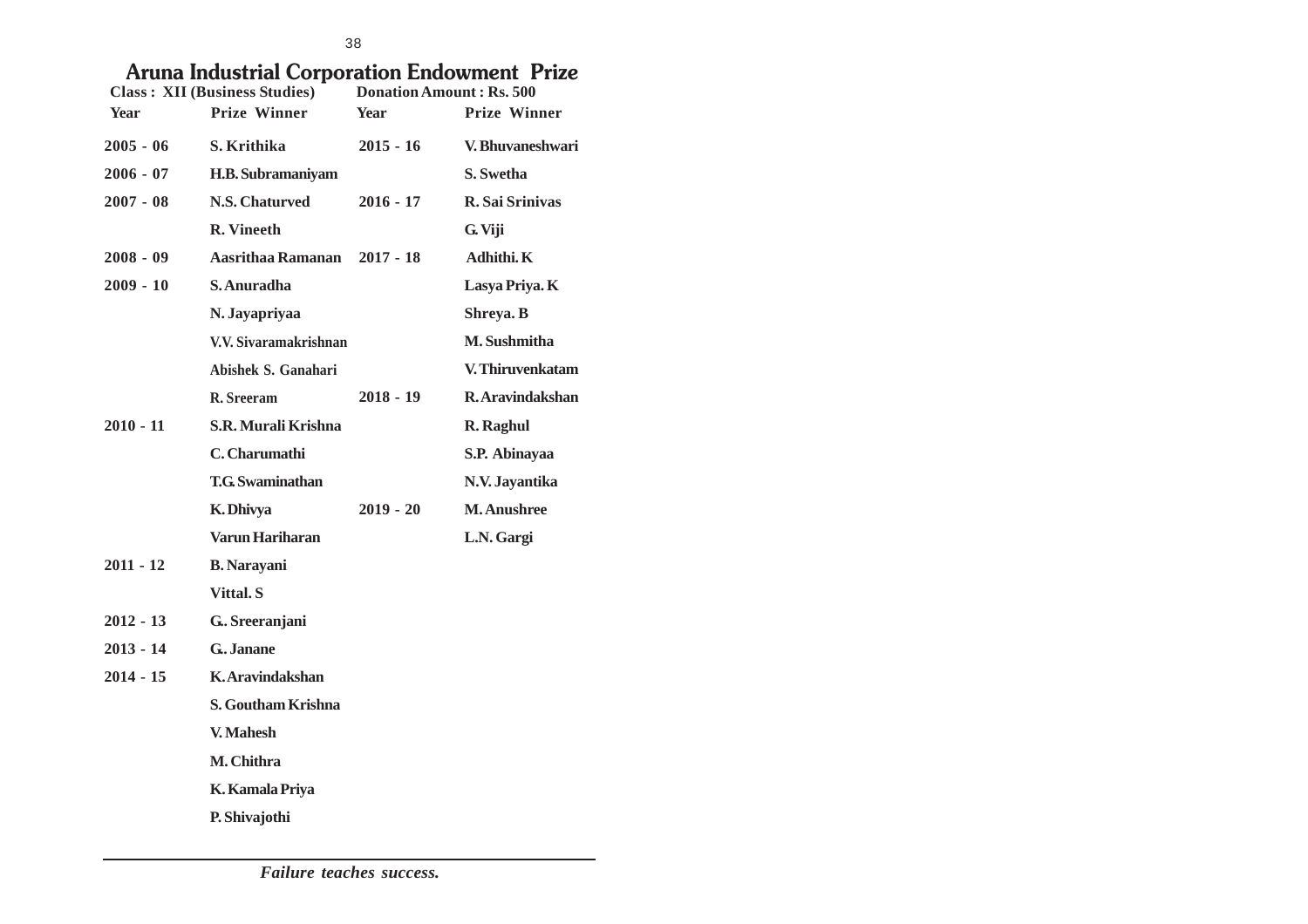## **Aruna Industrial Corporation Endowment Prize**

| <b>Class: XII (Business Studies)</b> |                         | Donation Amount: Rs. 500 |                     |  |
|--------------------------------------|-------------------------|--------------------------|---------------------|--|
| Year                                 | <b>Prize Winner</b>     | Year                     | <b>Prize Winner</b> |  |
| $2005 - 06$                          | S. Krithika             | $2015 - 16$              | V. Bhuvaneshwari    |  |
| $2006 - 07$                          | H.B. Subramaniyam       |                          | S. Swetha           |  |
| $2007 - 08$                          | N.S. Chaturved          | $2016 - 17$              | R. Sai Srinivas     |  |
|                                      | <b>R.</b> Vineeth       |                          | G. Viji             |  |
| $2008 - 09$                          | Aasrithaa Ramanan       | $2017 - 18$              | Adhithi. K          |  |
| $2009 - 10$                          | S. Anuradha             |                          | Lasya Priya. K      |  |
|                                      | N. Jayapriyaa           |                          | Shreya. B           |  |
|                                      | V.V. Sivaramakrishnan   |                          | M. Sushmitha        |  |
|                                      | Abishek S. Ganahari     |                          | V. Thiruvenkatam    |  |
|                                      | R. Sreeram              | $2018 - 19$              | R. Aravindakshan    |  |
| $2010 - 11$                          | S.R. Murali Krishna     |                          | R. Raghul           |  |
|                                      | C. Charumathi           |                          | S.P. Abinayaa       |  |
|                                      | <b>T.G. Swaminathan</b> |                          | N.V. Jayantika      |  |
|                                      | K. Dhivya               | $2019 - 20$              | <b>M. Anushree</b>  |  |
|                                      | <b>Varun Hariharan</b>  |                          | L.N. Gargi          |  |
| $2011 - 12$                          | <b>B.</b> Narayani      |                          |                     |  |
|                                      | Vittal. S               |                          |                     |  |
| $2012 - 13$                          | G. Sreeranjani          |                          |                     |  |
| $2013 - 14$                          | G. Janane               |                          |                     |  |
| $2014 - 15$                          | K. Aravindakshan        |                          |                     |  |
|                                      | S. Goutham Krishna      |                          |                     |  |
|                                      | V. Mahesh               |                          |                     |  |
|                                      | M. Chithra              |                          |                     |  |
|                                      | K. Kamala Priya         |                          |                     |  |
|                                      | P. Shivajothi           |                          |                     |  |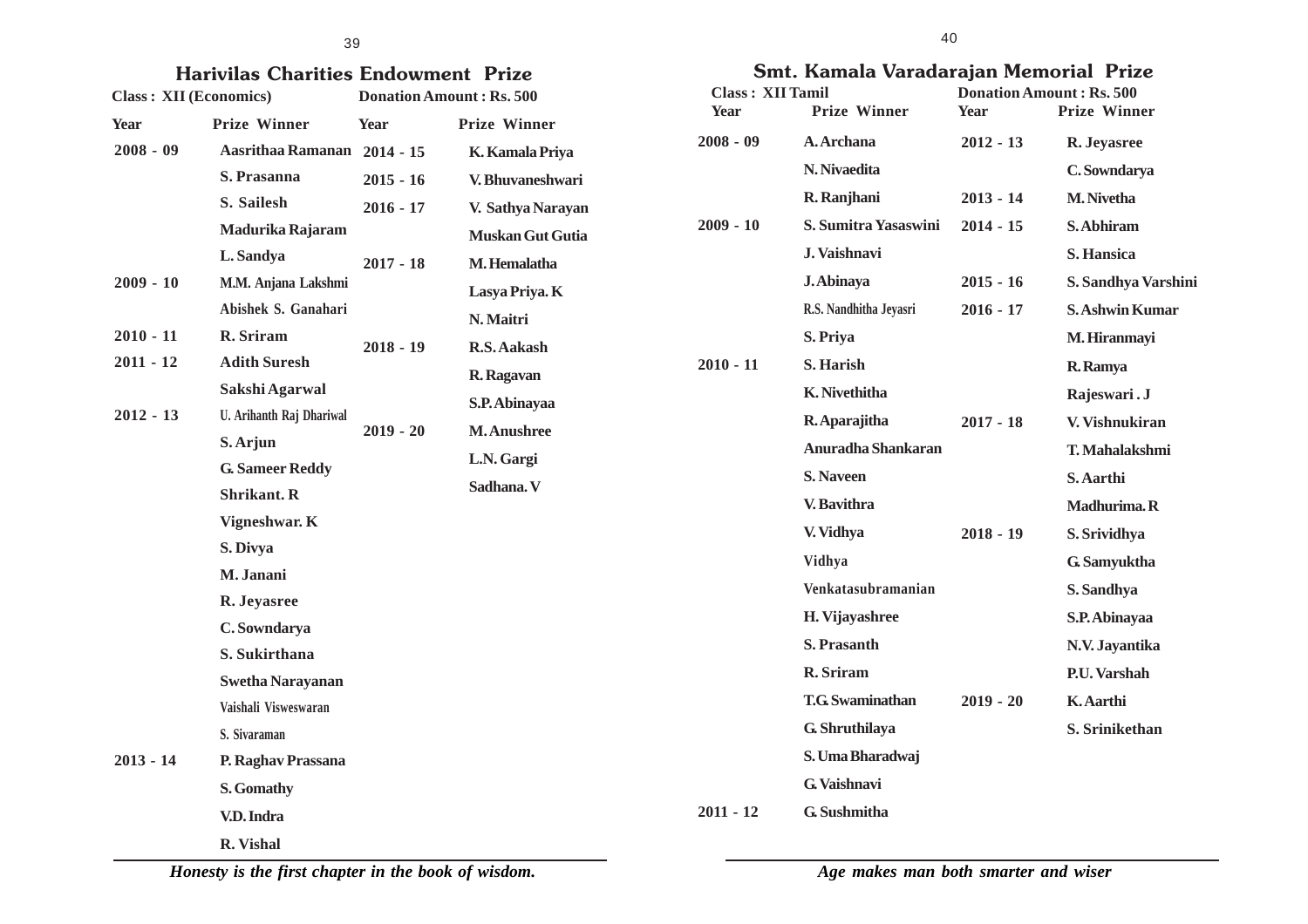#### 39

| <b>Class: XII (Economics)</b> | <b>Harivilas Charities Endowment Prize</b> |             | <b>Donation Amount: Rs. 500</b> | Class: XII Tamil | Smt. Kamala Va         |
|-------------------------------|--------------------------------------------|-------------|---------------------------------|------------------|------------------------|
|                               | <b>Prize Winner</b>                        |             | <b>Prize Winner</b>             | Year             | <b>Prize Winner</b>    |
| Year<br>$2008 - 09$           | Aasrithaa Ramanan 2014 - 15                | Year        | K. Kamala Priya                 | $2008 - 09$      | A. Archana             |
|                               | S. Prasanna                                | $2015 - 16$ | V. Bhuvaneshwari                |                  | N. Nivaedita           |
|                               | S. Sailesh                                 | $2016 - 17$ | V. Sathya Narayan               |                  | R. Ranjhani            |
|                               | Madurika Rajaram                           |             | <b>Muskan Gut Gutia</b>         | $2009 - 10$      | <b>S. Sumitra Yasa</b> |
|                               | L. Sandya                                  | $2017 - 18$ | M. Hemalatha                    |                  | J. Vaishnavi           |
| $2009 - 10$                   | M.M. Anjana Lakshmi                        |             | Lasya Priya. K                  |                  | J. Abinaya             |
|                               | Abishek S. Ganahari                        |             | N. Maitri                       |                  | R.S. Nandhitha Jeya    |
| $2010 - 11$                   | R. Sriram                                  | $2018 - 19$ | R.S. Aakash                     |                  | S. Priya               |
| $2011 - 12$                   | <b>Adith Suresh</b>                        |             | R. Ragavan                      | $2010 - 11$      | S. Harish              |
|                               | Sakshi Agarwal                             |             | S.P. Abinayaa                   |                  | K. Nivethitha          |
| $2012 - 13$                   | U. Arihanth Raj Dhariwal                   |             | <b>M.Anushree</b>               |                  | R. Aparajitha          |
|                               | S. Arjun                                   | $2019 - 20$ |                                 |                  | <b>Anuradha Shan</b>   |
|                               | <b>G. Sameer Reddy</b>                     |             | L.N. Gargi                      |                  | <b>S. Naveen</b>       |
|                               | <b>Shrikant. R</b>                         |             | Sadhana. V                      |                  | V. Bavithra            |
|                               | Vigneshwar. K                              |             |                                 |                  | V. Vidhya              |
|                               | S. Divya                                   |             |                                 |                  | Vidhya                 |
|                               | M. Janani                                  |             |                                 |                  | Venkatasubrama         |
|                               | R. Jeyasree                                |             |                                 |                  | H. Vijayashree         |
|                               | C. Sowndarya                               |             |                                 |                  | S. Prasanth            |
|                               | S. Sukirthana                              |             |                                 |                  |                        |
|                               | <b>Swetha Narayanan</b>                    |             |                                 |                  | R. Sriram              |
|                               | Vaishali Visweswaran                       |             |                                 |                  | <b>T.G.</b> Swaminatha |
|                               | S. Sivaraman                               |             |                                 |                  | G. Shruthilaya         |
| $2013 - 14$                   | P. Raghav Prassana                         |             |                                 |                  | S. Uma Bharadv         |
|                               | S. Gomathy                                 |             |                                 |                  | G. Vaishnavi           |

**V.D. Indra**

**R. Vishal**

**Smt. Kamala Varadarajan Memorial Prize**

| <b>Class: XII Tamil</b> |                         |             | <b>Donation Amount: Rs. 500</b> |
|-------------------------|-------------------------|-------------|---------------------------------|
| Year                    | <b>Prize Winner</b>     | <b>Year</b> | <b>Prize Winner</b>             |
| $2008 - 09$             | A. Archana              | $2012 - 13$ | R. Jeyasree                     |
|                         | N. Nivaedita            |             | C. Sowndarya                    |
|                         | R. Ranjhani             | $2013 - 14$ | <b>M.</b> Nivetha               |
| $2009 - 10$             | S. Sumitra Yasaswini    | $2014 - 15$ | S. Abhiram                      |
|                         | J. Vaishnavi            |             | S. Hansica                      |
|                         | J. Abinaya              | $2015 - 16$ | S. Sandhya Varshini             |
|                         | R.S. Nandhitha Jeyasri  | $2016 - 17$ | <b>S. Ashwin Kumar</b>          |
|                         | S. Priya                |             | M. Hiranmayi                    |
| $2010 - 11$             | S. Harish               |             | R. Ramya                        |
|                         | K. Nivethitha           |             | Rajeswari. J                    |
|                         | R. Aparajitha           | $2017 - 18$ | V. Vishnukiran                  |
|                         | Anuradha Shankaran      |             | T. Mahalakshmi                  |
|                         | <b>S.</b> Naveen        |             | S. Aarthi                       |
|                         | V. Bavithra             |             | Madhurima. R                    |
|                         | V. Vidhya               | $2018 - 19$ | S. Srividhya                    |
|                         | Vidhya                  |             | G. Samyuktha                    |
|                         | Venkatasubramanian      |             | S. Sandhya                      |
|                         | H. Vijayashree          |             | S.P. Abinayaa                   |
|                         | S. Prasanth             |             | N.V. Jayantika                  |
|                         | R. Sriram               |             | P.U. Varshah                    |
|                         | <b>T.G.</b> Swaminathan | $2019 - 20$ | K. Aarthi                       |
|                         | G. Shruthilaya          |             | S. Srinikethan                  |
|                         | S. Uma Bharadwaj        |             |                                 |
|                         | G. Vaishnavi            |             |                                 |
| $2011 - 12$             | G. Sushmitha            |             |                                 |

*Honesty is the first chapter in the book of wisdom.*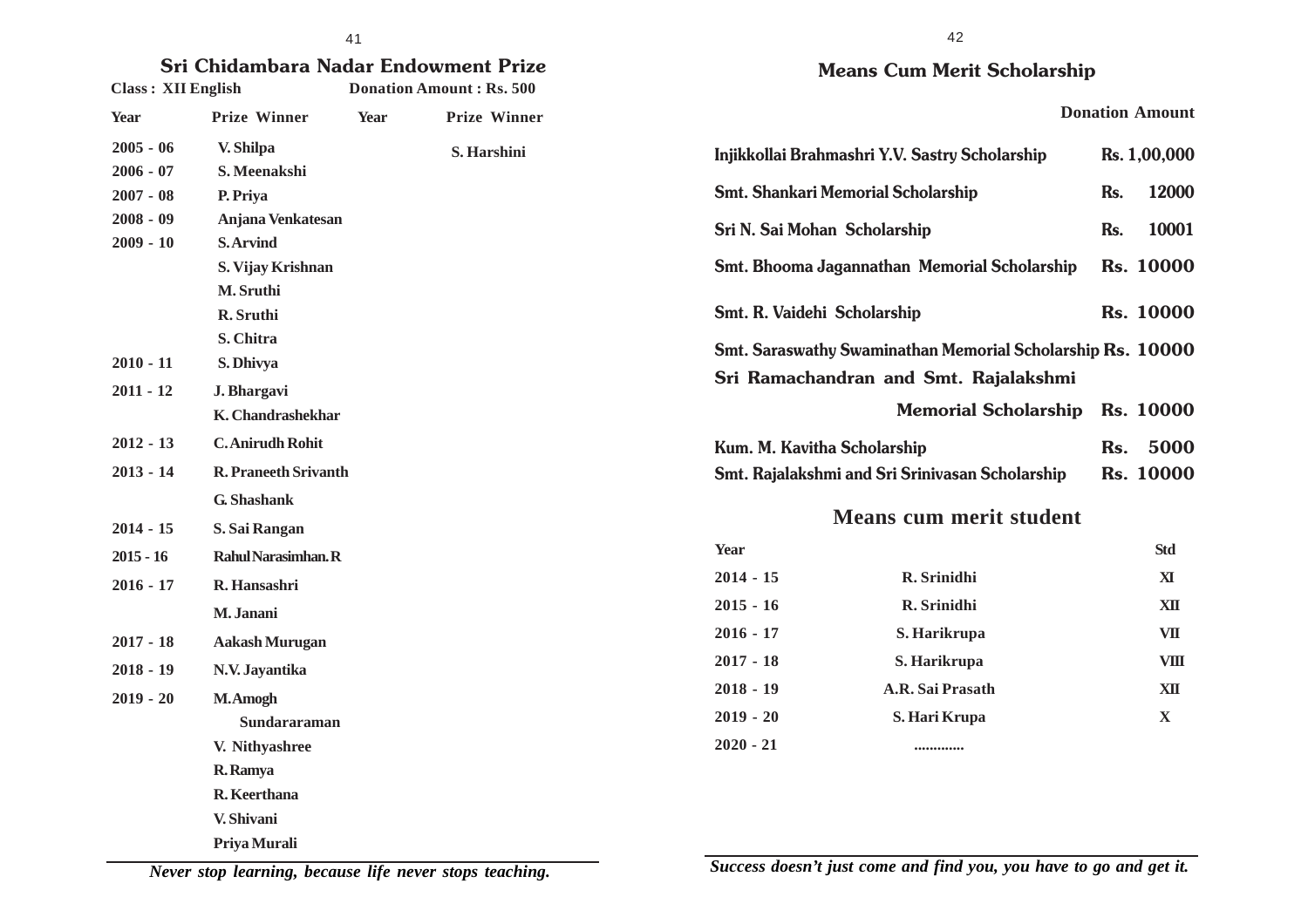# **Sri Chidambara Nadar Endowment Prize**

| <b>Class: XII English</b> |                             |             | <b>Donation Amount: Rs. 500</b> |
|---------------------------|-----------------------------|-------------|---------------------------------|
| <b>Year</b>               | <b>Prize Winner</b>         | <b>Year</b> | <b>Prize Winner</b>             |
| $2005 - 06$               | V. Shilpa                   |             | S. Harshini                     |
| $2006 - 07$               | S. Meenakshi                |             |                                 |
| $2007 - 08$               | P. Priya                    |             |                                 |
| $2008 - 09$               | Anjana Venkatesan           |             |                                 |
| $2009 - 10$               | <b>S.Arvind</b>             |             |                                 |
|                           | S. Vijay Krishnan           |             |                                 |
|                           | M. Sruthi                   |             |                                 |
|                           | R. Sruthi                   |             |                                 |
|                           | S. Chitra                   |             |                                 |
| $2010 - 11$               | S. Dhivya                   |             |                                 |
| $2011 - 12$               | J. Bhargavi                 |             |                                 |
|                           | <b>K.</b> Chandrashekhar    |             |                                 |
| $2012 - 13$               | <b>C.</b> Anirudh Rohit     |             |                                 |
| $2013 - 14$               | <b>R. Praneeth Srivanth</b> |             |                                 |
|                           | G. Shashank                 |             |                                 |
| $2014 - 15$               | S. Sai Rangan               |             |                                 |
| $2015 - 16$               | Rahul Narasimhan. R         |             |                                 |
| $2016 - 17$               | R. Hansashri                |             |                                 |
|                           | M. Janani                   |             |                                 |
| $2017 - 18$               | <b>Aakash Murugan</b>       |             |                                 |
| $2018 - 19$               | N.V. Jayantika              |             |                                 |
| $2019 - 20$               | M.Amogh                     |             |                                 |
|                           | Sundararaman                |             |                                 |
|                           | V. Nithyashree              |             |                                 |
|                           | R. Ramya                    |             |                                 |
|                           | R. Keerthana                |             |                                 |
|                           | V. Shivani                  |             |                                 |
|                           | Priya Murali                |             |                                 |

### **Means Cum Merit Scholarship**

|                                           | Injikkollai Brahmashri Y.V. Sastry Scholarship                                                      |     | Rs. 1,00,000     |
|-------------------------------------------|-----------------------------------------------------------------------------------------------------|-----|------------------|
| <b>Smt. Shankari Memorial Scholarship</b> |                                                                                                     | Rs. | 12000            |
| Sri N. Sai Mohan Scholarship              |                                                                                                     | Rs. | 10001            |
|                                           | Smt. Bhooma Jagannathan Memorial Scholarship                                                        |     | <b>Rs. 10000</b> |
| Smt. R. Vaidehi Scholarship               |                                                                                                     |     | <b>Rs. 10000</b> |
|                                           | Smt. Saraswathy Swaminathan Memorial Scholarship Rs. 10000<br>Sri Ramachandran and Smt. Rajalakshmi |     |                  |
|                                           | Memorial Scholarship Rs. 10000                                                                      |     |                  |
| Kum. M. Kavitha Scholarship               |                                                                                                     | Rs. | 5000             |
|                                           | Smt. Rajalakshmi and Sri Srinivasan Scholarship                                                     |     | <b>Rs. 10000</b> |
|                                           | <b>Means cum merit student</b>                                                                      |     |                  |
| Year                                      |                                                                                                     |     | <b>Std</b>       |
| $2014 - 15$                               | R. Srinidhi                                                                                         |     | ${\bf X}$        |
| $2015 - 16$                               | R. Srinidhi                                                                                         |     | XII              |
| $2016 - 17$                               | S. Harikrupa                                                                                        |     | <b>VII</b>       |
| $2017 - 18$                               | S. Harikrupa                                                                                        |     | VIII             |
| $2018 - 19$                               | A.R. Sai Prasath                                                                                    |     | XII              |
| $2019 - 20$                               | S. Hari Krupa                                                                                       |     | X                |
| $2020 - 21$                               |                                                                                                     |     |                  |

*Never stop learning, because life never stops teaching.*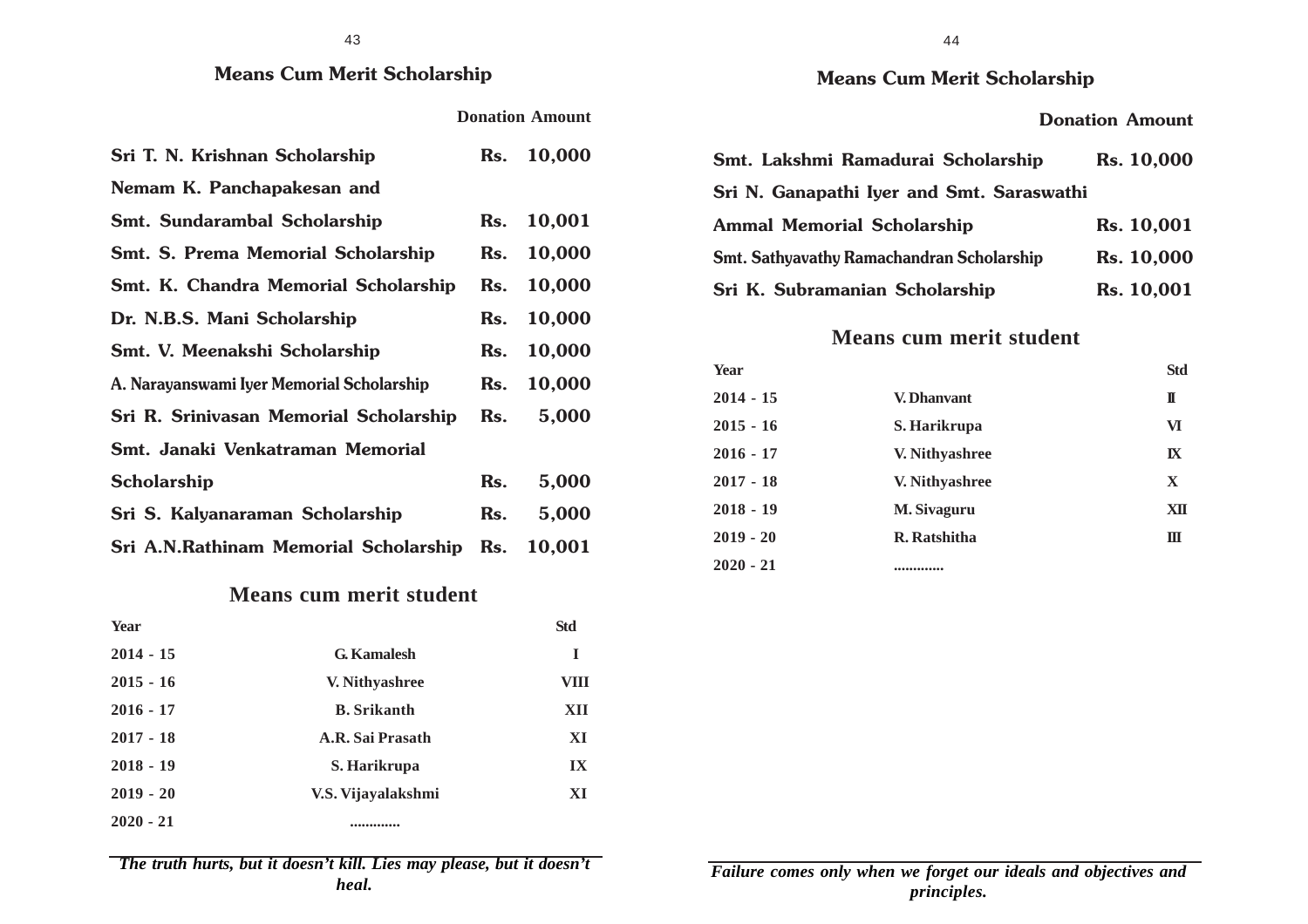#### 43

### **Means Cum Merit Scholarship**

**Donation Amount**

| Sri T. N. Krishnan Scholarship            | Rs. | 10,000     |
|-------------------------------------------|-----|------------|
| Nemam K. Panchapakesan and                |     |            |
| <b>Smt. Sundarambal Scholarship</b>       |     | Rs. 10,001 |
| <b>Smt. S. Prema Memorial Scholarship</b> |     | Rs. 10,000 |
| Smt. K. Chandra Memorial Scholarship      | Rs. | 10,000     |
| Dr. N.B.S. Mani Scholarship               | Rs. | 10,000     |
| Smt. V. Meenakshi Scholarship             |     | Rs. 10,000 |
| A. Narayanswami Iyer Memorial Scholarship |     | Rs. 10,000 |
| Sri R. Srinivasan Memorial Scholarship    | Rs. | 5,000      |
| Smt. Janaki Venkatraman Memorial          |     |            |
| <b>Scholarship</b>                        | Rs. | 5,000      |
| Sri S. Kalyanaraman Scholarship           | Rs. | 5,000      |
| Sri A.N.Rathinam Memorial Scholarship     | Rs. | 10,001     |

### **Means cum merit student**

| <b>Year</b> |                    | <b>Std</b>              |
|-------------|--------------------|-------------------------|
| $2014 - 15$ | <b>G.</b> Kamalesh | I                       |
| $2015 - 16$ | V. Nithyashree     | VIII                    |
| $2016 - 17$ | <b>B.</b> Srikanth | XII                     |
| $2017 - 18$ | A.R. Sai Prasath   | XI                      |
| $2018 - 19$ | S. Harikrupa       | $\mathbf{I} \mathbf{X}$ |
| $2019 - 20$ | V.S. Vijayalakshmi | XI                      |
| $2020 - 21$ |                    |                         |

*The truth hurts, but it doesn't kill. Lies may please, but it doesn't heal.*

#### **Donation Amount**

| Smt. Lakshmi Ramadurai Scholarship        | Rs. 10,000 |
|-------------------------------------------|------------|
| Sri N. Ganapathi Iyer and Smt. Saraswathi |            |
| <b>Ammal Memorial Scholarship</b>         | Rs. 10,001 |
| Smt. Sathyavathy Ramachandran Scholarship | Rs. 10,000 |
| Sri K. Subramanian Scholarship            | Rs. 10,001 |

### **Means cum merit student**

| Year        |                | <b>Std</b> |
|-------------|----------------|------------|
| $2014 - 15$ | V. Dhanvant    | п          |
| $2015 - 16$ | S. Harikrupa   | VI         |
| $2016 - 17$ | V. Nithyashree | IX         |
| $2017 - 18$ | V. Nithyashree | X          |
| $2018 - 19$ | M. Sivaguru    | XШ         |
| $2019 - 20$ | R. Ratshitha   | Ш          |
| $2020 - 21$ | *************  |            |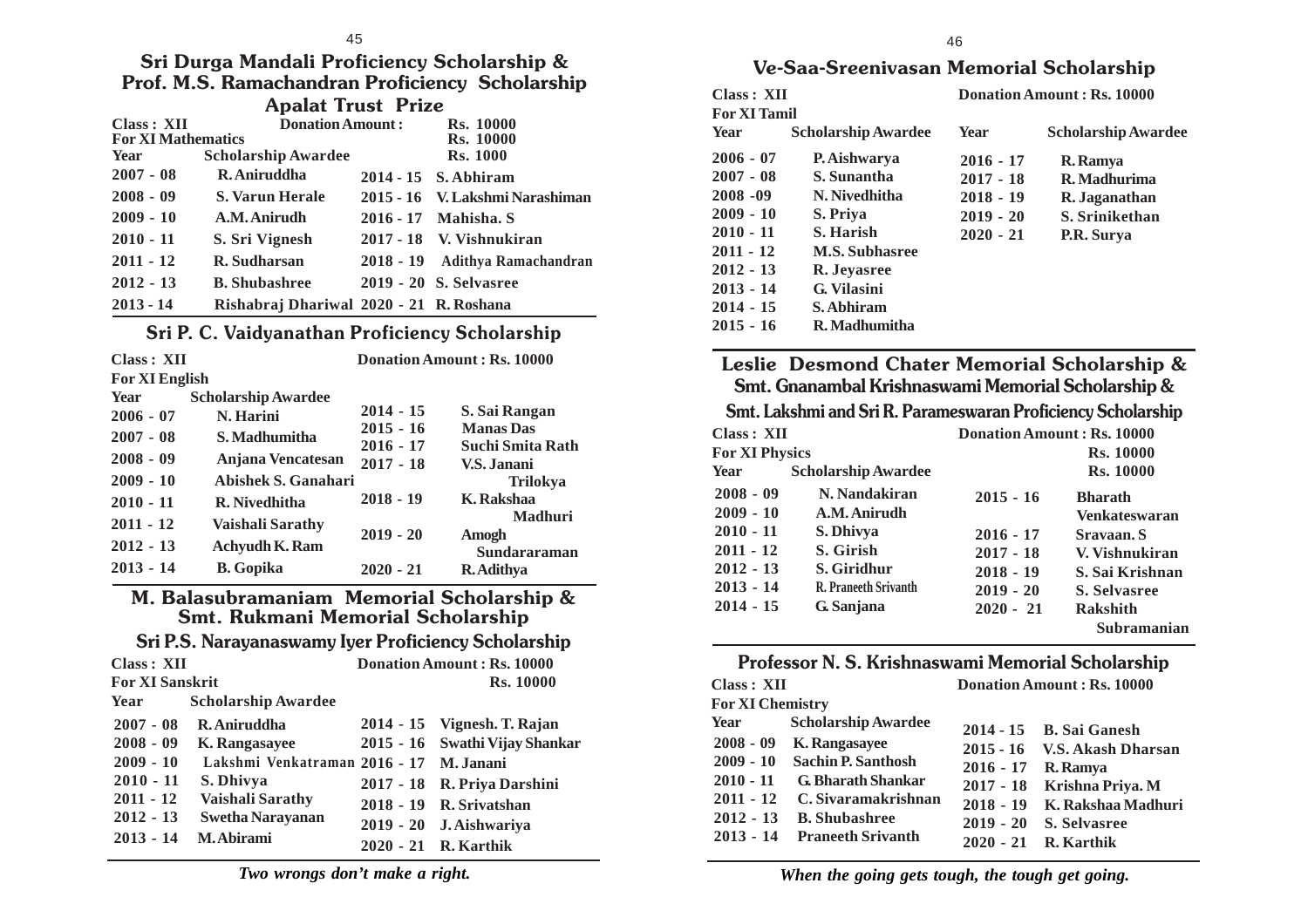**Sri Durga Mandali Proficiency Scholarship & Prof. M.S. Ramachandran Proficiency Scholarship Apalat Trust Prize**

| Class: XII<br><b>For XI Mathematics</b> | <b>Donation Amount:</b>                 | <b>Rs. 10000</b><br><b>Rs.</b> 10000 |
|-----------------------------------------|-----------------------------------------|--------------------------------------|
| Year                                    | <b>Scholarship Awardee</b>              | <b>Rs. 1000</b>                      |
| $2007 - 08$                             | R. Aniruddha                            | 2014 - 15 S. Abhiram                 |
| $2008 - 09$                             | <b>S. Varun Herale</b>                  | 2015 - 16 V. Lakshmi Narashiman      |
| $2009 - 10$                             | A.M. Anirudh                            | 2016 - 17 Mahisha. S                 |
| $2010 - 11$                             | S. Sri Vignesh                          | 2017 - 18 V. Vishnukiran             |
| $2011 - 12$                             | R. Sudharsan                            | 2018 - 19 Adithya Ramachandran       |
| $2012 - 13$                             | <b>B.</b> Shubashree                    | 2019 - 20 S. Selvasree               |
| $2013 - 14$                             | Rishabraj Dhariwal 2020 - 21 R. Roshana |                                      |

### **Sri P. C. Vaidyanathan Proficiency Scholarship**

| Class: XII     |                            |             | Donation Amount: Rs. 10000 |
|----------------|----------------------------|-------------|----------------------------|
| For XI English |                            |             |                            |
| Year           | <b>Scholarship Awardee</b> |             |                            |
| $2006 - 07$    | N. Harini                  | $2014 - 15$ | S. Sai Rangan              |
| $2007 - 08$    | S. Madhumitha              | $2015 - 16$ | <b>Manas</b> Das           |
|                |                            | $2016 - 17$ | <b>Suchi Smita Rath</b>    |
| $2008 - 09$    | Anjana Vencatesan          | $2017 - 18$ | V.S. Janani                |
| $2009 - 10$    | Abishek S. Ganahari        |             | <b>Trilokya</b>            |
| $2010 - 11$    | R. Nivedhitha              | $2018 - 19$ | <b>K.</b> Rakshaa          |
| $2011 - 12$    | Vaishali Sarathy           |             | <b>Madhuri</b>             |
|                |                            | $2019 - 20$ | Amogh                      |
| $2012 - 13$    | <b>Achyudh K. Ram</b>      |             | Sundararaman               |
| $2013 - 14$    | <b>B.</b> Gopika           | $2020 - 21$ | R. Adithya                 |

**M. Balasubramaniam Memorial Scholarship & Smt. Rukmani Memorial Scholarship**

#### **Sri P.S. Narayanaswamy Iyer Proficiency Scholarship**

| Class: XII             |                                         | Donation Amount: Rs. 10000 |                                |  |
|------------------------|-----------------------------------------|----------------------------|--------------------------------|--|
| <b>For XI Sanskrit</b> |                                         |                            | <b>Rs. 10000</b>               |  |
| Year                   | <b>Scholarship Awardee</b>              |                            |                                |  |
| $2007 - 08$            | R. Aniruddha                            |                            | 2014 - 15 Vignesh. T. Rajan    |  |
| $2008 - 09$            | K. Rangasayee                           |                            | 2015 - 16 Swathi Vijay Shankar |  |
| $2009 - 10$            | Lakshmi Venkatraman 2016 - 17 M. Janani |                            |                                |  |
| $2010 - 11$            | S. Dhivya                               |                            | 2017 - 18 R. Priya Darshini    |  |
| $2011 - 12$            | Vaishali Sarathy                        |                            | 2018 - 19 R. Srivatshan        |  |
| $2012 - 13$            | <b>Swetha Narayanan</b>                 |                            | 2019 - 20 J. Aishwariya        |  |
| $2013 - 14$            | M. Abirami                              |                            | 2020 - 21 R. Karthik           |  |

### **Ve-Saa-Sreenivasan Memorial Scholarship**

| Class : XII<br><b>For XI Tamil</b> |                            | <b>Donation Amount: Rs. 10000</b> |                            |
|------------------------------------|----------------------------|-----------------------------------|----------------------------|
| Year                               | <b>Scholarship Awardee</b> | <b>Year</b>                       | <b>Scholarship Awardee</b> |
| $2006 - 07$                        | P. Aishwarya               | $2016 - 17$                       | R. Ramya                   |
| $2007 - 08$                        | S. Sunantha                | $2017 - 18$                       | R. Madhurima               |
| $2008 - 09$                        | N. Nivedhitha              | $2018 - 19$                       | R. Jaganathan              |
| $2009 - 10$                        | S. Priva                   | $2019 - 20$                       | S. Srinikethan             |
| $2010 - 11$                        | S. Harish                  | $2020 - 21$                       | P.R. Surva                 |
| $2011 - 12$                        | <b>M.S. Subhasree</b>      |                                   |                            |
| $2012 - 13$                        | R. Jeyasree                |                                   |                            |
| $2013 - 14$                        | G. Vilasini                |                                   |                            |
| $2014 - 15$                        | S. Abhiram                 |                                   |                            |
| $2015 - 16$                        | R. Madhumitha              |                                   |                            |

**Leslie Desmond Chater Memorial Scholarship & Smt. Gnanambal Krishnaswami Memorial Scholarship &**

**Smt. Lakshmi and Sri R. Parameswaran Proficiency Scholarship**

| Class: XII            |                             | <b>Donation Amount: Rs. 10000</b> |                                |
|-----------------------|-----------------------------|-----------------------------------|--------------------------------|
| <b>For XI Physics</b> |                             |                                   | <b>Rs. 10000</b>               |
| Year                  | <b>Scholarship Awardee</b>  |                                   | <b>Rs. 10000</b>               |
| $2008 - 09$           | N. Nandakiran               | $2015 - 16$                       | <b>Bharath</b>                 |
| $2009 - 10$           | A.M. Anirudh                |                                   | <b>Venkateswaran</b>           |
| $2010 - 11$           | S. Dhivya                   | $2016 - 17$                       | Sravaan. S                     |
| $2011 - 12$           | S. Girish                   | $2017 - 18$                       | V. Vishnukiran                 |
| $2012 - 13$           | S. Giridhur                 | $2018 - 19$                       | S. Sai Krishnan                |
| $2013 - 14$           | <b>R. Praneeth Srivanth</b> | $2019 - 20$                       | S. Selvasree                   |
| $2014 - 15$           | G. Sanjana                  | $2020 - 21$                       | <b>Rakshith</b><br>Subramanian |

#### **Professor N. S. Krishnaswami Memorial Scholarship**

| <b>Class: XII</b>       |                            |             | Donation Amount: Rs. 10000 |
|-------------------------|----------------------------|-------------|----------------------------|
| <b>For XI Chemistry</b> |                            |             |                            |
| Year                    | <b>Scholarship Awardee</b> |             | 2014 - 15 B. Sai Ganesh    |
| $2008 - 09$             | K. Rangasayee              | $2015 - 16$ | <b>V.S. Akash Dharsan</b>  |
| $2009 - 10$             | <b>Sachin P. Santhosh</b>  | $2016 - 17$ | R. Ramya                   |
| $2010 - 11$             | <b>G. Bharath Shankar</b>  | $2017 - 18$ | Krishna Priya. M           |
| $2011 - 12$             | C. Sivaramakrishnan        | $2018 - 19$ | K. Rakshaa Madhuri         |
| $2012 - 13$             | <b>B.</b> Shubashree       | $2019 - 20$ | <b>S. Selvasree</b>        |
| $2013 - 14$             | <b>Praneeth Srivanth</b>   | $2020 - 21$ | R. Karthik                 |

*When the going gets tough, the tough get going.*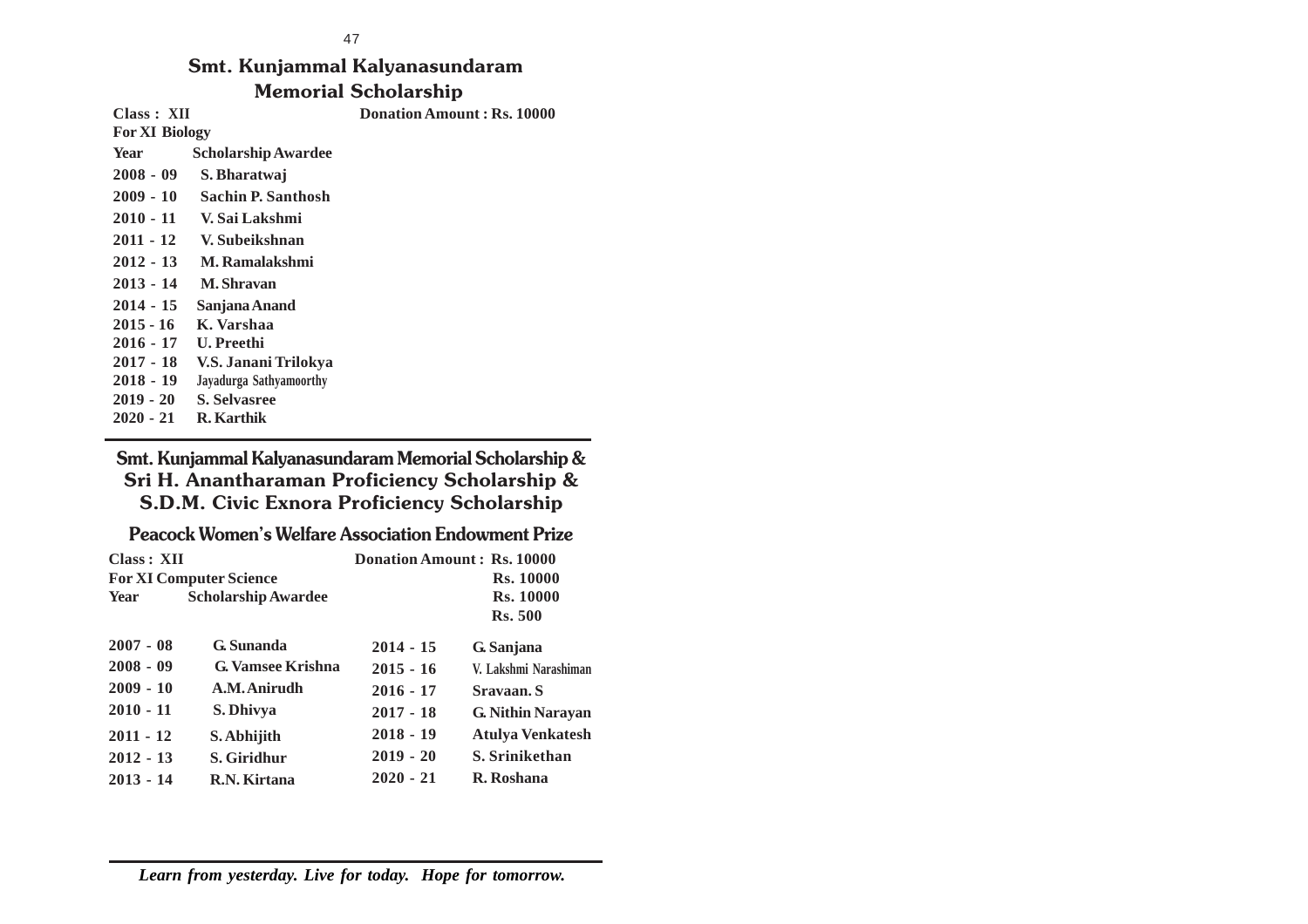#### 47

**Class : XII Donation Amount : Rs. 10000**

### **Smt. Kunjammal Kalyanasundaram Memorial Scholarship**

**For XI Biology Year Scholarship Awardee 2008 - 09 S. Bharatwaj 2009 - 10 Sachin P. Santhosh 2010 - 11 V. Sai Lakshmi 2011 - 12 V. Subeikshnan 2012 - 13 M. Ramalakshmi 2013 - 14 M. Shravan 2014 - 15 Sanjana Anand 2015 - 16 K. Varshaa 2016 - 17 U. Preethi 2017 - 18 V.S. Janani Trilokya 2018 - 19 Jayadurga Sathyamoorthy 2019 - 20 S. Selvasree 2020 - 21 R. Karthik**

**Smt. Kunjammal Kalyanasundaram Memorial Scholarship & Sri H. Anantharaman Proficiency Scholarship & S.D.M. Civic Exnora Proficiency Scholarship**

**Peacock Women's Welfare Association Endowment Prize**

| Class: XII  |                                | Donation Amount: Rs. 10000 |                          |
|-------------|--------------------------------|----------------------------|--------------------------|
|             | <b>For XI Computer Science</b> |                            | <b>Rs. 10000</b>         |
| Year        | <b>Scholarship Awardee</b>     |                            | <b>Rs. 10000</b>         |
|             |                                |                            | <b>Rs.</b> 500           |
| $2007 - 08$ | <b>G.</b> Sunanda              | $2014 - 15$                | G. Sanjana               |
| $2008 - 09$ | <b>G. Vamsee Krishna</b>       | $2015 - 16$                | V. Lakshmi Narashiman    |
| $2009 - 10$ | A.M. Anirudh                   | $2016 - 17$                | Sravaan. S               |
| $2010 - 11$ | S. Dhivya                      | $2017 - 18$                | <b>G. Nithin Narayan</b> |
| $2011 - 12$ | S. Abhijith                    | $2018 - 19$                | <b>Atulya Venkatesh</b>  |
| $2012 - 13$ | S. Giridhur                    | $2019 - 20$                | S. Srinikethan           |
| $2013 - 14$ | R.N. Kirtana                   | $2020 - 21$                | R. Roshana               |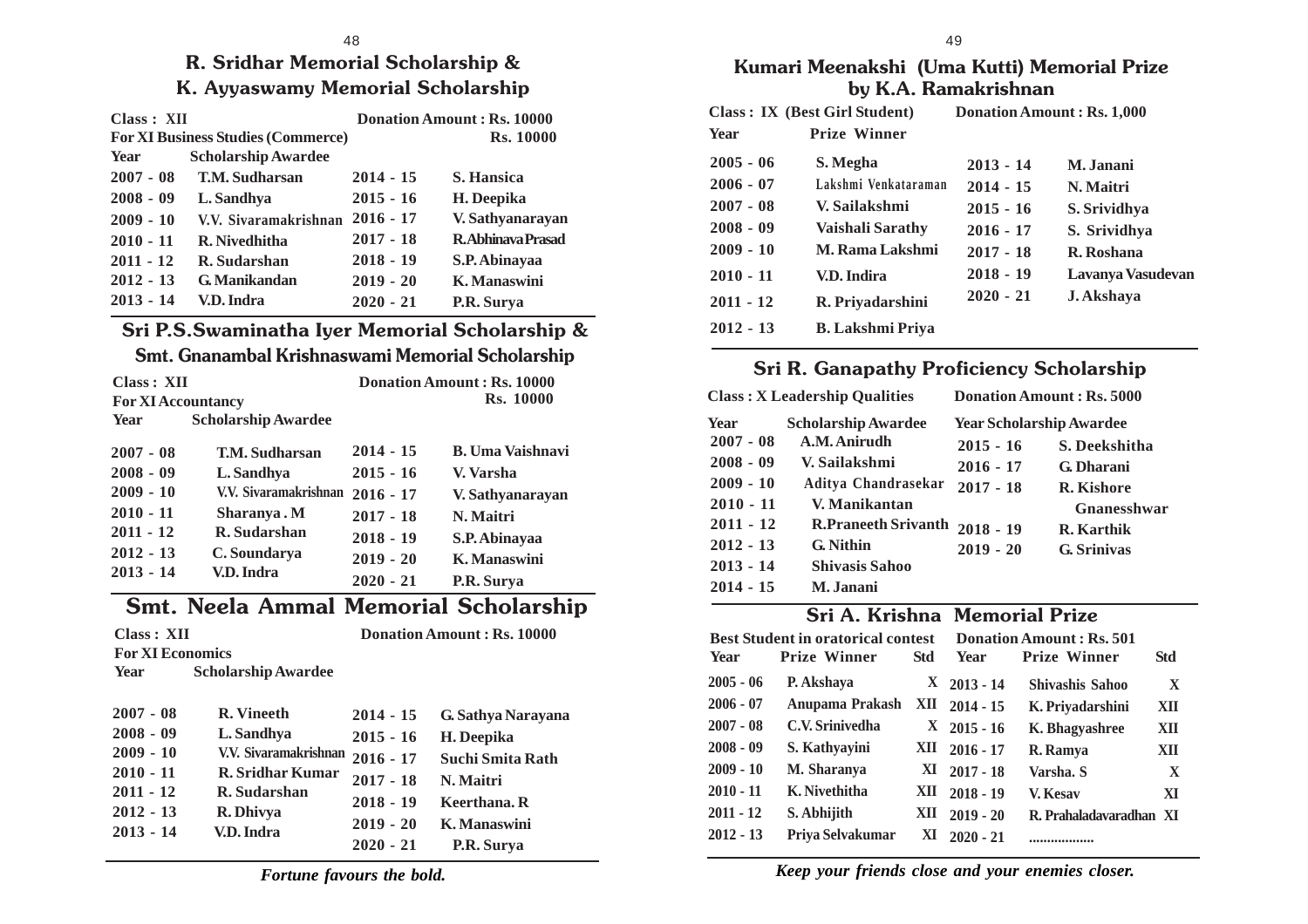### **R. Sridhar Memorial Scholarship & K. Ayyaswamy Memorial Scholarship**

| Class: XII  |                                           | <b>Donation Amount: Rs. 10000</b> |                          |
|-------------|-------------------------------------------|-----------------------------------|--------------------------|
|             | <b>For XI Business Studies (Commerce)</b> |                                   | <b>Rs. 10000</b>         |
| <b>Year</b> | <b>Scholarship Awardee</b>                |                                   |                          |
| $2007 - 08$ | <b>T.M. Sudharsan</b>                     | $2014 - 15$                       | <b>S. Hansica</b>        |
| $2008 - 09$ | L. Sandhya                                | $2015 - 16$                       | H. Deepika               |
| $2009 - 10$ | V.V. Sivaramakrishnan                     | $2016 - 17$                       | V. Sathyanarayan         |
| $2010 - 11$ | R. Nivedhitha                             | $2017 - 18$                       | <b>R.Abhinava Prasad</b> |
| $2011 - 12$ | R. Sudarshan                              | $2018 - 19$                       | S.P. Abinayaa            |
| $2012 - 13$ | <b>G.</b> Manikandan                      | $2019 - 20$                       | K. Manaswini             |
| $2013 - 14$ | V.D. Indra                                | $2020 - 21$                       | P.R. Surya               |

## **Sri P.S.Swaminatha Iyer Memorial Scholarship &**

### **Smt. Gnanambal Krishnaswami Memorial Scholarship**

| Class : XII               |                            | <b>Donation Amount: Rs. 10000</b> |                         |
|---------------------------|----------------------------|-----------------------------------|-------------------------|
| <b>For XI Accountancy</b> |                            |                                   | <b>Rs.</b> 10000        |
| Year                      | <b>Scholarship Awardee</b> |                                   |                         |
| $2007 - 08$               | <b>T.M. Sudharsan</b>      | $2014 - 15$                       | <b>B.</b> Uma Vaishnavi |
| $2008 - 09$               | L. Sandhya                 | $2015 - 16$                       | V. Varsha               |
| $2009 - 10$               | V.V. Sivaramakrishnan      | $2016 - 17$                       | V. Sathyanarayan        |
| $2010 - 11$               | Sharanya.M                 | $2017 - 18$                       | N. Maitri               |
| $2011 - 12$               | R. Sudarshan               | $2018 - 19$                       | S.P. Abinayaa           |
| $2012 - 13$               | C. Soundarya               | $2019 - 20$                       | K. Manaswini            |
| $2013 - 14$               | V.D. Indra                 | $2020 - 21$                       | P.R. Surya              |

### **Smt. Neela Ammal Memorial Scholarship**

| Class : XII<br><b>For XI Economics</b>                                                                |                                                                                                                         |                                                                                                       | <b>Donation Amount: Rs. 10000</b>                                                                               |
|-------------------------------------------------------------------------------------------------------|-------------------------------------------------------------------------------------------------------------------------|-------------------------------------------------------------------------------------------------------|-----------------------------------------------------------------------------------------------------------------|
| Year                                                                                                  | <b>Scholarship Awardee</b>                                                                                              |                                                                                                       |                                                                                                                 |
| $2007 - 08$<br>$2008 - 09$<br>$2009 - 10$<br>$2010 - 11$<br>$2011 - 12$<br>$2012 - 13$<br>$2013 - 14$ | <b>R.</b> Vineeth<br>L. Sandhya<br>V.V. Sivaramakrishnan<br>R. Sridhar Kumar<br>R. Sudarshan<br>R. Dhivya<br>V.D. Indra | $2014 - 15$<br>$2015 - 16$<br>$2016 - 17$<br>$2017 - 18$<br>$2018 - 19$<br>$2019 - 20$<br>$2020 - 21$ | G. Sathya Narayana<br>H. Deepika<br>Suchi Smita Rath<br>N. Maitri<br>Keerthana. R<br>K. Manaswini<br>P.R. Surya |

49 **Kumari Meenakshi (Uma Kutti) Memorial Prize**

### **by K.A. Ramakrishnan**

|             | <b>Class: IX (Best Girl Student)</b> |             | Donation Amount: Rs. 1,000 |
|-------------|--------------------------------------|-------------|----------------------------|
| <b>Year</b> | <b>Prize Winner</b>                  |             |                            |
| $2005 - 06$ | S. Megha                             | $2013 - 14$ | M. Janani                  |
| $2006 - 07$ | Lakshmi Venkataraman                 | $2014 - 15$ | N. Maitri                  |
| $2007 - 08$ | V. Sailakshmi                        | $2015 - 16$ | S. Srividhya               |
| $2008 - 09$ | Vaishali Sarathy                     | $2016 - 17$ | S. Srividhya               |
| $2009 - 10$ | <b>M. Rama Lakshmi</b>               | $2017 - 18$ | R. Roshana                 |
| $2010 - 11$ | V.D. Indira                          | $2018 - 19$ | Lavanya Vasudevan          |
| $2011 - 12$ | R. Priyadarshini                     | $2020 - 21$ | J. Akshaya                 |
| $2012 - 13$ | <b>B.</b> Lakshmi Priva              |             |                            |

### **Sri R. Ganapathy Proficiency Scholarship**

|             | <b>Class: X Leadership Qualities</b> |             | Donation Amount: Rs. 5000       |
|-------------|--------------------------------------|-------------|---------------------------------|
| Year        | <b>Scholarship Awardee</b>           |             | <b>Year Scholarship Awardee</b> |
| $2007 - 08$ | A.M. Anirudh                         | $2015 - 16$ | S. Deekshitha                   |
| $2008 - 09$ | V. Sailakshmi                        | $2016 - 17$ | G. Dharani                      |
| $2009 - 10$ | Aditya Chandrasekar                  | $2017 - 18$ | <b>R.</b> Kishore               |
| $2010 - 11$ | V. Manikantan                        |             | <b>Gnanesshwar</b>              |
| $2011 - 12$ | <b>R.Praneeth Srivanth</b>           | $2018 - 19$ | <b>R.</b> Karthik               |
| $2012 - 13$ | G. Nithin                            | $2019 - 20$ | <b>G.</b> Srinivas              |
| $2013 - 14$ | <b>Shivasis Sahoo</b>                |             |                                 |
| $2014 - 15$ | M. Janani                            |             |                                 |

### **Sri A. Krishna Memorial Prize**

| <b>Best Student in oratorical contest</b> |                     | <b>Donation Amount: Rs. 501</b> |               |                         |              |
|-------------------------------------------|---------------------|---------------------------------|---------------|-------------------------|--------------|
| Year                                      | <b>Prize Winner</b> | Std                             | Year          | <b>Prize Winner</b>     | Std          |
| $2005 - 06$                               | P. Akshava          |                                 | $X$ 2013 - 14 | Shivashis Sahoo         | $\mathbf{X}$ |
| $2006 - 07$                               | Anupama Prakash     | XII                             | $2014 - 15$   | K. Priyadarshini        | XII          |
| $2007 - 08$                               | C.V. Srinivedha     |                                 | $X$ 2015 - 16 | K. Bhagyashree          | XII          |
| $2008 - 09$                               | S. Kathyayini       | XII.                            | $2016 - 17$   | R. Ramya                | XII          |
| $2009 - 10$                               | M. Sharanya         | XI.                             | $2017 - 18$   | Varsha. S               | X            |
| $2010 - 11$                               | K. Nivethitha       | XII                             | $2018 - 19$   | V. Kesav                | XI           |
| $2011 - 12$                               | S. Abhijith         | XII                             | $2019 - 20$   | R. Prahaladavaradhan XI |              |
| $2012 - 13$                               | Priya Selvakumar    | XI                              | $2020 - 21$   | .                       |              |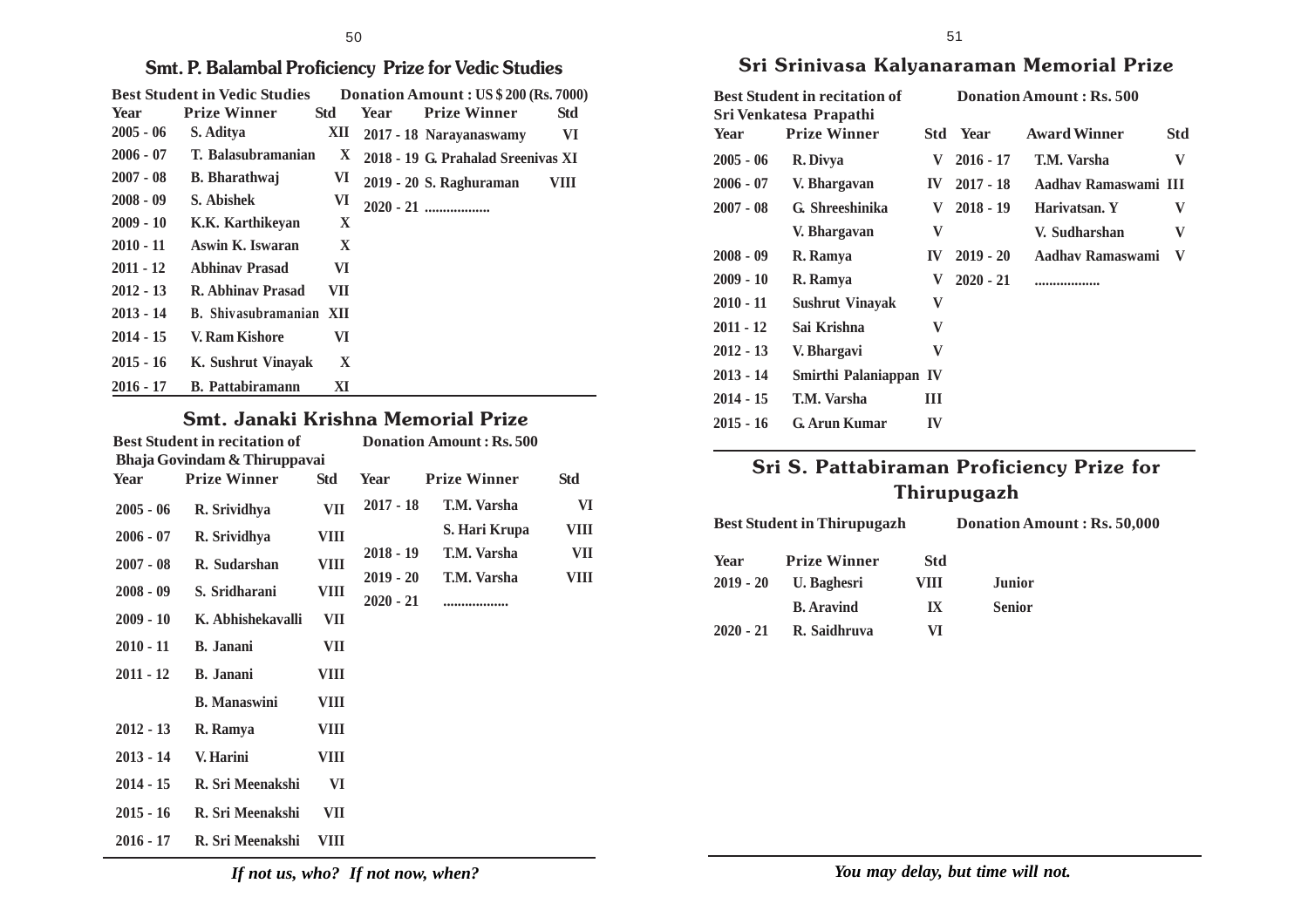### **Smt. P. Balambal Proficiency Prize for Vedic Studies**

| <b>Best Student in Vedic Studies</b> |                         |            |      | Donation Amount: US \$200 (Rs. 7000) |      |
|--------------------------------------|-------------------------|------------|------|--------------------------------------|------|
| <b>Year</b>                          | <b>Prize Winner</b>     | <b>Std</b> | Year | <b>Prize Winner</b>                  | Std  |
| $2005 - 06$                          | S. Aditya               | XII.       |      | 2017 - 18 Narayanaswamy              | VI   |
| $2006 - 07$                          | T. Balasubramanian      | X.         |      | 2018 - 19 G. Prahalad Sreenivas XI   |      |
| $2007 - 08$                          | <b>B.</b> Bharathwaj    | VI         |      | 2019 - 20 S. Raghuraman              | VIII |
| $2008 - 09$                          | S. Abishek              | VI         |      |                                      |      |
| $2009 - 10$                          | K.K. Karthikeyan        | X          |      |                                      |      |
| $2010 - 11$                          | Aswin K. Iswaran        | X          |      |                                      |      |
| $2011 - 12$                          | <b>Abhinav Prasad</b>   | VI         |      |                                      |      |
| $2012 - 13$                          | R. Abhinay Prasad       | VII        |      |                                      |      |
| $2013 - 14$                          | B. Shivasubramanian XII |            |      |                                      |      |
| $2014 - 15$                          | V. Ram Kishore          | VI         |      |                                      |      |
| $2015 - 16$                          | K. Sushrut Vinavak      | X          |      |                                      |      |
| $2016 - 17$                          | <b>B.</b> Pattabiramann | XI         |      |                                      |      |

### **Smt. Janaki Krishna Memorial Prize**

|             | <b>Best Student in recitation of</b>                |             | <b>Donation Amount: Rs. 500</b> |                     |      |
|-------------|-----------------------------------------------------|-------------|---------------------------------|---------------------|------|
| Year        | Bhaja Govindam & Thiruppavai<br><b>Prize Winner</b> | <b>Std</b>  | Year                            | <b>Prize Winner</b> | Std  |
| $2005 - 06$ | R. Srividhya                                        | VII         | $2017 - 18$                     | T.M. Varsha         | VI   |
| $2006 - 07$ | R. Srividhya                                        | VIII        |                                 | S. Hari Krupa       | VIII |
| $2007 - 08$ | R. Sudarshan                                        | <b>VIII</b> | $2018 - 19$                     | T.M. Varsha         | VII  |
|             |                                                     |             | $2019 - 20$                     | T.M. Varsha         | VIII |
| $2008 - 09$ | S. Sridharani                                       | <b>VIII</b> | $2020 - 21$                     | .                   |      |
| $2009 - 10$ | K. Abhishekavalli                                   | VII         |                                 |                     |      |
| $2010 - 11$ | <b>B.</b> Janani                                    | VII         |                                 |                     |      |
| $2011 - 12$ | <b>B.</b> Janani                                    | VIII        |                                 |                     |      |
|             | <b>B.</b> Manaswini                                 | VIII        |                                 |                     |      |
| $2012 - 13$ | R. Ramya                                            | VIII        |                                 |                     |      |
| $2013 - 14$ | V. Harini                                           | <b>VIII</b> |                                 |                     |      |
| $2014 - 15$ | R. Sri Meenakshi                                    | VI          |                                 |                     |      |
| $2015 - 16$ | R. Sri Meenakshi                                    | VII         |                                 |                     |      |
| $2016 - 17$ | R. Sri Meenakshi                                    | VIII        |                                 |                     |      |

### **Sri Srinivasa Kalyanaraman Memorial Prize**

| Sri Venkatesa Prapathi<br><b>Prize Winner</b><br><b>Year</b> |                                      | <b>Year</b>                   | <b>Award Winner</b> | Std                                                                  |
|--------------------------------------------------------------|--------------------------------------|-------------------------------|---------------------|----------------------------------------------------------------------|
| R. Divya                                                     | V                                    | $2016 - 17$                   | T.M. Varsha         | V                                                                    |
| V. Bhargavan                                                 | <b>IV</b>                            | $2017 - 18$                   |                     |                                                                      |
| G. Shreeshinika                                              | V                                    | $2018 - 19$                   | Harivatsan. Y       | V                                                                    |
| V. Bhargavan                                                 | V                                    |                               | V. Sudharshan       | V                                                                    |
| R. Ramya                                                     | IV                                   | $2019 - 20$                   |                     | V                                                                    |
| R. Ramya                                                     | V                                    | $2020 - 21$                   |                     |                                                                      |
| <b>Sushrut Vinayak</b>                                       | V                                    |                               |                     |                                                                      |
| Sai Krishna                                                  | V                                    |                               |                     |                                                                      |
| V. Bhargavi                                                  | V                                    |                               |                     |                                                                      |
|                                                              |                                      |                               |                     |                                                                      |
| T.M. Varsha                                                  | Ш                                    |                               |                     |                                                                      |
| G. Arun Kumar                                                | IV                                   |                               |                     |                                                                      |
|                                                              | <b>Best Student in recitation of</b> | Std<br>Smirthi Palaniappan IV |                     | Donation Amount: Rs. 500<br>Aadhav Ramaswami III<br>Aadhav Ramaswami |

### **Sri S. Pattabiraman Proficiency Prize for Thirupugazh**

**Best Student in Thirupugazh Donation Amount : Rs. 50,000**

| Year        | <b>Prize Winner</b> | Std  |               |
|-------------|---------------------|------|---------------|
| $2019 - 20$ | U. Baghesri         | VIII | <b>Junior</b> |
|             | <b>B.</b> Aravind   | IX   | <b>Senior</b> |
| $2020 - 21$ | R. Saidhruva        | VI   |               |

*If not us, who? If not now, when?*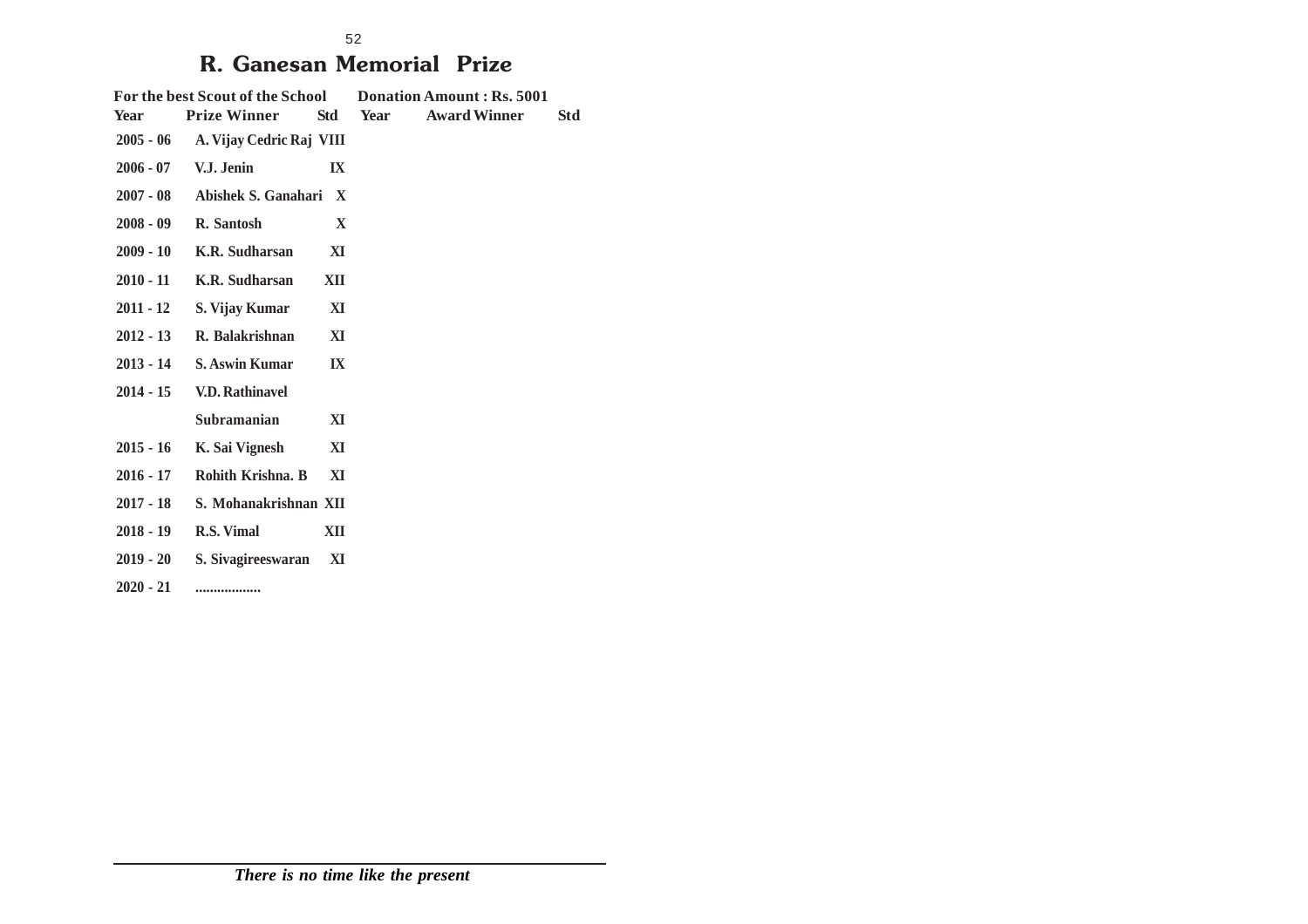## **R. Ganesan Memorial Prize**

| Year        | <b>Prize Winner</b>    | Std                                                                                                                           | Year                                                                                                                               | <b>Award Winner</b> | Std                       |
|-------------|------------------------|-------------------------------------------------------------------------------------------------------------------------------|------------------------------------------------------------------------------------------------------------------------------------|---------------------|---------------------------|
|             |                        |                                                                                                                               |                                                                                                                                    |                     |                           |
|             | V.J. Jenin             | $\mathbf{I}$ X                                                                                                                |                                                                                                                                    |                     |                           |
|             |                        | $\mathbf{X}$                                                                                                                  |                                                                                                                                    |                     |                           |
|             | R. Santosh             | $\mathbf{X}$                                                                                                                  |                                                                                                                                    |                     |                           |
| $2009 - 10$ | K.R. Sudharsan         | XI                                                                                                                            |                                                                                                                                    |                     |                           |
| $2010 - 11$ | K.R. Sudharsan         | XII                                                                                                                           |                                                                                                                                    |                     |                           |
| $2011 - 12$ | S. Vijay Kumar         | XI                                                                                                                            |                                                                                                                                    |                     |                           |
| $2012 - 13$ | R. Balakrishnan        | XI                                                                                                                            |                                                                                                                                    |                     |                           |
|             | <b>S. Aswin Kumar</b>  | $\mathbf{I} \mathbf{X}$                                                                                                       |                                                                                                                                    |                     |                           |
| $2014 - 15$ | <b>V.D. Rathinavel</b> |                                                                                                                               |                                                                                                                                    |                     |                           |
|             | Subramanian            | XI                                                                                                                            |                                                                                                                                    |                     |                           |
| $2015 - 16$ | K. Sai Vignesh         | XI                                                                                                                            |                                                                                                                                    |                     |                           |
|             | Rohith Krishna. B      | XI                                                                                                                            |                                                                                                                                    |                     |                           |
|             |                        |                                                                                                                               |                                                                                                                                    |                     |                           |
|             | R.S. Vimal             | XII                                                                                                                           |                                                                                                                                    |                     |                           |
|             |                        | XI                                                                                                                            |                                                                                                                                    |                     |                           |
| $2020 - 21$ |                        |                                                                                                                               |                                                                                                                                    |                     |                           |
|             |                        | $2005 - 06$<br>$2006 - 07$<br>$2007 - 08$<br>$2008 - 09$<br>$2013 - 14$<br>2016 - 17<br>2017 - 18<br>2018 - 19<br>$2019 - 20$ | For the best Scout of the School<br>A. Vijay Cedric Raj VIII<br>Abishek S. Ganahari<br>S. Mohanakrishnan XII<br>S. Sivagireeswaran |                     | Donation Amount: Rs. 5001 |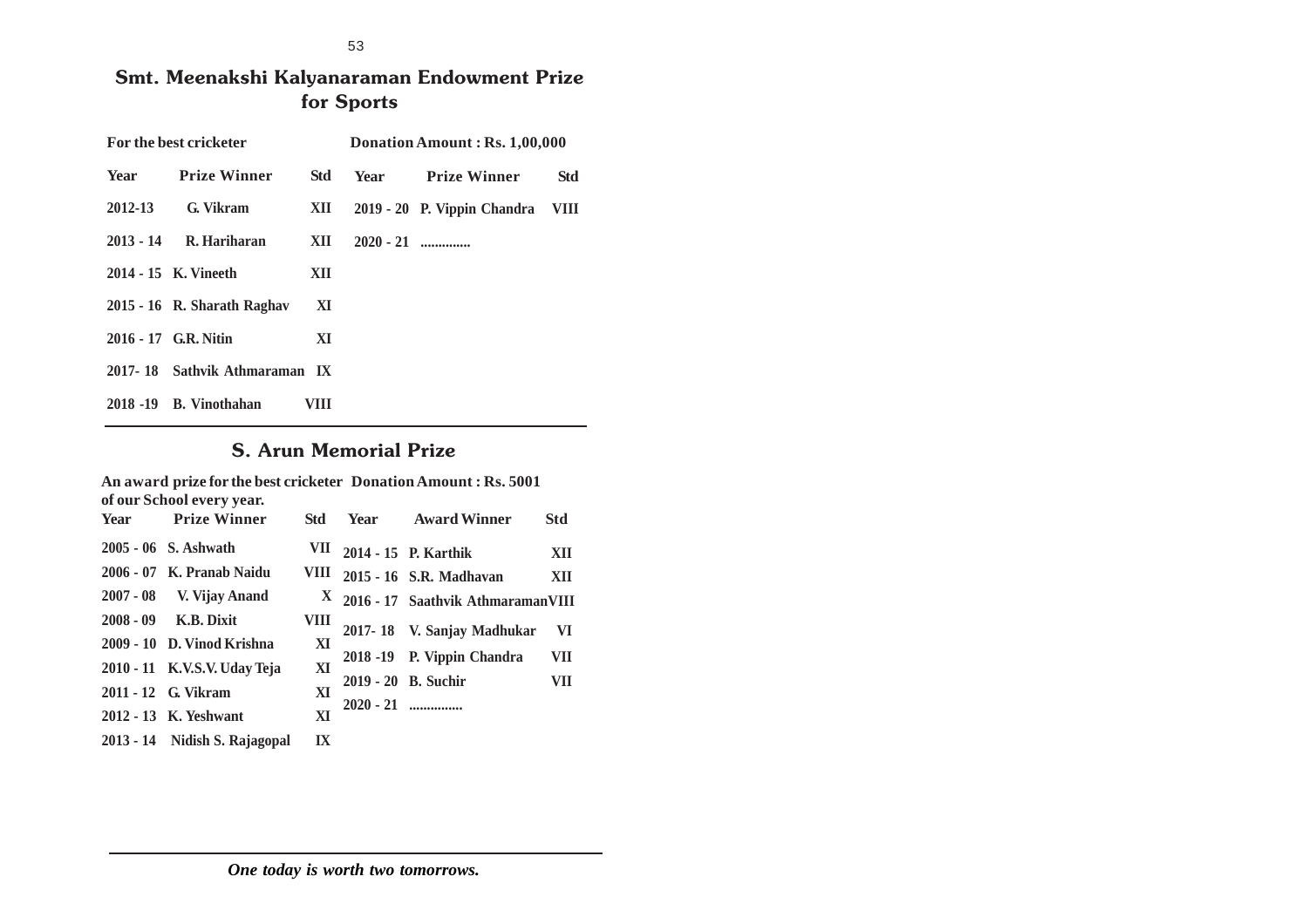53

### **Smt. Meenakshi Kalyanaraman Endowment Prize for Sports**

|         | For the best cricketer        |            | Donation Amount: Rs. 1,00,000 |                             |      |  |  |
|---------|-------------------------------|------------|-------------------------------|-----------------------------|------|--|--|
| Year    | <b>Prize Winner</b>           | <b>Std</b> | Year                          | <b>Prize Winner</b>         | Std  |  |  |
| 2012-13 | G. Vikram                     | XII        |                               | 2019 - 20 P. Vippin Chandra | VIII |  |  |
|         | 2013 - 14 R. Hariharan        | XII        | $2020 - 21$                   |                             |      |  |  |
|         | 2014 - 15 K. Vineeth          | XII        |                               |                             |      |  |  |
|         | 2015 - 16 R. Sharath Raghav   | XI         |                               |                             |      |  |  |
|         | 2016 - 17 G.R. Nitin          | XI         |                               |                             |      |  |  |
|         | 2017-18 Sathvik Athmaraman IX |            |                               |                             |      |  |  |
|         | 2018 -19 B. Vinothahan        | VIII       |                               |                             |      |  |  |

### **S. Arun Memorial Prize**

|      | An award prize for the best cricketer Donation Amount: Rs. 5001<br>of our School every year. |                         |             |                                     |            |  |  |  |  |
|------|----------------------------------------------------------------------------------------------|-------------------------|-------------|-------------------------------------|------------|--|--|--|--|
| Year | <b>Prize Winner</b>                                                                          | Std                     |             | <b>Year</b> Award Winner            | <b>Std</b> |  |  |  |  |
|      | 2005 - 06 S. Ashwath                                                                         | VII                     |             | 2014 - 15 P. Karthik                | XII        |  |  |  |  |
|      | 2006 - 07 K. Pranab Naidu                                                                    | VIII.                   |             | 2015 - 16 S.R. Madhavan             | XII        |  |  |  |  |
|      | 2007 - 08 V. Vijay Anand                                                                     |                         |             | X 2016 - 17 Saathvik AthmaramanVIII |            |  |  |  |  |
|      | 2008 - 09 K.B. Dixit                                                                         | VIII                    |             | 2017-18 V. Sanjay Madhukar          | <b>VI</b>  |  |  |  |  |
|      | 2009 - 10 D. Vinod Krishna                                                                   | XI                      |             |                                     | VII        |  |  |  |  |
|      | 2010 - 11 K.V.S.V. Uday Teja                                                                 | XI                      |             | 2018 -19 P. Vippin Chandra          |            |  |  |  |  |
|      | 2011 - 12 G. Vikram                                                                          | XI                      |             | 2019 - 20 B. Suchir                 | VII        |  |  |  |  |
|      | 2012 - 13 K. Yeshwant                                                                        | XI                      | $2020 - 21$ |                                     |            |  |  |  |  |
|      | 2013 - 14 Nidish S. Rajagopal                                                                | $\mathbf{I} \mathbf{X}$ |             |                                     |            |  |  |  |  |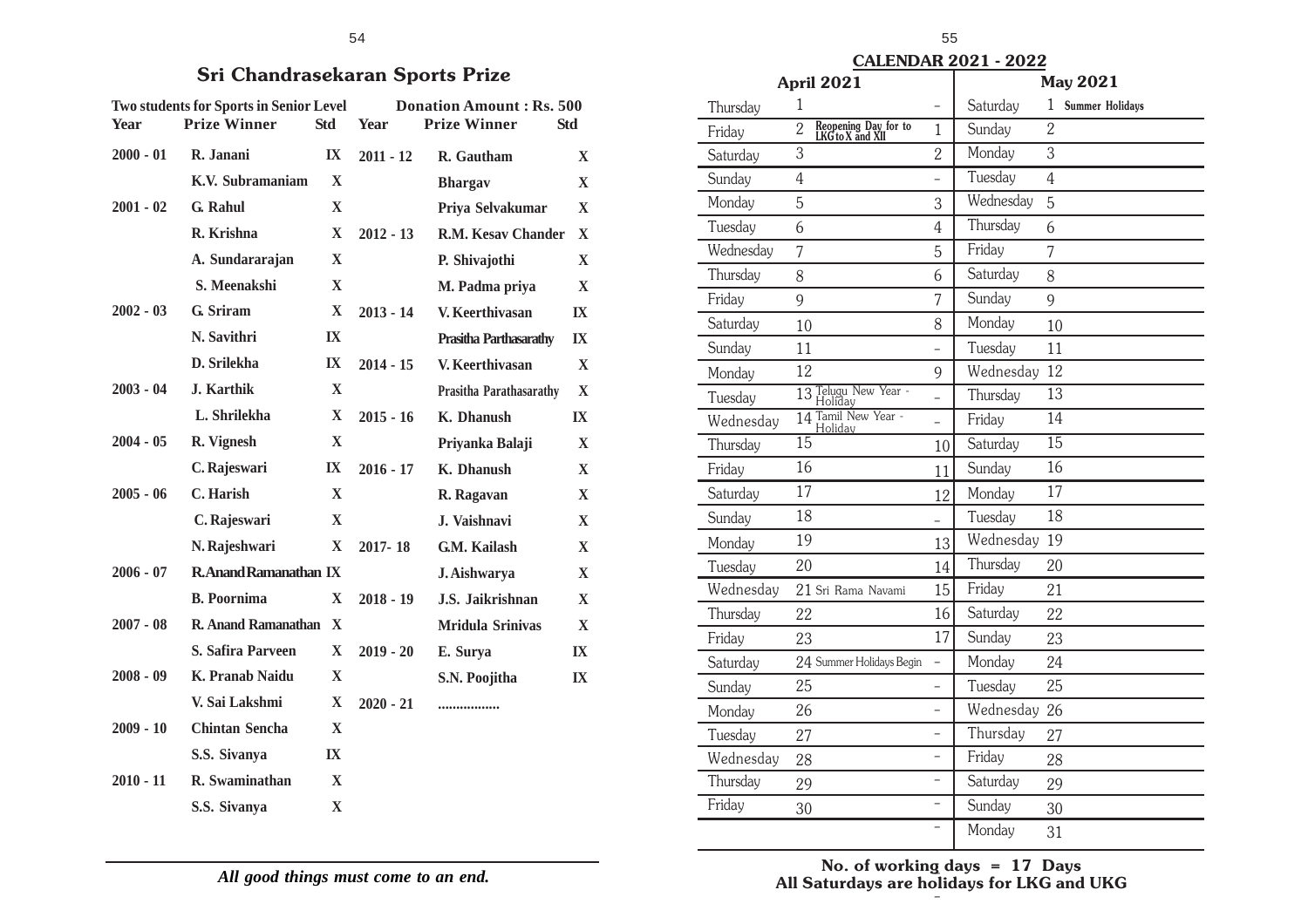|             | <b>Two students for Sports in Senior Level</b> |                         | <b>Donation Amount: Rs. 500</b> |                               |              |  |  |
|-------------|------------------------------------------------|-------------------------|---------------------------------|-------------------------------|--------------|--|--|
| Year        | <b>Prize Winner</b>                            | <b>Std</b>              | Year                            | <b>Prize Winner</b>           | <b>Std</b>   |  |  |
| $2000 - 01$ | R. Janani                                      | $\mathbf{I} \mathbf{X}$ | $2011 - 12$                     | R. Gautham                    | X            |  |  |
|             | K.V. Subramaniam                               | $\mathbf{X}$            |                                 | <b>Bhargav</b>                | X            |  |  |
| $2001 - 02$ | G. Rahul                                       | $\mathbf{X}$            |                                 | Priya Selvakumar              | $\mathbf X$  |  |  |
|             | R. Krishna                                     | $\mathbf X$             | $2012 - 13$                     | R.M. Kesay Chander            | X            |  |  |
|             | A. Sundararajan                                | $\mathbf{X}$            |                                 | P. Shivajothi                 | $\mathbf{X}$ |  |  |
|             | S. Meenakshi                                   | $\mathbf{X}$            |                                 | M. Padma priya                | X            |  |  |
| $2002 - 03$ | G. Sriram                                      | $\mathbf X$             | $2013 - 14$                     | V. Keerthivasan               | IX           |  |  |
|             | N. Savithri                                    | IX                      |                                 | <b>Prasitha Parthasarathy</b> | IX           |  |  |
|             | D. Srilekha                                    | IX                      | $2014 - 15$                     | V. Keerthivasan               | $\mathbf{X}$ |  |  |
| $2003 - 04$ | J. Karthik                                     | $\mathbf{X}$            |                                 | Prasitha Parathasarathy       | $\mathbf X$  |  |  |
|             | L. Shrilekha                                   | $\mathbf{X}$            | $2015 - 16$                     | K. Dhanush                    | IX           |  |  |
| $2004 - 05$ | R. Vignesh                                     | $\mathbf X$             |                                 | Priyanka Balaji               | X            |  |  |
|             | C. Rajeswari                                   | IX                      | $2016 - 17$                     | K. Dhanush                    | $\mathbf X$  |  |  |
| $2005 - 06$ | C. Harish                                      | $\mathbf{x}$            |                                 | R. Ragavan                    | $\mathbf{X}$ |  |  |
|             | C. Rajeswari                                   | $\mathbf{X}$            |                                 | J. Vaishnavi                  | X            |  |  |
|             | N. Rajeshwari                                  | $\mathbf{X}$            | 2017-18                         | G.M. Kailash                  | X            |  |  |
| $2006 - 07$ | <b>R.Anand Ramanathan IX</b>                   |                         |                                 | J. Aishwarya                  | X            |  |  |
|             | <b>B.</b> Poornima                             | X                       | $2018 - 19$                     | J.S. Jaikrishnan              | $\mathbf{X}$ |  |  |
| $2007 - 08$ | R. Anand Ramanathan                            | $\mathbf{X}$            |                                 | <b>Mridula Srinivas</b>       | $\mathbf X$  |  |  |
|             | <b>S. Safira Parveen</b>                       | X                       | $2019 - 20$                     | E. Surya                      | IX           |  |  |
| $2008 - 09$ | K. Pranab Naidu                                | X                       |                                 | S.N. Poojitha                 | IX           |  |  |
|             | V. Sai Lakshmi                                 | $\mathbf{X}$            | $2020 - 21$                     |                               |              |  |  |
| $2009 - 10$ | <b>Chintan Sencha</b>                          | X                       |                                 |                               |              |  |  |
|             | S.S. Sivanya                                   | IX                      |                                 |                               |              |  |  |
| $2010 - 11$ | R. Swaminathan                                 | X                       |                                 |                               |              |  |  |
|             | S.S. Sivanya                                   | $\mathbf{X}$            |                                 |                               |              |  |  |

*All good things must come to an end.*

|             |                                                                       |                         | 54          |                                                        |                         |  |
|-------------|-----------------------------------------------------------------------|-------------------------|-------------|--------------------------------------------------------|-------------------------|--|
|             | <b>Sri Chandrasekaran Sports Prize</b>                                |                         |             |                                                        |                         |  |
| <b>Year</b> | <b>Two students for Sports in Senior Level</b><br><b>Prize Winner</b> | <b>Std</b>              | <b>Year</b> | <b>Donation Amount: Rs. 500</b><br><b>Prize Winner</b> | <b>Std</b>              |  |
| $2000 - 01$ | R. Janani                                                             | $\mathbf{I} \mathbf{X}$ | $2011 - 12$ | R. Gautham                                             | $\mathbf{X}$            |  |
|             | K.V. Subramaniam                                                      | $\mathbf X$             |             | <b>Bhargav</b>                                         | $\mathbf{X}$            |  |
| $2001 - 02$ | G. Rahul                                                              | X                       |             | Priya Selvakumar                                       | X                       |  |
|             | R. Krishna                                                            | $\mathbf{X}$            | $2012 - 13$ | R.M. Kesav Chander                                     | $\mathbf{x}$            |  |
|             | A. Sundararajan                                                       | $\mathbf X$             |             | P. Shivajothi                                          | $\mathbf{X}$            |  |
|             | S. Meenakshi                                                          | $\mathbf{X}$            |             | M. Padma priya                                         | $\mathbf{X}$            |  |
| $2002 - 03$ | G. Sriram                                                             | X                       | $2013 - 14$ | V. Keerthivasan                                        | $\mathbf{I}$ <b>X</b>   |  |
|             | N. Savithri                                                           | $\mathbf{I} \mathbf{X}$ |             | <b>Prasitha Parthasarathy</b>                          | $\mathbf{I} \mathbf{X}$ |  |
|             | D. Srilekha                                                           | $\mathbf{I} \mathbf{X}$ | $2014 - 15$ | V. Keerthivasan                                        | $\mathbf{X}$            |  |
| $2003 - 04$ | J. Karthik                                                            | $\mathbf{X}$            |             | Prasitha Parathasarathy                                | $\mathbf{X}$            |  |
|             | L. Shrilekha                                                          | $\mathbf{X}$            | $2015 - 16$ | K. Dhanush                                             | IX                      |  |
| $2004 - 05$ | R. Vignesh                                                            | $\mathbf{X}$            |             | Priyanka Balaji                                        | $\mathbf{X}$            |  |
|             | C. Rajeswari                                                          | $\mathbf{I} \mathbf{X}$ | $2016 - 17$ | K. Dhanush                                             | X                       |  |
| $2005 - 06$ | C. Harish                                                             | $\mathbf{X}$            |             | R. Ragavan                                             | $\mathbf{X}$            |  |
|             | C. Rajeswari                                                          | X                       |             | J. Vaishnavi                                           | $\mathbf{X}$            |  |
|             | N. Rajeshwari                                                         | X                       | 2017-18     | G.M. Kailash                                           | $\mathbf{X}$            |  |
| $2006 - 07$ | <b>R.Anand Ramanathan IX</b>                                          |                         |             | J. Aishwarya                                           | X                       |  |
|             | <b>B.</b> Poornima                                                    | $\mathbf{X}$            | $2018 - 19$ | J.S. Jaikrishnan                                       | $\mathbf{X}$            |  |
| $2007 - 08$ | R. Anand Ramanathan X                                                 |                         |             | <b>Mridula Srinivas</b>                                | $\mathbf X$             |  |
|             | <b>S. Safira Parveen</b>                                              | $\mathbf X$             | $2019 - 20$ | E. Surya                                               | $\mathbf{I}$            |  |
| $\alpha$    |                                                                       | $-$                     |             |                                                        |                         |  |

| Thursday  | $\mathbf{1}$                                               |                          | Saturday  | 1<br><b>Summer Holidays</b> |
|-----------|------------------------------------------------------------|--------------------------|-----------|-----------------------------|
| Friday    | Reopening Day for to<br>LKG to X and XII<br>$\overline{2}$ | $\mathbf{1}$             | Sunday    | $\overline{2}$              |
| Saturday  | 3                                                          | $\overline{2}$           | Monday    | 3                           |
| Sunday    | $\overline{4}$                                             | $\overline{a}$           | Tuesday   | $\overline{4}$              |
| Monday    | 5                                                          | 3                        | Wednesday | 5                           |
| Tuesday   | 6                                                          | $\overline{4}$           | Thursday  | 6                           |
| Wednesday | 7                                                          | 5                        | Friday    | 7                           |
| Thursday  | 8                                                          | 6                        | Saturday  | 8                           |
| Friday    | 9                                                          | 7                        | Sunday    | 9                           |
| Saturday  | 10                                                         | 8                        | Monday    | 10                          |
| Sunday    | 11                                                         |                          | Tuesday   | 11                          |
| Monday    | 12                                                         | 9                        | Wednesday | 12                          |
| Tuesday   | 13 Telugu New Year -<br>Holiday                            |                          | Thursday  | 13                          |
| Wednesday | 14 Tamil New Year -<br>Holidav                             | $\overline{a}$           | Friday    | 14                          |
| Thursday  | $\overline{15}$                                            | 10                       | Saturday  | $\overline{15}$             |
| Friday    | 16                                                         | 11                       | Sunday    | 16                          |
| Saturday  | 17                                                         | 12                       | Monday    | 17                          |
| Sunday    | 18                                                         | $\overline{\phantom{0}}$ | Tuesday   | 18                          |
| Monday    | 19                                                         | 13                       | Wednesday | 19                          |
| Tuesday   | 20                                                         | 14                       | Thursday  | 20                          |
| Wednesday | 21 Sri Rama Navami                                         | 15                       | Friday    | 21                          |
| Thursday  | 22                                                         | 16                       | Saturday  | 22                          |
| Friday    | 23                                                         | 17                       | Sunday    | 23                          |
| Saturday  | 24 Summer Holidays Begin                                   |                          | Monday    | 24                          |
| Sunday    | 25                                                         | $\overline{a}$           | Tuesday   | 25                          |
| Monday    | 26                                                         |                          | Wednesday | 26                          |
| Tuesday   | 27                                                         | $\overline{a}$           | Thursday  | 27                          |
| Wednesday | 28                                                         | $\overline{a}$           | Friday    | 28                          |
| Thursday  | 29                                                         | $\overline{a}$           | Saturday  | 29                          |
| Friday    | 30                                                         | $\overline{a}$           | Sunday    | 30                          |
|           |                                                            |                          | Monday    | 31                          |
|           |                                                            |                          |           |                             |

**May 2021**

**April 2021**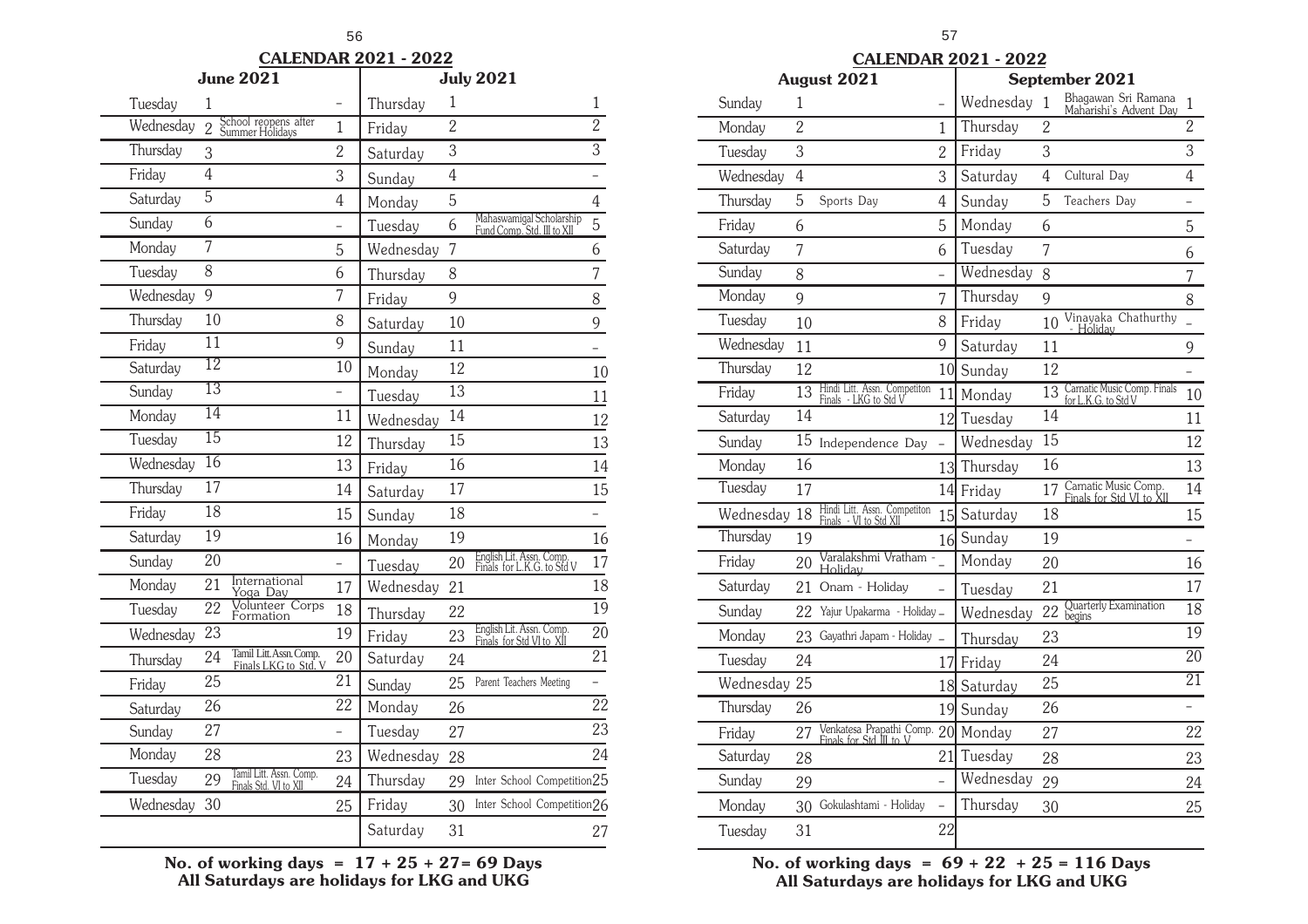#### **CALENDAR 2021 - 2022**

|           | June 2021       | <b>July 2021</b>                                 |                 |           |                 |                                                        |                 |
|-----------|-----------------|--------------------------------------------------|-----------------|-----------|-----------------|--------------------------------------------------------|-----------------|
| Tuesday   | 1               |                                                  |                 | Thursday  | 1               |                                                        | $\mathbf{1}$    |
| Wednesday | $\overline{2}$  | School reopens after<br>Summer Holidays          | $\mathbf{1}$    | Friday    | $\overline{2}$  |                                                        | $\overline{2}$  |
| Thursday  | 3               |                                                  | $\overline{2}$  | Saturday  | 3               |                                                        | $\overline{3}$  |
| Friday    | $\overline{4}$  |                                                  | 3               | Sunday    | $\overline{4}$  |                                                        |                 |
| Saturday  | $\overline{5}$  |                                                  | 4               | Monday    | $\overline{5}$  |                                                        | $\overline{4}$  |
| Sunday    | 6               |                                                  |                 | Tuesday   | 6               | Mahaswamigal Scholarship<br>Fund Comp. Std. III to XII | $\overline{5}$  |
| Monday    | $\overline{7}$  |                                                  | 5               | Wednesday | 7               |                                                        | 6               |
| Tuesday   | 8               |                                                  | 6               | Thursday  | 8               |                                                        | 7               |
| Wednesday | 9               |                                                  | 7               | Friday    | 9               |                                                        | 8               |
| Thursday  | 10              |                                                  | 8               | Saturday  | 10              |                                                        | 9               |
| Friday    | $\overline{11}$ |                                                  | $\overline{9}$  | Sunday    | 11              |                                                        | $\overline{a}$  |
| Saturday  | $\overline{12}$ |                                                  | 10              | Monday    | 12              |                                                        | 10              |
| Sunday    | $\overline{13}$ |                                                  |                 | Tuesday   | $\overline{13}$ |                                                        | 11              |
| Monday    | $\overline{14}$ |                                                  | 11              | Wednesday | 14              |                                                        | 12              |
| Tuesday   | $\overline{15}$ |                                                  | 12              | Thursday  | 15              |                                                        | 13              |
| Wednesday | $\overline{16}$ |                                                  | 13              | Friday    | 16              |                                                        | 14              |
| Thursday  | $\overline{17}$ |                                                  | 14              | Saturday  | 17              |                                                        | 15              |
| Friday    | $\overline{18}$ |                                                  | 15              | Sunday    | 18              |                                                        |                 |
| Saturday  | $\overline{19}$ |                                                  | 16              | Monday    | 19              |                                                        | 16              |
| Sunday    | 20              |                                                  |                 | Tuesday   | 20              | English Lit. Assn. Comp.<br>Finals for L.K.G. to Std V | 17              |
| Monday    | 21              | International<br>Yoga Day                        | 17              | Wednesday | 21              |                                                        | 18              |
| Tuesday   | $\overline{22}$ | Volunteer Corps<br>Formation                     | 18              | Thursday  | 22              |                                                        | $\overline{19}$ |
| Wednesday | 23              |                                                  | 19              | Friday    | 23              | English Lit. Assn. Comp.<br>Finals for Std VI to XII   | $\overline{20}$ |
| Thursday  | 24              | Tamil Litt. Assn. Comp.<br>Finals LKG to Std. V  | 20              | Saturday  | 24              |                                                        | $\overline{21}$ |
| Friday    | $\overline{25}$ |                                                  | $\overline{21}$ | Sunday    | 25              | Parent Teachers Meeting                                |                 |
| Saturday  | 26              |                                                  | 22              | Monday    | 26              |                                                        | $\overline{22}$ |
| Sunday    | 27              |                                                  |                 | Tuesday   | 27              |                                                        | 23              |
| Monday    | 28              |                                                  | 23              | Wednesday | 28              |                                                        | 24              |
| Tuesday   | 29              | Tamil Litt. Assn. Comp.<br>Finals Std. VI to XII | 24              | Thursday  | 29              | Inter School Competition25                             |                 |
| Wednesday | 30              |                                                  | 25              | Friday    | 30              | Inter School Competition26                             |                 |
|           |                 |                                                  |                 | Saturday  | 31              |                                                        | 27              |

**No. of working days = 17 + 25 + 27= 69 Days All Saturdays are holidays for LKG and UKG**

|  |  |  | <b>CALENDAR 2021 - 2022</b> |
|--|--|--|-----------------------------|
|  |  |  |                             |

| <b>August 2021</b> |                |                                                        |                 | September 2021 |                |                                                         |                 |
|--------------------|----------------|--------------------------------------------------------|-----------------|----------------|----------------|---------------------------------------------------------|-----------------|
| Sunday             | 1              |                                                        |                 | Wednesday      | 1              | Bhagawan Sri Ramana<br>Maharishi's Advent Day           | $\mathbf{1}$    |
| Monday             | $\overline{2}$ |                                                        | 1               | Thursday       | $\overline{2}$ |                                                         | $\overline{2}$  |
| Tuesday            | $\overline{3}$ |                                                        | $\overline{2}$  | Friday         | 3              |                                                         | $\overline{3}$  |
| Wednesday          | $\overline{4}$ |                                                        | 3               | Saturday       | $\overline{4}$ | Cultural Day                                            | $\overline{4}$  |
| Thursday           | 5              | Sports Day                                             | $\overline{4}$  | Sunday         | 5              | Teachers Day                                            | -               |
| Friday             | 6              |                                                        | 5               | Monday         | 6              |                                                         | 5               |
| Saturday           | 7              |                                                        | 6               | Tuesday        | 7              |                                                         | 6               |
| Sunday             | 8              |                                                        | $\overline{a}$  | Wednesday      | 8              |                                                         | 7               |
| Monday             | 9              |                                                        | 7               | Thursday       | 9              |                                                         | 8               |
| Tuesday            | 10             |                                                        | 8               | Friday         | 10             | Vinayaka Chathurthy<br>Holiday                          |                 |
| Wednesday          | 11             |                                                        | 9               | Saturday       | 11             |                                                         | 9               |
| Thursday           | 12             |                                                        | 10              | Sunday         | 12             |                                                         |                 |
| Friday             | 13             | Hindi Litt. Assn. Competiton<br>Finals - LKG to Std V  | 11              | Monday         | 13             | Carnatic Music Comp. Finals<br>for L.K.G. to Std V      | 10              |
| Saturday           | 14             |                                                        | 12 <sup>1</sup> | Tuesday        | 14             |                                                         | 11              |
| Sunday             |                | 15 Independence Day                                    |                 | Wednesday      | 15             |                                                         | 12              |
| Monday             | 16             |                                                        | 13              | Thursday       | 16             |                                                         | 13              |
| Tuesday            | 17             |                                                        | 14              | Friday         | 17             | Carnatic Music Comp.<br><u>Finals for Std VI to XII</u> | 14              |
| Wednesday          | 18             | Hindi Litt. Assn. Competiton<br>Finals - VI to Std XII | 15 <sup>l</sup> | Saturday       | 18             |                                                         | 15              |
| Thursday           | 19             |                                                        | 16              | Sunday         | 19             |                                                         |                 |
| Friday             | 20             | Varalakshmi Vratham -<br>Holiday                       |                 | Monday         | 20             |                                                         | 16              |
| Saturday           | 21             | Onam - Holiday                                         | $\overline{a}$  | Tuesday        | 21             |                                                         | 17              |
| Sunday             | 22             | Yajur Upakarma - Holiday _                             |                 | Wednesday      | 22             | Quarterly Examination<br>begins                         | 18              |
| Monday             | 23             | Gayathri Japam - Holiday                               |                 | Thursday       | 23             |                                                         | $\overline{19}$ |
| Tuesday            | 24             |                                                        | 17              | Friday         | 24             |                                                         | $\overline{20}$ |
| Wednesday          | 25             |                                                        | 18              | Saturday       | 25             |                                                         | $\overline{21}$ |
| Thursday           | 26             |                                                        | 19              | Sunday         | 26             |                                                         |                 |
| Friday             | 27             | Venkatesa Prapathi Comp.<br>Finals for Std III to V    | 20              | Monday         | 27             |                                                         | 22              |
| Saturday           | 28             |                                                        | 21              | Tuesday        | 28             |                                                         | 23              |
| Sunday             | 29             |                                                        | $\overline{a}$  | Wednesday      | 29             |                                                         | 24              |
| Monday             | 30             | Gokulashtami - Holiday                                 | $\overline{a}$  | Thursday       | 30             |                                                         | 25              |
| Tuesday            | 31             |                                                        | 22              |                |                |                                                         |                 |

**No. of working days = 69 + 22 + 25 = 116 Days All Saturdays are holidays for LKG and UKG**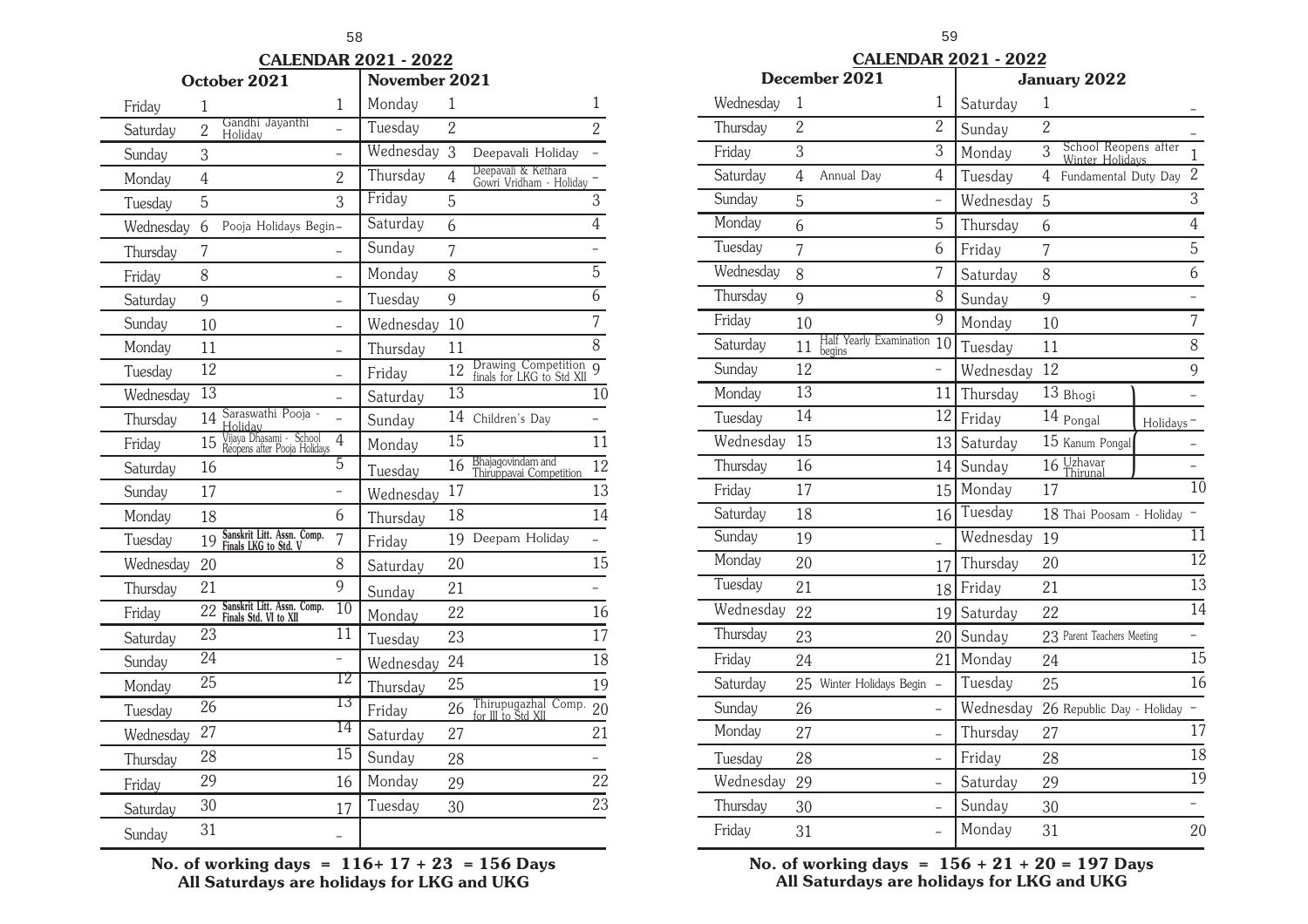#### **CALENDAR 2021 - 2022**

|           | October 2021    |                                                         |                 |           | November 2021   |                                                  |                |  |
|-----------|-----------------|---------------------------------------------------------|-----------------|-----------|-----------------|--------------------------------------------------|----------------|--|
| Friday    | 1               |                                                         | $\mathbf{1}$    | Monday    | 1               |                                                  | 1              |  |
| Saturday  | $\overline{2}$  | Gandhi Jayanthi<br>Holiday                              |                 | Tuesday   | $\overline{2}$  |                                                  | $\overline{2}$ |  |
| Sunday    | 3               |                                                         |                 | Wednesday | 3               | Deepavali Holiday                                |                |  |
| Monday    | $\overline{4}$  |                                                         | $\overline{2}$  | Thursday  | $\overline{4}$  | Deepavali & Kethara<br>Gowri Vridham - Holiday   |                |  |
| Tuesday   | 5               |                                                         | 3               | Friday    | 5               |                                                  | $\mathfrak{Z}$ |  |
| Wednesday | 6               | Pooja Holidays Begin-                                   |                 | Saturday  | 6               |                                                  | $\overline{4}$ |  |
| Thursday  | 7               |                                                         |                 | Sunday    | 7               |                                                  |                |  |
| Friday    | 8               |                                                         |                 | Monday    | 8               |                                                  | $\overline{5}$ |  |
| Saturday  | 9               |                                                         |                 | Tuesday   | 9               |                                                  | $\overline{6}$ |  |
| Sunday    | 10              |                                                         |                 | Wednesday | 10              |                                                  | $\overline{7}$ |  |
| Monday    | 11              |                                                         | $\overline{a}$  | Thursday  | 11              |                                                  | 8              |  |
| Tuesday   | 12              |                                                         |                 | Friday    | 12              | Drawing Competition<br>finals for LKG to Std XII | 9              |  |
| Wednesday | $\overline{13}$ |                                                         |                 | Saturday  | $\overline{13}$ |                                                  | 10             |  |
| Thursday  | 14              | Saraswathi Pooja -<br>Holidav                           |                 | Sunday    | 14              | Children's Day                                   |                |  |
| Friday    | 15              | Vijaya Dhasami - School<br>Réopens after Pooja Holidays | $\overline{4}$  | Monday    | 15              |                                                  | 11             |  |
| Saturday  | 16              |                                                         | $\overline{5}$  | Tuesday   | 16              | Bhajagovindam and<br>Thiruppavai Competition     | 12             |  |
| Sunday    | 17              |                                                         |                 | Wednesday | 17              |                                                  | 13             |  |
| Monday    | 18              |                                                         | 6               | Thursday  | 18              |                                                  | 14             |  |
| Tuesday   | 19              | Sanskrit Litt. Assn. Comp.<br>Finals LKG to Std. V      | 7               | Friday    | 19              | Deepam Holiday                                   |                |  |
| Wednesday | 20              |                                                         | 8               | Saturday  | 20              |                                                  | 15             |  |
| Thursday  | 21              |                                                         | 9               | Sunday    | 21              |                                                  |                |  |
| Friday    | 22              | Sanskrit Litt. Assn. Comp.<br>Finals Std. VI to XII     | $\overline{10}$ | Monday    | 22              |                                                  | 16             |  |
| Saturday  | 23              |                                                         | 11              | Tuesday   | 23              |                                                  | 17             |  |
| Sunday    | $\overline{24}$ |                                                         |                 | Wednesday | 24              |                                                  | 18             |  |
| Monday    | 25              |                                                         | TZ              | Thursday  | 25              |                                                  | 19             |  |
| Tuesday   | 26              |                                                         | ТЗ              | Friday    | 26              | Thirupugazhal Comp.<br>for III to Std XII        | 20             |  |
| Wednesday | 27              |                                                         | 14              | Saturday  | 27              |                                                  | 21             |  |
| Thursday  | 28              |                                                         | $\overline{15}$ | Sunday    | 28              |                                                  |                |  |
| Friday    | 29              |                                                         | 16              | Monday    | 29              |                                                  | 22             |  |
| Saturday  | 30              |                                                         | 17              | Tuesday   | 30              |                                                  | 23             |  |
| Sunday    | 31              |                                                         |                 |           |                 |                                                  |                |  |

**No. of working days = 116+ 17 + 23 = 156 Days All Saturdays are holidays for LKG and UKG**

|           |                 |                                   |                          | <b>CALENDAR 2021 - 2022</b> |    |                                         |           |                            |
|-----------|-----------------|-----------------------------------|--------------------------|-----------------------------|----|-----------------------------------------|-----------|----------------------------|
|           |                 | December 2021                     |                          |                             |    | January 2022                            |           |                            |
| Wednesday | 1               |                                   | 1                        | Saturday                    | 1  |                                         |           |                            |
| Thursday  | $\overline{2}$  |                                   | $\overline{2}$           | Sunday                      | 2  |                                         |           |                            |
| Friday    | 3               |                                   | $\overline{3}$           | Monday                      | 3  | School Reopens after<br>Winter Holidavs |           | $\mathbf{1}$               |
| Saturday  | 4               | Annual Day                        | 4                        | Tuesday                     | 4  | Fundamental Duty Day                    |           | $\overline{2}$             |
| Sunday    | 5               |                                   | $\overline{\phantom{0}}$ | Wednesday                   | 5  |                                         |           | $\overline{3}$             |
| Monday    | 6               |                                   | 5                        | Thursday                    | 6  |                                         |           | $\overline{4}$             |
| Tuesday   | 7               |                                   | 6                        | Friday                      | 7  |                                         |           | 5                          |
| Wednesday | 8               |                                   | 7                        | Saturday                    | 8  |                                         |           | 6                          |
| Thursday  | 9               |                                   | 8                        | Sunday                      | 9  |                                         |           | $\overline{a}$             |
| Friday    | 10              |                                   | 9                        | Monday                      | 10 |                                         |           | $\overline{7}$             |
| Saturday  | 11              | Half Yearly Examination<br>begins | 10                       | Tuesday                     | 11 |                                         |           | 8                          |
| Sunday    | 12              |                                   |                          | Wednesday                   | 12 |                                         |           | 9                          |
| Monday    | 13              |                                   | 11                       | Thursday                    |    | 13 Bhogi                                |           |                            |
| Tuesday   | $\overline{14}$ |                                   | 12                       | Friday                      |    | 14 Pongal                               | Holidays- |                            |
| Wednesday | $\overline{15}$ |                                   | 13                       | Saturday                    |    | 15 Kanum Pongal                         |           |                            |
| Thursday  | 16              |                                   | 14                       | Sunday                      |    | 16 Uzhavar                              |           |                            |
| Friday    | 17              |                                   | 15                       | Monday                      | 17 |                                         |           | $\overline{10}$            |
| Saturday  | 18              |                                   | 16                       | Tuesday                     |    | 18 Thai Poosam - Holiday                |           |                            |
| Sunday    | 19              |                                   |                          | Wednesday                   | 19 |                                         |           | $\overline{1}\overline{1}$ |
| Monday    | 20              |                                   | 17                       | Thursday                    | 20 |                                         |           | $\overline{12}$            |
| Tuesday   | 21              |                                   | 18 l                     | Friday                      | 21 |                                         |           | $\overline{13}$            |
| Wednesday | 22              |                                   | 19                       | Saturday                    | 22 |                                         |           | $\overline{14}$            |
| Thursday  | 23              |                                   | 20                       | Sunday                      |    | 23 Parent Teachers Meeting              |           | $\overline{\phantom{0}}$   |
| Friday    | 24              |                                   | 21                       | Monday                      | 24 |                                         |           | $\overline{15}$            |
| Saturday  | 25              | Winter Holidays Begin             | $\overline{a}$           | Tuesday                     | 25 |                                         |           | $\overline{16}$            |
| Sunday    | 26              |                                   | $\overline{a}$           | Wednesday                   |    | 26 Republic Day - Holiday               |           |                            |
| Monday    | 27              |                                   | $\overline{\phantom{0}}$ | Thursday                    | 27 |                                         |           | 17                         |
| Tuesday   | 28              |                                   |                          | Friday                      | 28 |                                         |           | 18                         |
| Wednesday | 29              |                                   |                          | Saturday                    | 29 |                                         |           | 19                         |
| Thursday  | 30              |                                   |                          | Sunday                      | 30 |                                         |           |                            |
| Friday    | 31              |                                   |                          | Monday                      | 31 |                                         |           | 20                         |
|           |                 |                                   |                          |                             |    |                                         |           |                            |

**No. of working days = 156 + 21 + 20 = 197 Days All Saturdays are holidays for LKG and UKG**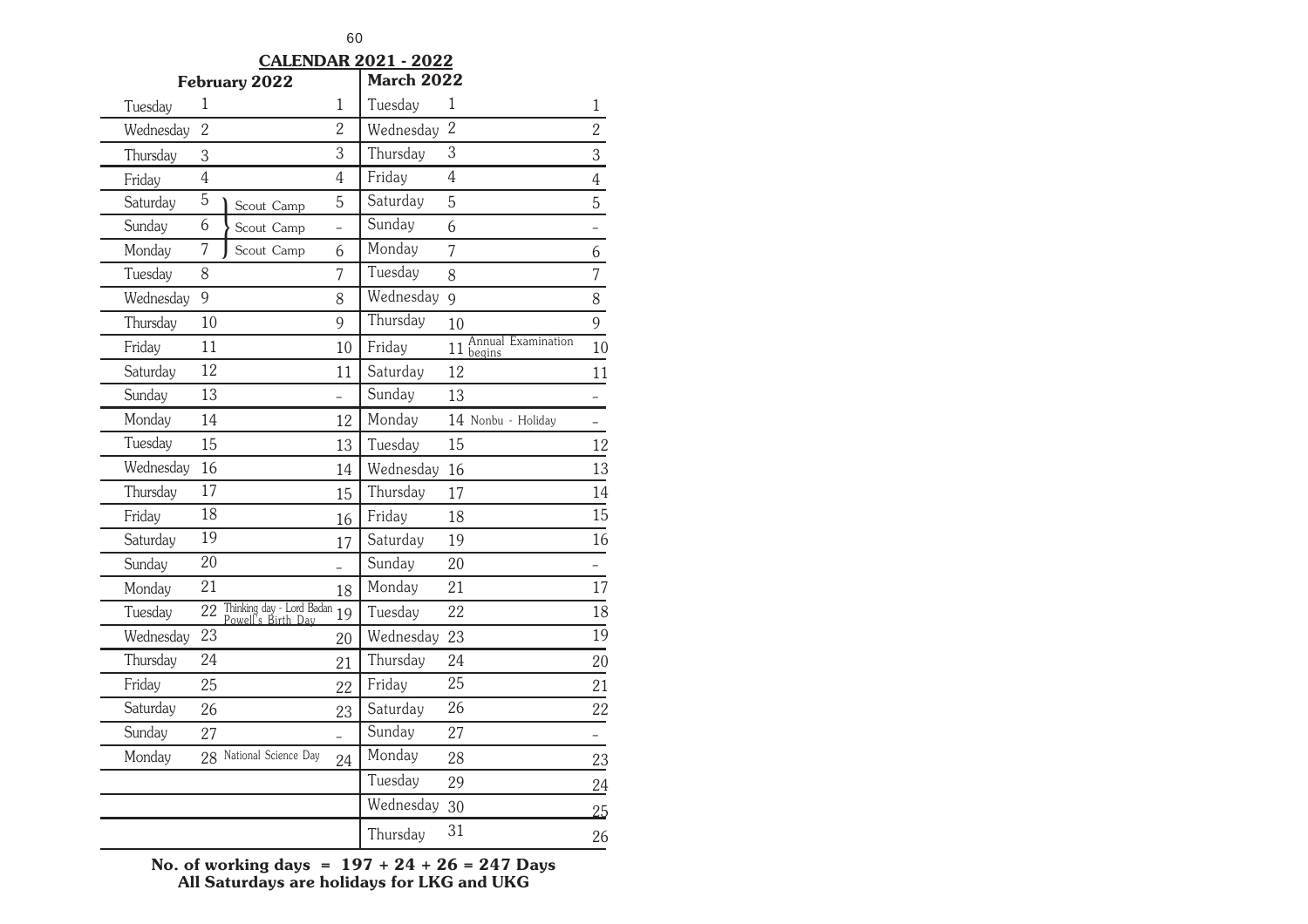**CALENDAR 2021 - 2022**

|           |                 | February 2022                                   |                | <b>March 2022</b> |                                                    |                          |
|-----------|-----------------|-------------------------------------------------|----------------|-------------------|----------------------------------------------------|--------------------------|
| Tuesday   | 1               |                                                 | $\mathbf{1}$   | Tuesday           | 1                                                  | 1                        |
| Wednesday | $\overline{2}$  |                                                 | $\overline{2}$ | Wednesday         | $\overline{2}$                                     | $\overline{2}$           |
| Thursday  | 3               |                                                 | 3              | Thursday          | 3                                                  | $\overline{3}$           |
| Friday    | $\overline{4}$  |                                                 | $\overline{4}$ | Friday            | $\overline{4}$                                     | $\overline{4}$           |
| Saturday  | $\overline{5}$  | Scout Camp                                      | 5              | Saturday          | 5                                                  | $\overline{5}$           |
| Sunday    | 6               | Scout Camp                                      | $\overline{a}$ | Sunday            | 6                                                  |                          |
| Monday    | 7               | Scout Camp                                      | 6              | Monday            | $\overline{7}$                                     | 6                        |
| Tuesday   | 8               |                                                 | 7              | Tuesday           | 8                                                  | $\overline{7}$           |
| Wednesday | 9               |                                                 | 8              | Wednesday         | $\mathsf{q}$                                       | 8                        |
| Thursday  | 10              |                                                 | 9              | Thursday          | 10                                                 | 9                        |
| Friday    | 11              |                                                 | 10             | Friday            | Annual Examination<br>$11 \frac{t}{\text{begins}}$ | 10                       |
| Saturday  | 12              |                                                 | 11             | Saturday          | 12                                                 | 11                       |
| Sunday    | 13              |                                                 |                | Sunday            | 13                                                 |                          |
| Monday    | 14              |                                                 | 12             | Monday            | 14 Nonbu - Holiday                                 | $\overline{\phantom{0}}$ |
| Tuesday   | 15              |                                                 | 13             | Tuesday           | 15                                                 | 12                       |
| Wednesday | 16              |                                                 | 14             | Wednesday         | 16                                                 | 13                       |
| Thursday  | 17              |                                                 | 15             | Thursday          | 17                                                 | 14                       |
| Friday    | 18              |                                                 | 16             | Friday            | 18                                                 | $\overline{15}$          |
| Saturday  | 19              |                                                 | 17             | Saturday          | 19                                                 | 16                       |
| Sunday    | 20              |                                                 |                | Sunday            | 20                                                 |                          |
| Monday    | 21              |                                                 | 18             | Monday            | 21                                                 | 17                       |
| Tuesday   | $\overline{22}$ | Thinking day - Lord Badan<br>Powell's Birth Dav | 19             | Tuesday           | 22                                                 | $\overline{18}$          |
| Wednesday | 23              |                                                 | 20             | Wednesday         | 23                                                 | $\overline{19}$          |
| Thursday  | 24              |                                                 | 21             | Thursday          | 24                                                 | 20                       |
| Friday    | 25              |                                                 | 22             | Friday            | $\overline{25}$                                    | 21                       |
| Saturday  | 26              |                                                 | 23             | Saturday          | 26                                                 | 22                       |
| Sunday    | 27              |                                                 |                | Sunday            | 27                                                 |                          |
| Monday    |                 | 28 National Science Day                         | 24             | Monday            | 28                                                 | 23                       |
|           |                 |                                                 |                | Tuesday           | 29                                                 | 24                       |
|           |                 |                                                 |                | Wednesday         | 30                                                 | 25                       |
|           |                 |                                                 |                | Thursday          | 31                                                 | 26                       |

**No. of working days = 197 + 24 + 26 = 247 Days All Saturdays are holidays for LKG and UKG**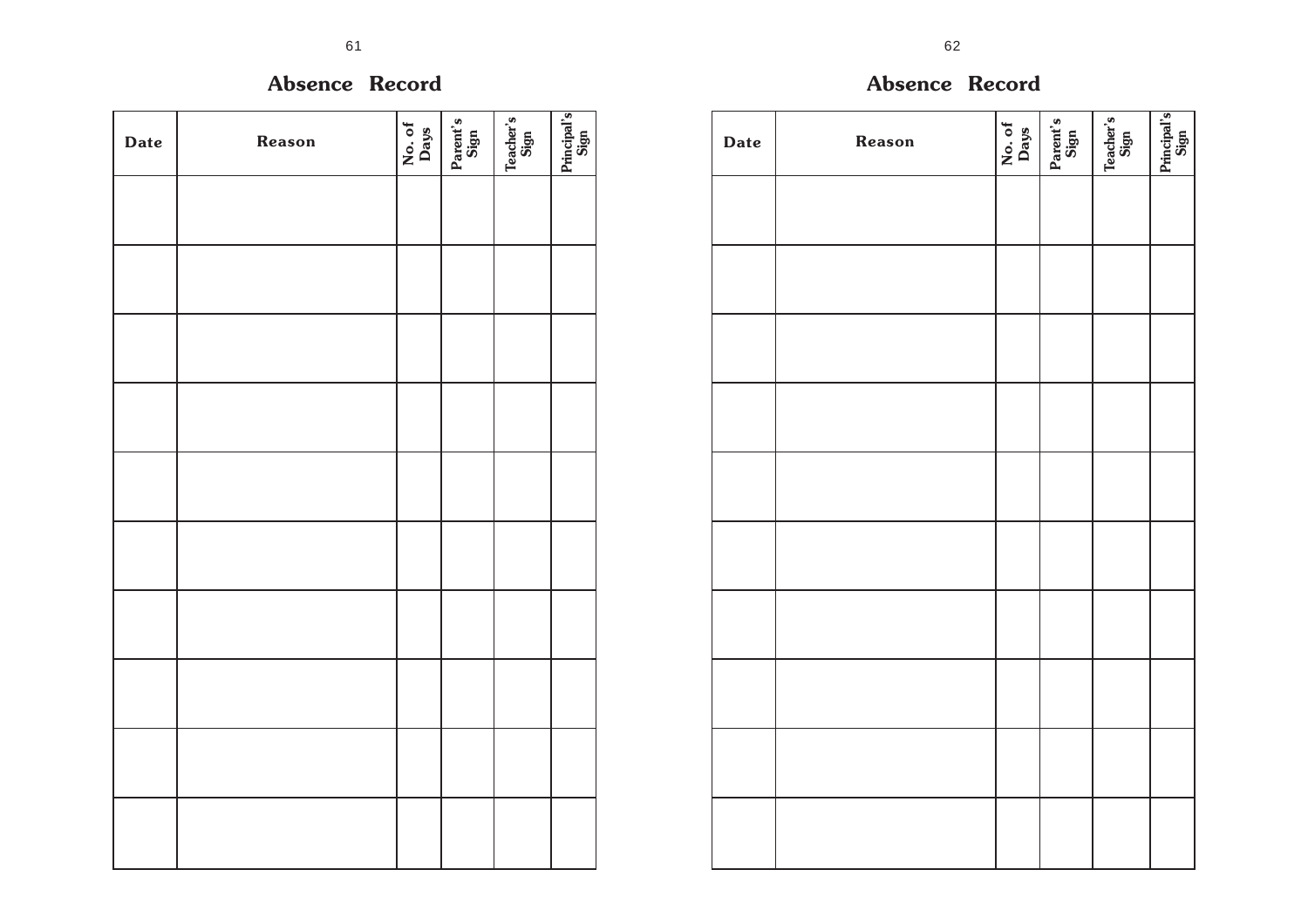### **Absence Record**

| <b>Date</b> | Reason | No. of<br>Days | Parent's | $\begin{array}{ l } \hline \text{Teacher's} \\\hline \text{Sign} \end{array}$ | Principal's<br>Sign |
|-------------|--------|----------------|----------|-------------------------------------------------------------------------------|---------------------|
|             |        |                |          |                                                                               |                     |
|             |        |                |          |                                                                               |                     |
|             |        |                |          |                                                                               |                     |
|             |        |                |          |                                                                               |                     |
|             |        |                |          |                                                                               |                     |
|             |        |                |          |                                                                               |                     |
|             |        |                |          |                                                                               |                     |
|             |        |                |          |                                                                               |                     |
|             |        |                |          |                                                                               |                     |
|             |        |                |          |                                                                               |                     |

| <b>Date</b> | Reason | No. of<br>Days | Parent's<br>Sign | Teacher's<br>Sign | Principal's<br>Sign |
|-------------|--------|----------------|------------------|-------------------|---------------------|
|             |        |                |                  |                   |                     |
|             |        |                |                  |                   |                     |
|             |        |                |                  |                   |                     |
|             |        |                |                  |                   |                     |
|             |        |                |                  |                   |                     |
|             |        |                |                  |                   |                     |
|             |        |                |                  |                   |                     |
|             |        |                |                  |                   |                     |
|             |        |                |                  |                   |                     |
|             |        |                |                  |                   |                     |

**Absence Record**

т

┰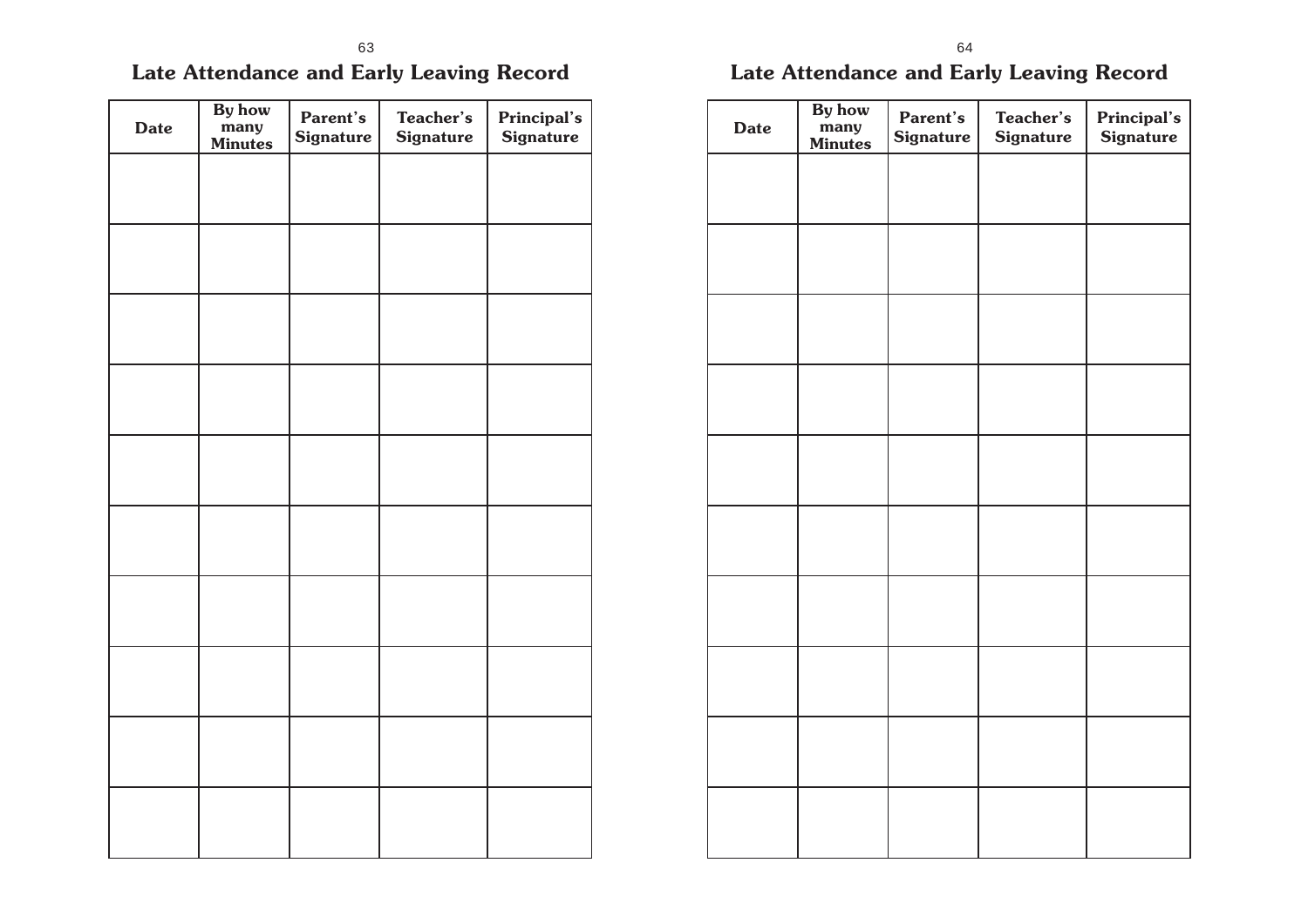## **Late Attendance and Early Leaving Record**

| <b>Date</b> | By how<br>many<br><b>Minutes</b> | Parent's<br><b>Signature</b> | Teacher's<br><b>Signature</b> | Principal's<br><b>Signature</b> |
|-------------|----------------------------------|------------------------------|-------------------------------|---------------------------------|
|             |                                  |                              |                               |                                 |
|             |                                  |                              |                               |                                 |
|             |                                  |                              |                               |                                 |
|             |                                  |                              |                               |                                 |
|             |                                  |                              |                               |                                 |
|             |                                  |                              |                               |                                 |
|             |                                  |                              |                               |                                 |
|             |                                  |                              |                               |                                 |
|             |                                  |                              |                               |                                 |
|             |                                  |                              |                               |                                 |

## **Late Attendance and Early Leaving Record**

| <b>Date</b> | By how<br>many<br><b>Minutes</b> | Parent's<br><b>Signature</b> | Teacher's<br><b>Signature</b> | <b>Principal's</b><br><b>Signature</b> |
|-------------|----------------------------------|------------------------------|-------------------------------|----------------------------------------|
|             |                                  |                              |                               |                                        |
|             |                                  |                              |                               |                                        |
|             |                                  |                              |                               |                                        |
|             |                                  |                              |                               |                                        |
|             |                                  |                              |                               |                                        |
|             |                                  |                              |                               |                                        |
|             |                                  |                              |                               |                                        |
|             |                                  |                              |                               |                                        |
|             |                                  |                              |                               |                                        |
|             |                                  |                              |                               |                                        |
|             |                                  |                              |                               |                                        |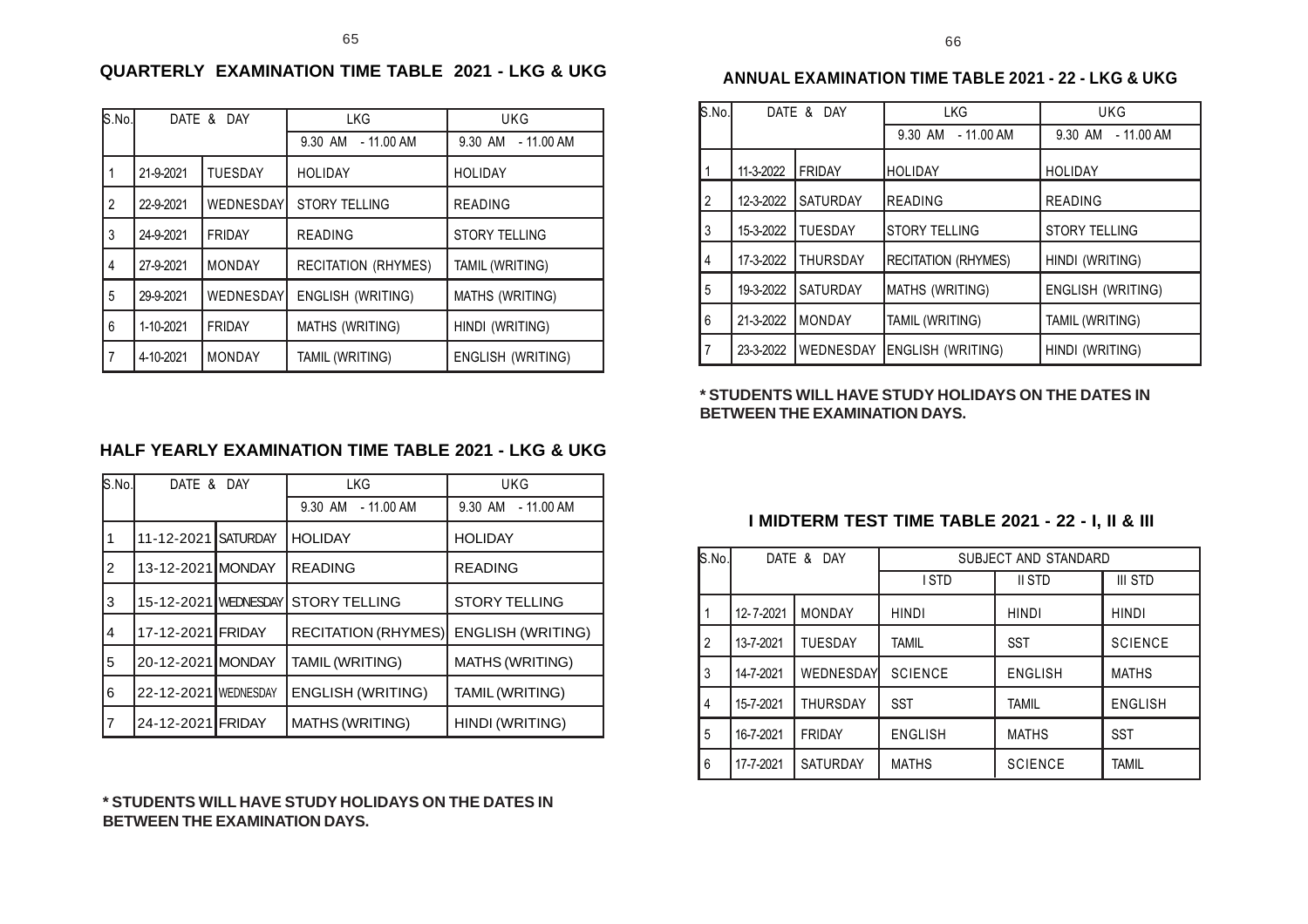S.No. DATE & DAY LKG LKG UKG

1 21-9-2021 TUESDAY HOLIDAY HOLIDAY

2 22-9-2021 | WEDNESDAY GTORY TELLING READING

3 24-9-2021 FRIDAY READING STORY TELLING 4 27-9-2021 MONDAY RECITATION (RHYMES) TAMIL (WRITING)

5 29-9-2021 WEDNESDAY ENGLISH (WRITING) MATHS (WRITING) 6 1-10-2021 FRIDAY MATHS (WRITING) HINDI (WRITING)

7 4-10-2021 MONDAY TAMIL (WRITING) ENGLISH (WRITING)

**QUARTERLY EXAMINATION TIME TABLE 2021 - LKG & UKG**

9.30 AM - 11.00 AM | 9.30 AM - 11.00 AM

### **ANNUAL EXAMINATION TIME TABLE 2021 - 22 - LKG & UKG**

| S.No. |           | DATE & DAY      | <b>LKG</b>                 | <b>UKG</b>               |
|-------|-----------|-----------------|----------------------------|--------------------------|
|       |           |                 | 9.30 AM - 11.00 AM         | 9.30 AM - 11.00 AM       |
|       | 11-3-2022 | FRIDAY          | IHOLIDAY                   | <b>HOLIDAY</b>           |
| 2     | 12-3-2022 | <b>SATURDAY</b> | IREADING                   | <b>READING</b>           |
| 3     | 15-3-2022 | <b>ITUESDAY</b> | <b>STORY TELLING</b>       | <b>STORY TELLING</b>     |
| 4     | 17-3-2022 | <b>THURSDAY</b> | <b>RECITATION (RHYMES)</b> | HINDI (WRITING)          |
| 5     | 19-3-2022 | <b>SATURDAY</b> | MATHS (WRITING)            | <b>ENGLISH (WRITING)</b> |
| 6     | 21-3-2022 | <b>MONDAY</b>   | <b>TAMIL (WRITING)</b>     | TAMIL (WRITING)          |
| 7     | 23-3-2022 | WEDNESDAY       | <b>ENGLISH (WRITING)</b>   | HINDI (WRITING)          |

#### **\* STUDENTS WILL HAVE STUDY HOLIDAYS ON THE DATES IN BETWEEN THE EXAMINATION DAYS.**

### **HALF YEARLY EXAMINATION TIME TABLE 2021 - LKG & UKG**

| S.No.          | DATE & DAY           |  | <b>LKG</b>                 | <b>UKG</b>               |  |
|----------------|----------------------|--|----------------------------|--------------------------|--|
|                |                      |  | 9.30 AM - 11.00 AM         | 9.30 AM - 11.00 AM       |  |
|                | 11-12-2021 SATURDAY  |  | <b>HOLIDAY</b>             | <b>HOLIDAY</b>           |  |
| $\overline{2}$ | 13-12-2021 MONDAY    |  | <b>READING</b>             | <b>READING</b>           |  |
| 3              | 15-12-2021 WEDNESDAY |  | <b>STORY TELLING</b>       | <b>STORY TELLING</b>     |  |
| 4              | 17-12-2021 FRIDAY    |  | <b>RECITATION (RHYMES)</b> | <b>ENGLISH (WRITING)</b> |  |
| 5              | 20-12-2021 MONDAY    |  | TAMIL (WRITING)            | <b>MATHS (WRITING)</b>   |  |
| 6              | 22-12-2021 WEDNESDAY |  | <b>ENGLISH (WRITING)</b>   | TAMIL (WRITING)          |  |
| $\overline{7}$ | 24-12-2021 FRIDAY    |  | <b>MATHS (WRITING)</b>     | HINDI (WRITING)          |  |

#### **\* STUDENTS WILL HAVE STUDY HOLIDAYS ON THE DATES IN BETWEEN THE EXAMINATION DAYS.**

### **I MIDTERM TEST TIME TABLE 2021 - 22 - I, II & III**

| S.No.          |           | DATE & DAY       | SUBJECT AND STANDARD |                |                |  |
|----------------|-----------|------------------|----------------------|----------------|----------------|--|
|                |           |                  | II STD<br>I STD      |                | III STD        |  |
|                | 12-7-2021 | <b>MONDAY</b>    | <b>HINDI</b>         | <b>HINDI</b>   | <b>HINDI</b>   |  |
| $\overline{2}$ | 13-7-2021 | <b>TUESDAY</b>   | <b>TAMIL</b>         | <b>SST</b>     | <b>SCIENCE</b> |  |
| 3              | 14-7-2021 | <b>WEDNESDAY</b> | <b>SCIENCE</b>       | <b>ENGLISH</b> | <b>MATHS</b>   |  |
| 4              | 15-7-2021 | <b>THURSDAY</b>  | <b>SST</b>           | <b>TAMIL</b>   | <b>ENGLISH</b> |  |
| 5              | 16-7-2021 | <b>FRIDAY</b>    | <b>ENGLISH</b>       | <b>MATHS</b>   | <b>SST</b>     |  |
| 6              | 17-7-2021 | <b>SATURDAY</b>  | <b>MATHS</b>         | <b>SCIENCE</b> | <b>TAMIL</b>   |  |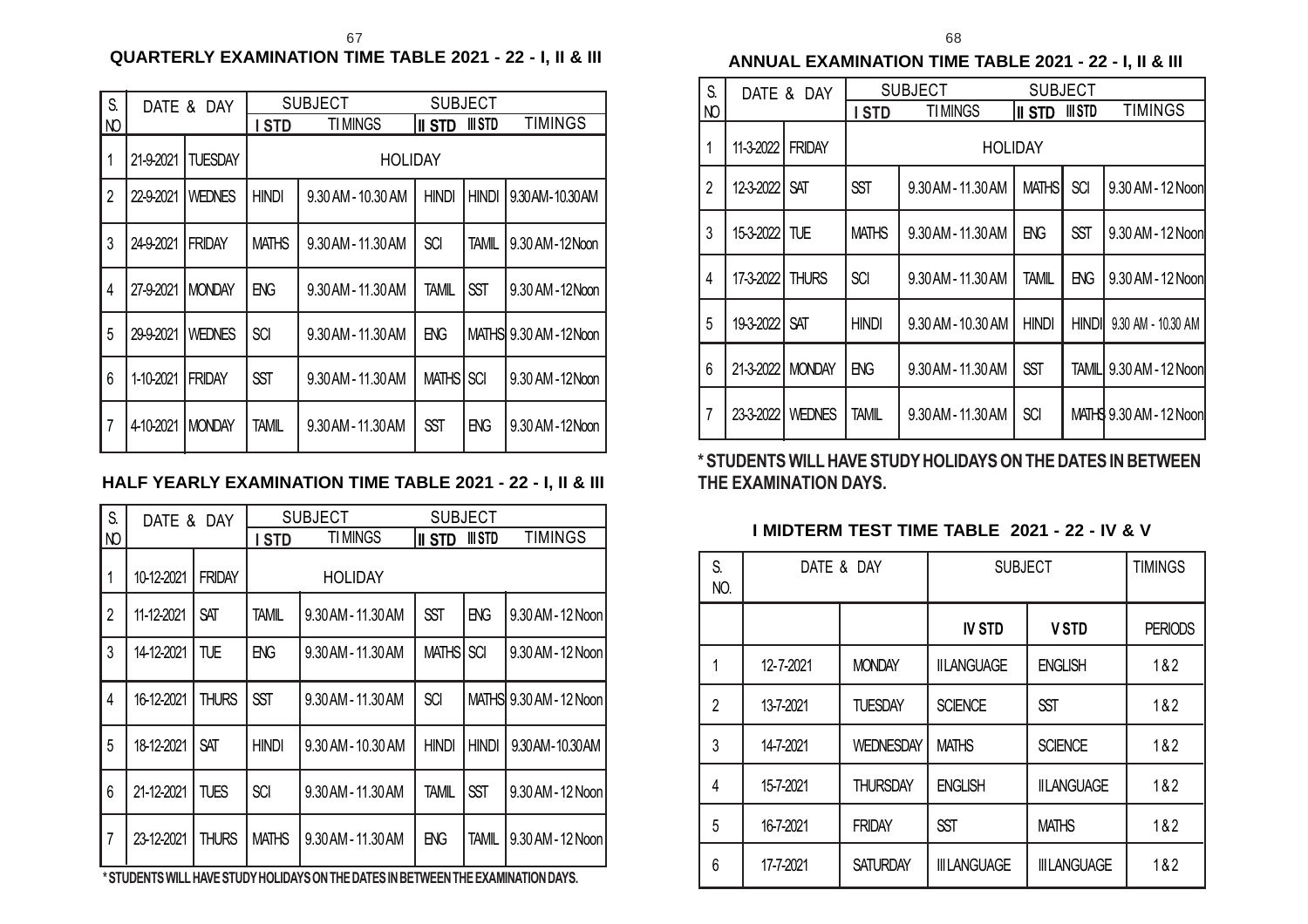### **QUARTERLY EXAMINATION TIME TABLE 2021 - 22 - I, II & III**

| S.             | DATE & DAY |                | <b>SUBJECT</b><br><b>SUBJECT</b> |                    |               |              |                         |
|----------------|------------|----------------|----------------------------------|--------------------|---------------|--------------|-------------------------|
| NO             |            |                | I STD                            | <b>TIMINGS</b>     | <b>II STD</b> | III STD      | <b>TIMINGS</b>          |
| 1              | 21-9-2021  | <b>TUESDAY</b> |                                  | <b>HOLIDAY</b>     |               |              |                         |
| $\overline{2}$ | 22-9-2021  | <b>WEDNES</b>  | <b>HINDI</b>                     | 9.30 AM - 10.30 AM | <b>HINDI</b>  | <b>HINDI</b> | 9.30 AM - 10.30 AM      |
| 3              | 24-9-2021  | <b>FRIDAY</b>  | <b>MATHS</b>                     | 9.30 AM - 11.30 AM | <b>SCI</b>    | <b>TAMIL</b> | 9.30 AM-12 Noon         |
| 4              | 27-9-2021  | <b>MONDAY</b>  | ENG                              | 9.30 AM - 11.30 AM | <b>TAMIL</b>  | <b>SST</b>   | 9.30 AM - 12 Noon       |
| 5              | 29-9-2021  | WEDNES         | <b>SCI</b>                       | 9.30 AM - 11.30 AM | ENG           |              | MATHS 9.30 AM - 12 Noon |
| 6              | 1-10-2021  | <b>FRIDAY</b>  | <b>SST</b>                       | 9.30 AM - 11.30 AM | <b>MATHS</b>  | <b>SCI</b>   | 9.30 AM - 12 Noon       |
| $\overline{7}$ | 4-10-2021  | <b>MONDAY</b>  | TAMIL                            | 9.30 AM - 11.30 AM | <b>SST</b>    | ENG          | 9.30 AM - 12 Noon       |

### **HALF YEARLY EXAMINATION TIME TABLE 2021 - 22 - I, II & III**

| S.             | DATE &     | DAY           |              | <b>SUBJECT</b>     |               | <b>SUBJECT</b> |                         |
|----------------|------------|---------------|--------------|--------------------|---------------|----------------|-------------------------|
| Ю              |            |               | I STD        | <b>TIMINGS</b>     | <b>II STD</b> | III STD        | <b>TIMINGS</b>          |
| $\mathbf{1}$   | 10-12-2021 | <b>FRIDAY</b> |              | <b>HOLIDAY</b>     |               |                |                         |
| $\overline{2}$ | 11-12-2021 | <b>SAT</b>    | TAMIL        | 9.30 AM - 11.30 AM | <b>SST</b>    | <b>ENG</b>     | 9.30 AM - 12 Noon       |
| 3              | 14-12-2021 | TUE           | EG           | 9.30 AM - 11.30 AM | <b>MATHS</b>  | <b>SCI</b>     | 9.30 AM - 12 Noon       |
| $\overline{4}$ | 16-12-2021 | <b>THURS</b>  | <b>SST</b>   | 9.30 AM - 11.30 AM | <b>SCI</b>    |                | MATHS 9.30 AM - 12 Noon |
| 5              | 18-12-2021 | SAT           | <b>HINDI</b> | 9.30 AM - 10.30 AM | <b>HINDI</b>  | <b>HINDI</b>   | 9.30 AM-10.30 AM        |
| 6              | 21-12-2021 | TUES          | <b>SCI</b>   | 9.30 AM - 11.30 AM | <b>TAMIL</b>  | <b>SST</b>     | 9.30 AM - 12 Noon       |
| $\overline{7}$ | 23-12-2021 | <b>THURS</b>  | <b>MATHS</b> | 9.30 AM - 11.30 AM | ENG           | <b>TAMIL</b>   | 9.30 AM - 12 Noon       |
|                |            |               |              |                    |               |                |                         |

**\* STUDENTS WILL HAVE STUDY HOLIDAYS ON THE DATES IN BETWEEN THE EXAMINATION DAYS.**

**ANNUAL EXAMINATION TIME TABLE 2021 - 22 - I, II & III**

| S.             | DATE & DAY    |               |              | <b>SUBJECT</b>     |                | <b>SUBJECT</b> |                         |
|----------------|---------------|---------------|--------------|--------------------|----------------|----------------|-------------------------|
| NO             |               |               | I STD        | <b>TIMINGS</b>     | II STD         | III STD        | <b>TIMINGS</b>          |
| 1              | 11-3-2022     | <b>FRIDAY</b> |              |                    | <b>HOLIDAY</b> |                |                         |
| $\overline{2}$ | 12-3-2022     | <b>SAT</b>    | <b>SST</b>   | 9.30 AM - 11.30 AM | <b>MATHS</b>   | <b>SCI</b>     | 9.30 AM - 12 Noon       |
| 3              | 15-3-2022 TUE |               | <b>MATHS</b> | 9.30 AM - 11.30 AM | ENG            | <b>SST</b>     | 9.30 AM - 12 Noon       |
| 4              | 17-3-2022     | <b>THURS</b>  | <b>SCI</b>   | 9.30 AM - 11.30 AM | <b>TAMIL</b>   | ENG            | 9.30 AM - 12 Noon       |
| 5              | 19-3-2022     | <b>SAT</b>    | <b>HINDI</b> | 9.30 AM - 10.30 AM | <b>HINDI</b>   | <b>HINDI</b>   | 9.30 AM - 10.30 AM      |
| 6              | 21-3-2022     | <b>MONDAY</b> | <b>ENG</b>   | 9.30 AM - 11.30 AM | <b>SST</b>     | TAMILI         | 9.30 AM - 12 Noon       |
| $\overline{7}$ | 23-3-2022     | <b>WEDNES</b> | TAMIL        | 9.30 AM - 11.30 AM | <b>SCI</b>     |                | MATHS 9.30 AM - 12 Noon |

**\* STUDENTS WILL HAVE STUDY HOLIDAYS ON THE DATES IN BETWEEN THE EXAMINATION DAYS.**

### **I MIDTERM TEST TIME TABLE 2021 - 22 - IV & V**

| S.<br>NO.      | DATE & DAY |                  | <b>SUBJECT</b>      |                    | <b>TIMINGS</b> |
|----------------|------------|------------------|---------------------|--------------------|----------------|
|                |            |                  | <b>IV STD</b>       | <b>VSTD</b>        | <b>PERIODS</b> |
|                | 12-7-2021  | <b>MONDAY</b>    | <b>IILANGUAGE</b>   | <b>ENGLISH</b>     | 1&2            |
| $\overline{2}$ | 13-7-2021  | <b>TUESDAY</b>   | <b>SCIENCE</b>      | <b>SST</b>         | 1&2            |
| 3              | 14-7-2021  | <b>WEDNESDAY</b> | <b>MATHS</b>        | <b>SCIENCE</b>     | 1&2            |
| 4              | 15-7-2021  | <b>THURSDAY</b>  | <b>ENGLISH</b>      | <b>IILANGUAGE</b>  | 1&2            |
| 5              | 16-7-2021  | <b>FRIDAY</b>    | <b>SST</b>          | <b>MATHS</b>       | 1&2            |
| 6              | 17-7-2021  | <b>SATURDAY</b>  | <b>III LANGUAGE</b> | <b>IIILANGUAGE</b> | 1&2            |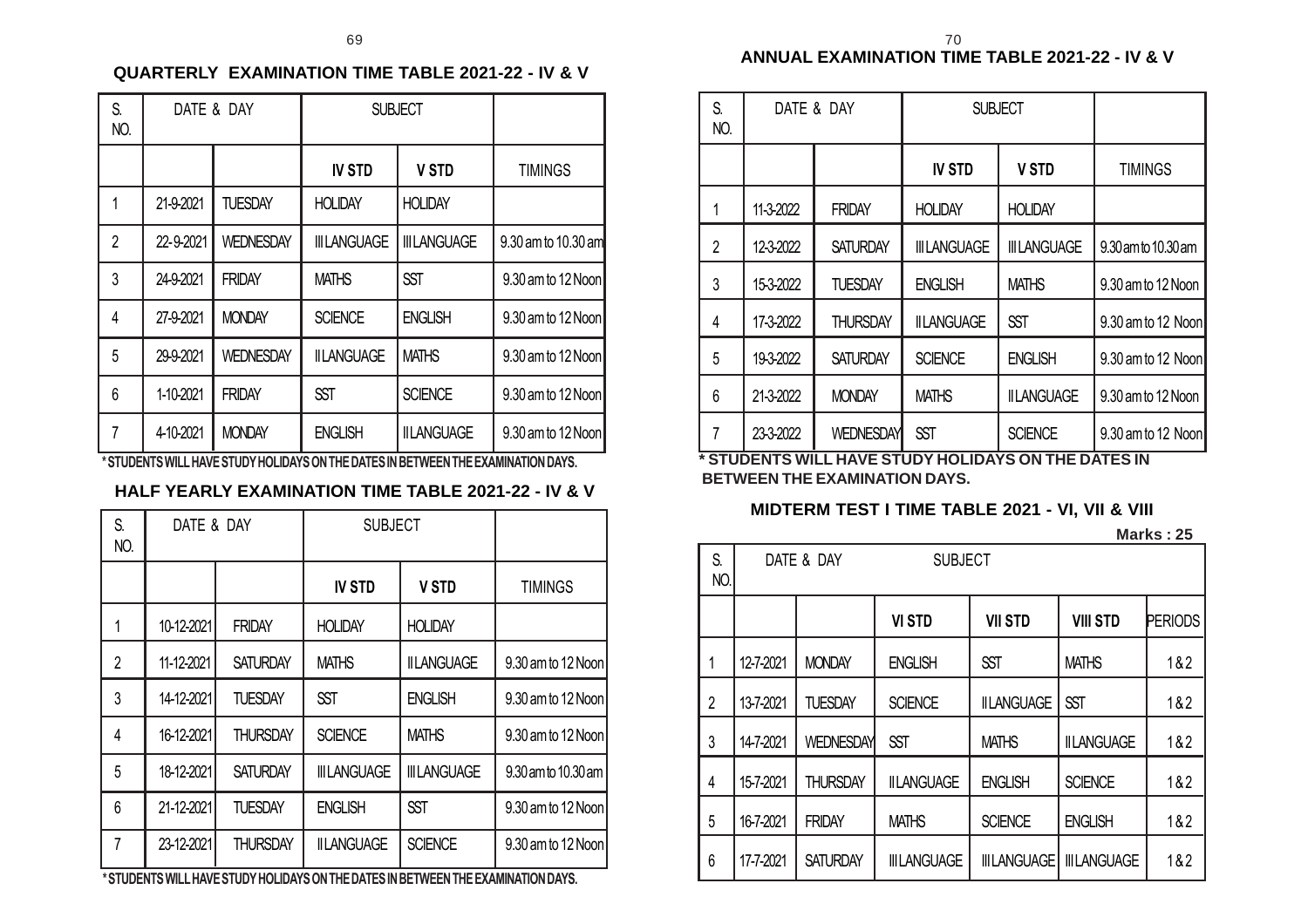#### **QUARTERLY EXAMINATION TIME TABLE 2021-22 - IV & V**

| S.<br>NO.      |           | DATE & DAY       | <b>SUBJECT</b>      |                                                                                                             |                     |
|----------------|-----------|------------------|---------------------|-------------------------------------------------------------------------------------------------------------|---------------------|
|                |           |                  | <b>IV STD</b>       | <b>V STD</b>                                                                                                | <b>TIMINGS</b>      |
| 1              | 21-9-2021 | <b>TUESDAY</b>   | <b>HOLIDAY</b>      | <b>HOLIDAY</b>                                                                                              |                     |
| $\overline{2}$ | 22-9-2021 | <b>WEDNESDAY</b> | <b>III LANGUAGE</b> | <b>III LANGUAGE</b>                                                                                         | 9.30 am to 10.30 am |
| 3              | 24-9-2021 | <b>FRIDAY</b>    | <b>MATHS</b>        | <b>SST</b>                                                                                                  | 9.30 am to 12 Noon  |
| 4              | 27-9-2021 | <b>MONDAY</b>    | <b>SCIENCE</b>      | <b>ENGLISH</b>                                                                                              | 9.30 am to 12 Noon  |
| 5              | 29-9-2021 | <b>WEDNESDAY</b> | <b>IILANGUAGE</b>   | <b>MATHS</b>                                                                                                | 9.30 am to 12 Noon  |
| 6              | 1-10-2021 | <b>FRIDAY</b>    | <b>SST</b>          | <b>SCIENCE</b>                                                                                              | 9.30 am to 12 Noon  |
| $\overline{7}$ | 4-10-2021 | <b>MONDAY</b>    | <b>ENGLISH</b>      | <b>IILANGUAGE</b><br>JATURENTA UILLUI LUI IE ATURVILIALIR IVA ANTUE RITEA IN RETUETUE EVI I BINI ITIAN RIVA | 9.30 am to 12 Noon  |

**\* STUDENTS WILL HAVE STUDY HOLIDAYS ON THE DATES IN BETWEEN THE EXAMINATION DAYS.**

#### **HALF YEARLY EXAMINATION TIME TABLE 2021-22 - IV & V**

| S.<br>NO.      |            | DATE & DAY      |                     | <b>SUBJECT</b>      |                     |
|----------------|------------|-----------------|---------------------|---------------------|---------------------|
|                |            |                 | <b>IV STD</b>       | <b>V STD</b>        | <b>TIMINGS</b>      |
| 1              | 10-12-2021 | <b>FRIDAY</b>   | <b>HOLIDAY</b>      | <b>HOLIDAY</b>      |                     |
| $\overline{2}$ | 11-12-2021 | <b>SATURDAY</b> | <b>MATHS</b>        | <b>IILANGUAGE</b>   | 9.30 am to 12 Noon  |
| 3              | 14-12-2021 | <b>TUESDAY</b>  | <b>SST</b>          | <b>ENGLISH</b>      | 9.30 am to 12 Noon  |
| 4              | 16-12-2021 | THURSDAY        | <b>SCIENCE</b>      | <b>MATHS</b>        | 9.30 am to 12 Noon  |
| 5              | 18-12-2021 | <b>SATURDAY</b> | <b>III LANGUAGE</b> | <b>III LANGUAGE</b> | 9.30 am to 10.30 am |
| 6              | 21-12-2021 | <b>TUESDAY</b>  | <b>ENGLISH</b>      | <b>SST</b>          | 9.30 am to 12 Noon  |
| 7              | 23-12-2021 | <b>THURSDAY</b> | <b>IILANGUAGE</b>   | <b>SCIENCE</b>      | 9.30 am to 12 Noon  |

**\* STUDENTS WILL HAVE STUDY HOLIDAYS ON THE DATES IN BETWEEN THE EXAMINATION DAYS.**

| S.<br>NO.      | DATE & DAY |                  | <b>SUBJECT</b>     |                    |                     |
|----------------|------------|------------------|--------------------|--------------------|---------------------|
|                |            |                  | <b>IV STD</b>      | <b>V STD</b>       | <b>TIMINGS</b>      |
|                | 11-3-2022  | <b>FRIDAY</b>    | <b>HOLIDAY</b>     | <b>HOLIDAY</b>     |                     |
| $\overline{2}$ | 12-3-2022  | <b>SATURDAY</b>  | <b>IIILANGUAGE</b> | <b>IIILANGUAGE</b> | 9.30 am to 10.30 am |
| 3              | 15-3-2022  | <b>TUESDAY</b>   | <b>ENGLISH</b>     | <b>MATHS</b>       | 9.30 am to 12 Noon  |
| 4              | 17-3-2022  | <b>THURSDAY</b>  | <b>IILANGUAGE</b>  | <b>SST</b>         | 9.30 am to 12 Noon  |
| 5              | 19-3-2022  | <b>SATURDAY</b>  | <b>SCIENCE</b>     | <b>ENGLISH</b>     | 9.30 am to 12 Noon  |
| 6              | 21-3-2022  | <b>MONDAY</b>    | <b>MATHS</b>       | <b>IILANGUAGE</b>  | 9.30 am to 12 Noon  |
| 7              | 23-3-2022  | <b>WEDNESDAY</b> | <b>SST</b>         | <b>SCIENCE</b>     | 9.30 am to 12 Noon  |

**\* STUDENTS WILL HAVE STUDY HOLIDAYS ON THE DATES IN BETWEEN THE EXAMINATION DAYS.**

#### **MIDTERM TEST I TIME TABLE 2021 - VI, VII & VIII**

**Marks : 25**

| S.<br>NO.      |           | DATE & DAY       | <b>SUBJECT</b>      |                     |                     |         |
|----------------|-----------|------------------|---------------------|---------------------|---------------------|---------|
|                |           |                  | <b>VI STD</b>       | <b>VII STD</b>      | <b>VIII STD</b>     | PERIODS |
| 1              | 12-7-2021 | <b>MONDAY</b>    | <b>ENGLISH</b>      | <b>SST</b>          | <b>MATHS</b>        | 1&2     |
| $\overline{2}$ | 13-7-2021 | <b>TUESDAY</b>   | <b>SCIENCE</b>      | <b>IILANGUAGE</b>   | <b>SST</b>          | 1&2     |
| 3              | 14-7-2021 | <b>WEDNESDAY</b> | <b>SST</b>          | <b>MATHS</b>        | <b>IILANGUAGE</b>   | 1&2     |
| 4              | 15-7-2021 | <b>THURSDAY</b>  | <b>IILANGUAGE</b>   | <b>ENGLISH</b>      | <b>SCIENCE</b>      | 1&2     |
| 5              | 16-7-2021 | <b>FRIDAY</b>    | <b>MATHS</b>        | <b>SCIENCE</b>      | <b>ENGLISH</b>      | 1&2     |
| 6              | 17-7-2021 | <b>SATURDAY</b>  | <b>III LANGUAGE</b> | <b>III LANGUAGE</b> | <b>III LANGUAGE</b> | 1&2     |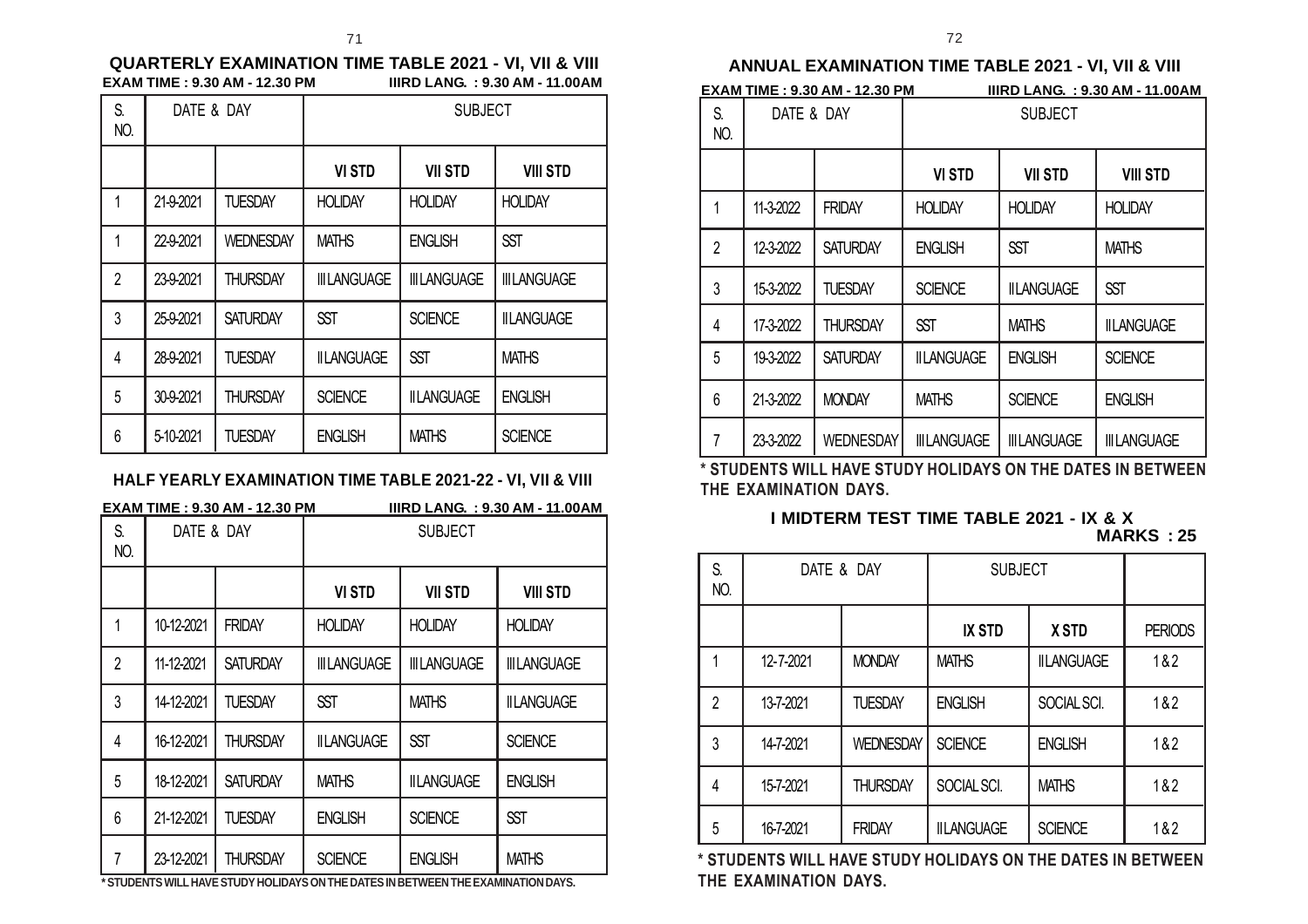#### **QUARTERLY EXAMINATION TIME TABLE 2021 - VI, VII & VIII EXAM TIME : 9.30 AM - 12.30 PM**

| S.<br>NO.      | DATE & DAY |                  | <b>SUBJECT</b>      |                     |                    |
|----------------|------------|------------------|---------------------|---------------------|--------------------|
|                |            |                  | <b>VI STD</b>       | <b>VII STD</b>      | <b>VIII STD</b>    |
| 1              | 21-9-2021  | <b>TUESDAY</b>   | <b>HOLIDAY</b>      | <b>HOLIDAY</b>      | <b>HOLIDAY</b>     |
| 1              | 22-9-2021  | <b>WEDNESDAY</b> | <b>MATHS</b>        | <b>ENGLISH</b>      | <b>SST</b>         |
| $\overline{2}$ | 23-9-2021  | <b>THURSDAY</b>  | <b>III LANGUAGE</b> | <b>III LANGUAGE</b> | <b>IIILANGUAGE</b> |
| 3              | 25-9-2021  | <b>SATURDAY</b>  | <b>SST</b>          | <b>SCIENCE</b>      | <b>IILANGUAGE</b>  |
| 4              | 28-9-2021  | <b>TUESDAY</b>   | <b>IILANGUAGE</b>   | <b>SST</b>          | <b>MATHS</b>       |
| 5              | 30-9-2021  | <b>THURSDAY</b>  | <b>SCIENCE</b>      | <b>IILANGUAGE</b>   | <b>ENGLISH</b>     |
| 6              | 5-10-2021  | TUESDAY          | <b>ENGLISH</b>      | <b>MATHS</b>        | <b>SCIENCE</b>     |

### **HALF YEARLY EXAMINATION TIME TABLE 2021-22 - VI, VII & VIII**

|                | EXAM TIME : 9.30 AM - 12.30 PM<br><b>IIIRD LANG.: 9.30 AM - 11.00AM</b> |                 |                     |                                                                                                      |                     |
|----------------|-------------------------------------------------------------------------|-----------------|---------------------|------------------------------------------------------------------------------------------------------|---------------------|
| S.<br>NO.      | DATE & DAY                                                              |                 | <b>SUBJECT</b>      |                                                                                                      |                     |
|                |                                                                         |                 | <b>VI STD</b>       | <b>VII STD</b>                                                                                       | <b>VIII STD</b>     |
| 1              | 10-12-2021                                                              | <b>FRIDAY</b>   | <b>HOLIDAY</b>      | <b>HOLIDAY</b>                                                                                       | <b>HOLIDAY</b>      |
| $\overline{2}$ | 11-12-2021                                                              | <b>SATURDAY</b> | <b>III LANGUAGE</b> | <b>III LANGUAGE</b>                                                                                  | <b>III LANGUAGE</b> |
| 3              | 14-12-2021                                                              | <b>TUESDAY</b>  | <b>SST</b>          | <b>MATHS</b>                                                                                         | <b>IILANGUAGE</b>   |
| 4              | 16-12-2021                                                              | <b>THURSDAY</b> | <b>IILANGUAGE</b>   | <b>SST</b>                                                                                           | <b>SCIENCE</b>      |
| 5              | 18-12-2021                                                              | <b>SATURDAY</b> | <b>MATHS</b>        | <b>IILANGUAGE</b>                                                                                    | <b>ENGLISH</b>      |
| 6              | 21-12-2021                                                              | TUESDAY         | <b>ENGLISH</b>      | <b>SCIENCE</b>                                                                                       | <b>SST</b>          |
| 7              | 23-12-2021                                                              | <b>THURSDAY</b> | <b>SCIENCE</b>      | <b>ENGLISH</b><br>* CTHOCNITO WILL HAVE CTHOV HOLIDAVO ON THE DATEC IN DETWEEN THE EVA MINATION DAVO | <b>MATHS</b>        |

**\* STUDENTS WILL HAVE STUDY HOLIDAYS ON THE DATES IN BETWEEN THE EXAMINATION DAYS.**

#### **ANNUAL EXAMINATION TIME TABLE 2021 - VI, VII & VIII**

| <b>EXAM TIME : 9.30 AM - 12.30 PM</b> | <b>IIIRD LANG.: 9.30 AM - 11.00 AM</b> |  |
|---------------------------------------|----------------------------------------|--|
|                                       |                                        |  |

| S.<br>NO.      | DATE & DAY |                  | <b>SUBJECT</b>     |                     |                     |
|----------------|------------|------------------|--------------------|---------------------|---------------------|
|                |            |                  | <b>VI STD</b>      | <b>VII STD</b>      | <b>VIII STD</b>     |
| 1              | 11-3-2022  | <b>FRIDAY</b>    | <b>HOLIDAY</b>     | <b>HOLIDAY</b>      | <b>HOLIDAY</b>      |
| $\overline{2}$ | 12-3-2022  | <b>SATURDAY</b>  | <b>ENGLISH</b>     | <b>SST</b>          | <b>MATHS</b>        |
| 3              | 15-3-2022  | <b>TUESDAY</b>   | <b>SCIENCE</b>     | <b>IILANGUAGE</b>   | <b>SST</b>          |
| 4              | 17-3-2022  | THURSDAY         | <b>SST</b>         | <b>MATHS</b>        | <b>IILANGUAGE</b>   |
| 5              | 19-3-2022  | <b>SATURDAY</b>  | <b>IILANGUAGE</b>  | <b>ENGLISH</b>      | <b>SCIENCE</b>      |
| 6              | 21-3-2022  | <b>MONDAY</b>    | <b>MATHS</b>       | <b>SCIENCE</b>      | <b>ENGLISH</b>      |
| 7              | 23-3-2022  | <b>WEDNESDAY</b> | <b>IIILANGUAGE</b> | <b>III LANGUAGE</b> | <b>III LANGUAGE</b> |

**\* STUDENTS WILL HAVE STUDY HOLIDAYS ON THE DATES IN BETWEEN THE EXAMINATION DAYS.**

#### **I MIDTERM TEST TIME TABLE 2021 - IX & X MARKS : 25**

| S.<br>NO.      | DATE & DAY |                  | <b>SUBJECT</b>    |                   |                |
|----------------|------------|------------------|-------------------|-------------------|----------------|
|                |            |                  | <b>IX STD</b>     | <b>XSTD</b>       | <b>PERIODS</b> |
|                | 12-7-2021  | <b>MONDAY</b>    | <b>MATHS</b>      | <b>IILANGUAGE</b> | 1&2            |
| $\overline{2}$ | 13-7-2021  | <b>TUESDAY</b>   | <b>ENGLISH</b>    | SOCIAL SCI.       | 1&2            |
| 3              | 14-7-2021  | <b>WEDNESDAY</b> | <b>SCIENCE</b>    | <b>ENGLISH</b>    | 1&2            |
| 4              | 15-7-2021  | <b>THURSDAY</b>  | SOCIAL SCI.       | <b>MATHS</b>      | 1&2            |
| 5              | 16-7-2021  | <b>FRIDAY</b>    | <b>IILANGUAGE</b> | <b>SCIENCE</b>    | 1&2            |

**\* STUDENTS WILL HAVE STUDY HOLIDAYS ON THE DATES IN BETWEEN THE EXAMINATION DAYS.**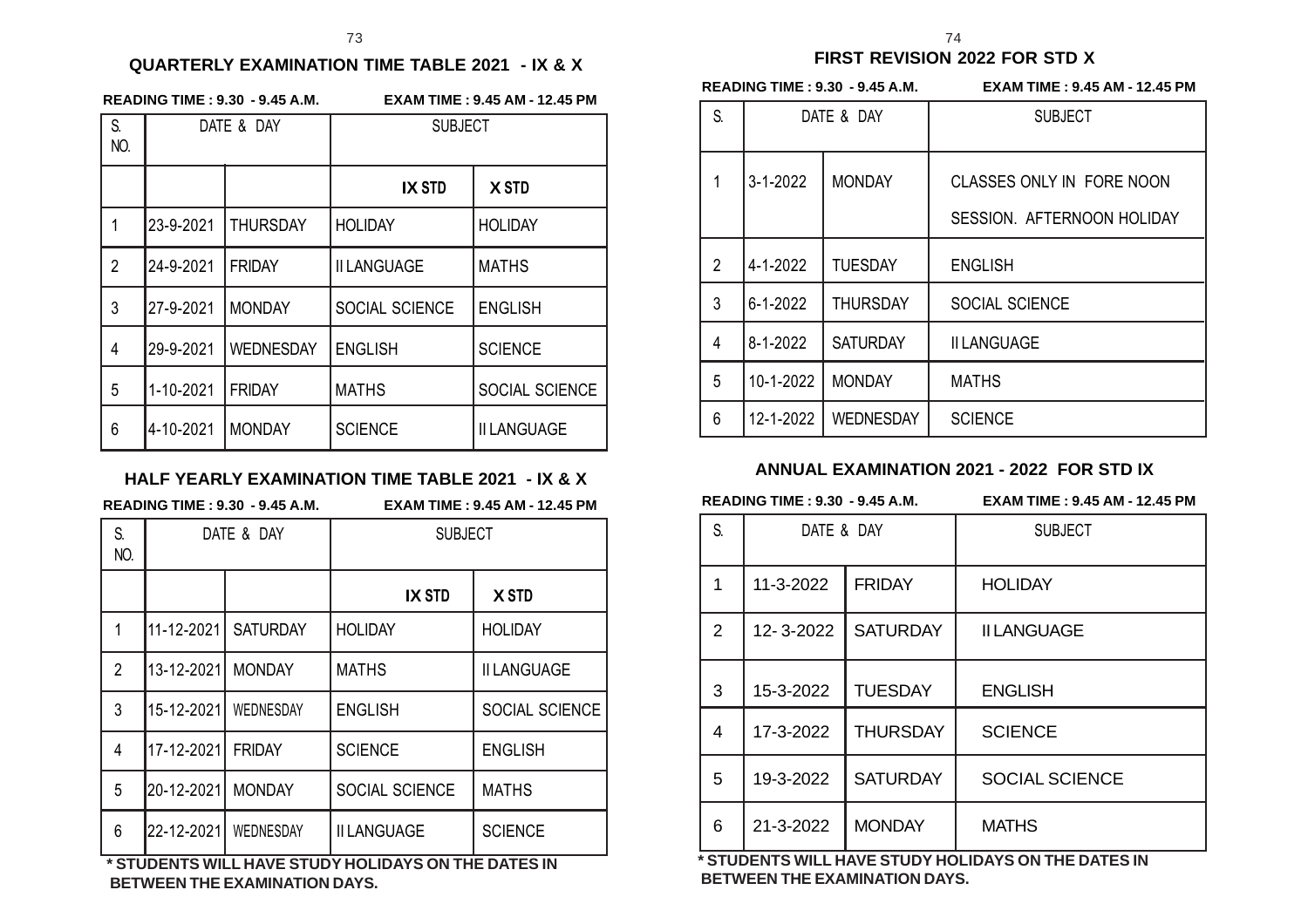#### **QUARTERLY EXAMINATION TIME TABLE 2021 - IX & X**

| <b>READING TIME: 9.30 - 9.45 A.M</b> |  |  |  |  |
|--------------------------------------|--|--|--|--|
|--------------------------------------|--|--|--|--|

**READING TIME : 9.30 - 9.45 A.M. EXAM TIME : 9.45 AM - 12.45 PM**

| S.<br>NO.      | DATE & DAY |                 | <b>SUBJECT</b>     |                    |  |
|----------------|------------|-----------------|--------------------|--------------------|--|
|                |            |                 | <b>IX STD</b>      | <b>XSTD</b>        |  |
| 1              | 23-9-2021  | <b>THURSDAY</b> | <b>HOLIDAY</b>     | <b>HOLIDAY</b>     |  |
| $\overline{2}$ | 24-9-2021  | <b>FRIDAY</b>   | <b>II LANGUAGE</b> | <b>MATHS</b>       |  |
| 3              | 27-9-2021  | <b>MONDAY</b>   | SOCIAL SCIENCE     | <b>ENGLISH</b>     |  |
| 4              | 29-9-2021  | WEDNESDAY       | <b>ENGLISH</b>     | <b>SCIENCE</b>     |  |
| 5              | 1-10-2021  | <b>FRIDAY</b>   | <b>MATHS</b>       | SOCIAL SCIENCE     |  |
| 6              | 4-10-2021  | <b>MONDAY</b>   | <b>SCIENCE</b>     | <b>II LANGUAGE</b> |  |

#### **HALF YEARLY EXAMINATION TIME TABLE 2021 - IX & X**

**READING TIME : 9.30 - 9.45 A.M. EXAM TIME : 9.45 AM - 12.45 PM**

| S.<br>NO.      | DATE & DAY |                 | <b>SUBJECT</b>     |                    |  |
|----------------|------------|-----------------|--------------------|--------------------|--|
|                |            |                 | <b>IX STD</b>      | <b>XSTD</b>        |  |
| 1              | 11-12-2021 | <b>SATURDAY</b> | <b>HOLIDAY</b>     | <b>HOLIDAY</b>     |  |
| $\overline{2}$ | 13-12-2021 | <b>MONDAY</b>   | <b>MATHS</b>       | <b>II LANGUAGE</b> |  |
| 3              | 15-12-2021 | WEDNESDAY       | <b>ENGLISH</b>     | SOCIAL SCIENCE     |  |
| 4              | 17-12-2021 | <b>FRIDAY</b>   | <b>SCIENCE</b>     | <b>ENGLISH</b>     |  |
| 5              | 20-12-2021 | <b>MONDAY</b>   | SOCIAL SCIENCE     | <b>MATHS</b>       |  |
| 6              | 22-12-2021 | WEDNESDAY       | <b>II LANGUAGE</b> | <b>SCIENCE</b>     |  |

**\* STUDENTS WILL HAVE STUDY HOLIDAYS ON THE DATES IN BETWEEN THE EXAMINATION DAYS.**

### **FIRST REVISION 2022 FOR STD X**

**READING TIME : 9.30 - 9.45 A.M. EXAM TIME : 9.45 AM - 12.45 PM**

| S. | DATE & DAY     |                  | <b>SUBJECT</b>                                          |
|----|----------------|------------------|---------------------------------------------------------|
|    | $3 - 1 - 2022$ | <b>MONDAY</b>    | CLASSES ONLY IN FORE NOON<br>SESSION. AFTERNOON HOLIDAY |
| 2  | 4-1-2022       | <b>TUESDAY</b>   | <b>ENGLISH</b>                                          |
| 3  | 6-1-2022       | <b>THURSDAY</b>  | SOCIAL SCIENCE                                          |
| 4  | 8-1-2022       | <b>SATURDAY</b>  | <b>II LANGUAGE</b>                                      |
| 5  | 10-1-2022      | <b>MONDAY</b>    | <b>MATHS</b>                                            |
| 6  | 12-1-2022      | <b>WEDNESDAY</b> | <b>SCIENCE</b>                                          |

#### **ANNUAL EXAMINATION 2021 - 2022 FOR STD IX**

**READING TIME : 9.30 - 9.45 A.M. EXAM TIME : 9.45 AM - 12.45 PM**

| S.             | DATE & DAY |                 | <b>SUBJECT</b>        |
|----------------|------------|-----------------|-----------------------|
| 1              | 11-3-2022  | <b>FRIDAY</b>   | <b>HOLIDAY</b>        |
| $\overline{2}$ | 12-3-2022  | <b>SATURDAY</b> | <b>II LANGUAGE</b>    |
| 3              | 15-3-2022  | <b>TUESDAY</b>  | <b>ENGLISH</b>        |
| 4              | 17-3-2022  | <b>THURSDAY</b> | <b>SCIENCE</b>        |
| 5              | 19-3-2022  | <b>SATURDAY</b> | <b>SOCIAL SCIENCE</b> |
| 6              | 21-3-2022  | <b>MONDAY</b>   | <b>MATHS</b>          |

**\* STUDENTS WILL HAVE STUDY HOLIDAYS ON THE DATES IN BETWEEN THE EXAMINATION DAYS.**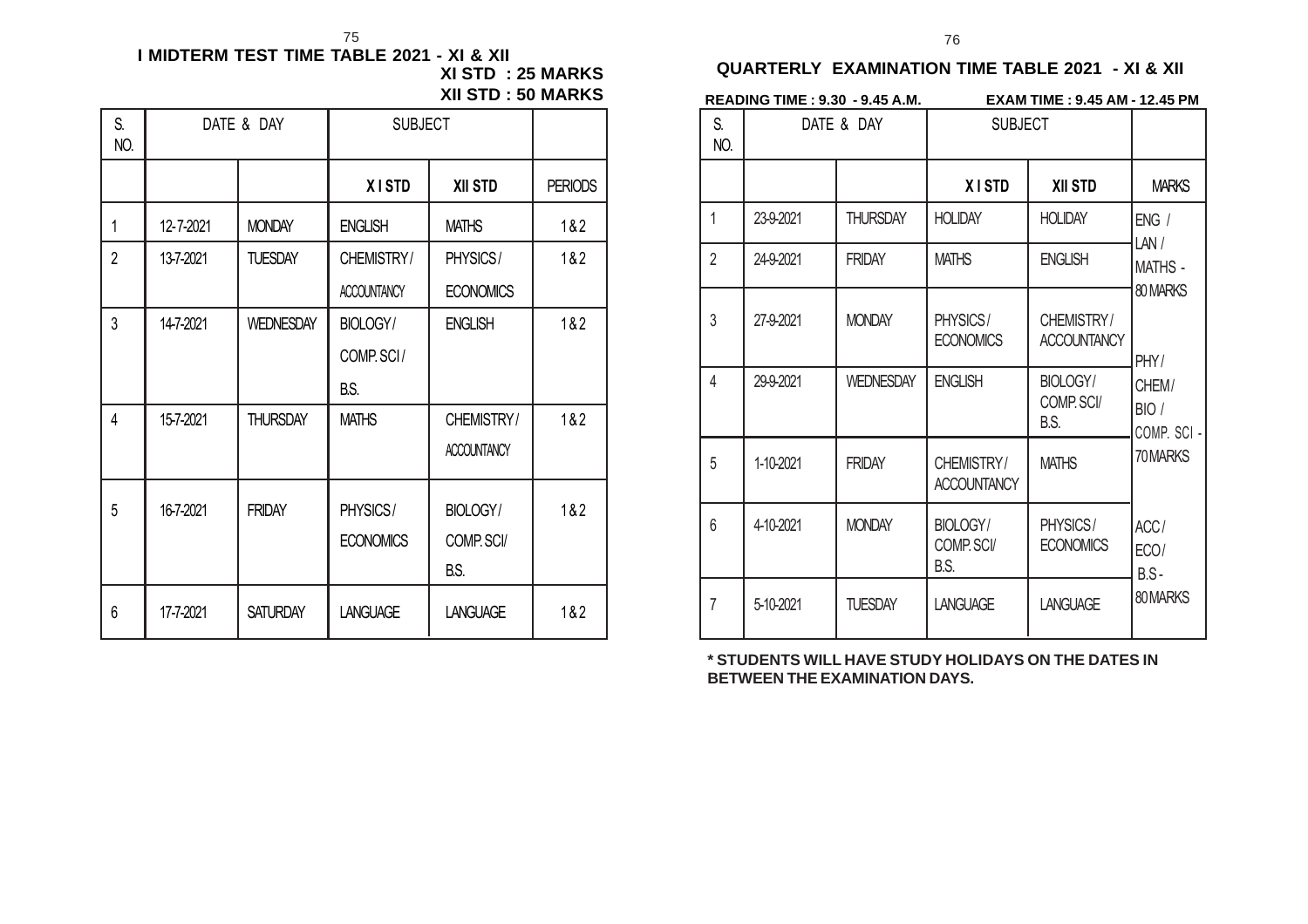#### **I MIDTERM TEST TIME TABLE 2021 - XI & XII XI STD : 25 MARKS XII STD : 50 MARKS** 75 76

| S.<br>NO.      | DATE & DAY |                  | <b>SUBJECT</b>     |                    |                |
|----------------|------------|------------------|--------------------|--------------------|----------------|
|                |            |                  | <b>XISTD</b>       | <b>XII STD</b>     | <b>PERIODS</b> |
| 1              | 12-7-2021  | <b>MONDAY</b>    | <b>ENGLISH</b>     | <b>MATHS</b>       | 1&2            |
| $\overline{2}$ | 13-7-2021  | <b>TUESDAY</b>   | CHEMISTRY/         | PHYSICS/           | 1&2            |
|                |            |                  | <b>ACCOUNTANCY</b> | <b>ECONOMICS</b>   |                |
| 3              | 14-7-2021  | <b>WEDNESDAY</b> | BIOLOGY/           | <b>ENGLISH</b>     | 1&2            |
|                |            |                  | COMP. SCI/         |                    |                |
|                |            |                  | B.S.               |                    |                |
| 4              | 15-7-2021  | <b>THURSDAY</b>  | <b>MATHS</b>       | CHEMISTRY/         | 1&2            |
|                |            |                  |                    | <b>ACCOUNTANCY</b> |                |
| 5              | 16-7-2021  | <b>FRIDAY</b>    | PHYSICS/           | BIOLOGY/           | 1&2            |
|                |            |                  | <b>ECONOMICS</b>   | COMP. SCI/         |                |
|                |            |                  |                    | B.S.               |                |
| 6              | 17-7-2021  | <b>SATURDAY</b>  | <b>LANGUAGE</b>    | <b>LANGUAGE</b>    | 1&2            |

|                | <b>READING TIME : 9.30 - 9.45 A.M.</b> |                  | <b>EXAM TIME : 9.45 AM - 12.45 PM</b> |                                  |                              |  |
|----------------|----------------------------------------|------------------|---------------------------------------|----------------------------------|------------------------------|--|
| S.<br>NO.      | DATE & DAY                             |                  | <b>SUBJECT</b>                        |                                  |                              |  |
|                |                                        |                  | <b>XISTD</b>                          | <b>XII STD</b>                   | <b>MARKS</b>                 |  |
| $\mathbf{1}$   | 23-9-2021                              | <b>THURSDAY</b>  | <b>HOLIDAY</b>                        | <b>HOLIDAY</b>                   | ENG/<br>LAN/                 |  |
| $\overline{2}$ | 24-9-2021                              | <b>FRIDAY</b>    | <b>MATHS</b>                          | <b>ENGLISH</b>                   | <b>MATHS -</b><br>80 MARKS   |  |
| 3              | 27-9-2021                              | <b>MONDAY</b>    | PHYSICS/<br><b>ECONOMICS</b>          | CHEMISTRY/<br><b>ACCOUNTANCY</b> | PHY/                         |  |
| 4              | 29-9-2021                              | <b>WEDNESDAY</b> | <b>ENGLISH</b>                        | BIOLOGY/<br>COMP. SCI/<br>B.S.   | CHEM/<br>BIO/<br>COMP. SCI - |  |
| 5              | 1-10-2021                              | <b>FRIDAY</b>    | CHEMISTRY/<br><b>ACCOUNTANCY</b>      | <b>MATHS</b>                     | 70MARKS                      |  |
| 6              | 4-10-2021                              | <b>MONDAY</b>    | <b>BIOLOGY/</b><br>COMP. SCI/<br>B.S. | PHYSICS/<br><b>ECONOMICS</b>     | ACC/<br>ECO/<br>$B.S -$      |  |
| $\overline{7}$ | 5-10-2021                              | <b>TUESDAY</b>   | <b>LANGUAGE</b>                       | <b>LANGUAGE</b>                  | 80 MARKS                     |  |

**\* STUDENTS WILL HAVE STUDY HOLIDAYS ON THE DATES IN BETWEEN THE EXAMINATION DAYS.**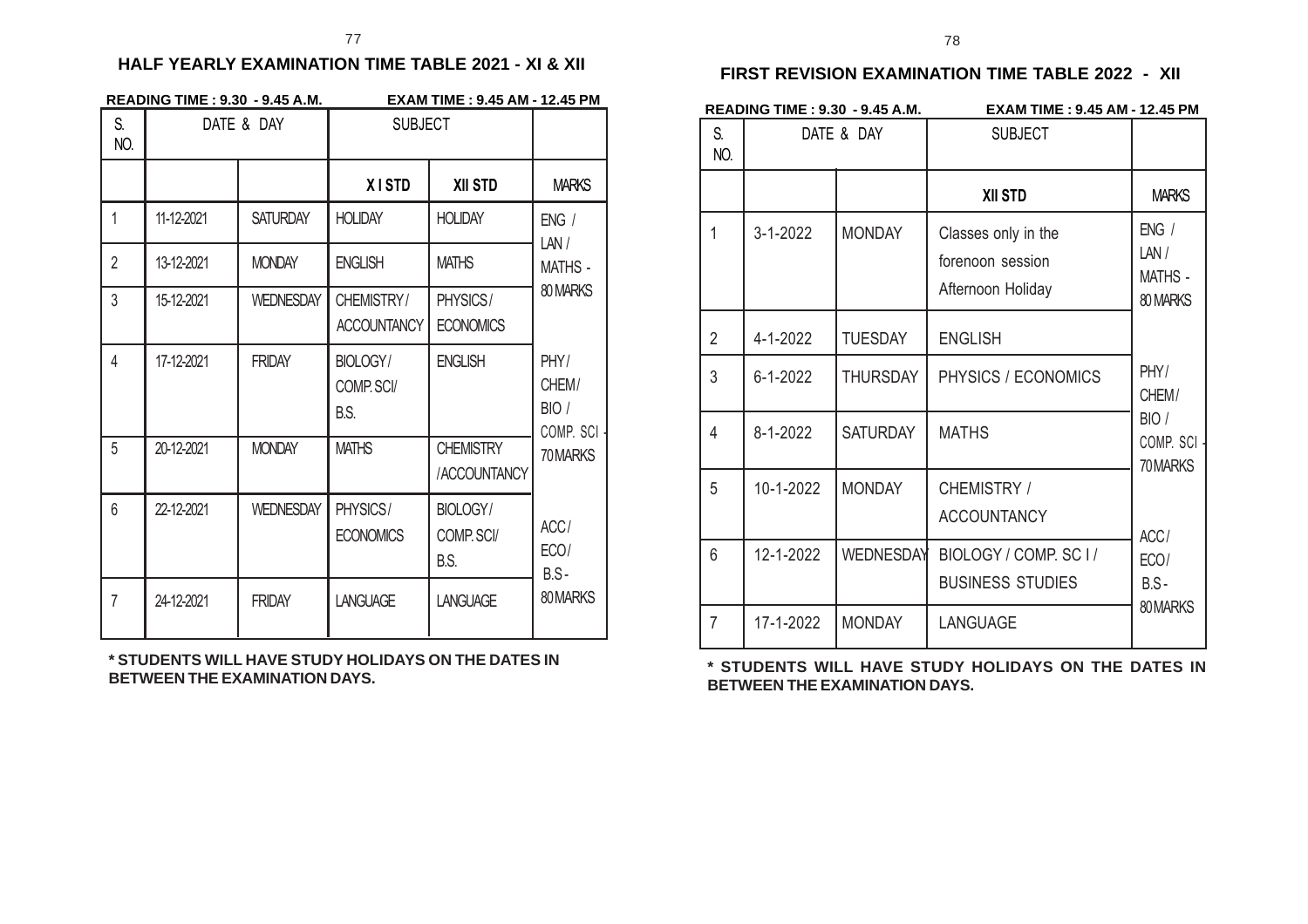#### **HALF YEARLY EXAMINATION TIME TABLE 2021 - XI & XII**

|                | <b>READING TIME: 9.30 - 9.45 A.M.</b> |                  | EXAM TIME: 9.45 AM - 12.45 PM    |                                  |                                      |
|----------------|---------------------------------------|------------------|----------------------------------|----------------------------------|--------------------------------------|
| S.<br>NO.      |                                       | DATE & DAY       | <b>SUBJECT</b>                   |                                  |                                      |
|                |                                       |                  | <b>XISTD</b>                     | <b>XII STD</b>                   | <b>MARKS</b>                         |
| $\mathbf{1}$   | 11-12-2021                            | <b>SATURDAY</b>  | <b>HOLIDAY</b>                   | <b>HOLIDAY</b>                   | ENG/<br>LAN/                         |
| $\overline{2}$ | 13-12-2021                            | <b>MONDAY</b>    | <b>ENGLISH</b>                   | <b>MATHS</b>                     | <b>MATHS -</b>                       |
| 3              | 15-12-2021                            | <b>WEDNESDAY</b> | CHEMISTRY/<br><b>ACCOUNTANCY</b> | PHYSICS/<br><b>ECONOMICS</b>     | 80 MARKS                             |
| 4              | 17-12-2021                            | <b>FRIDAY</b>    | BIOLOGY/<br>COMP. SCI/<br>B.S.   | <b>ENGLISH</b>                   | PHY/<br>CHEM/<br>BIO/<br>COMP. SCI - |
| 5              | 20-12-2021                            | <b>MONDAY</b>    | <b>MATHS</b>                     | <b>CHEMISTRY</b><br>/ACCOUNTANCY | 70 MARKS                             |
| 6              | 22-12-2021                            | <b>WEDNESDAY</b> | PHYSICS/<br><b>ECONOMICS</b>     | BIOLOGY/<br>COMP. SCI/<br>B.S.   | ACC/<br>ECO/<br>$B.S-$               |
| $\overline{7}$ | 24-12-2021                            | <b>FRIDAY</b>    | <b>LANGUAGE</b>                  | <b>LANGUAGE</b>                  | 80 MARKS                             |

**\* STUDENTS WILL HAVE STUDY HOLIDAYS ON THE DATES IN BETWEEN THE EXAMINATION DAYS.**

### **FIRST REVISION EXAMINATION TIME TABLE 2022 - XII**

|                | <b>READING TIME: 9.30 - 9.45 A.M.</b> |                 | <b>EXAM TIME: 9.45 AM - 12.45 PM</b>                         |                                             |  |
|----------------|---------------------------------------|-----------------|--------------------------------------------------------------|---------------------------------------------|--|
| S.<br>NO.      | DATE & DAY                            |                 | <b>SUBJECT</b>                                               |                                             |  |
|                |                                       |                 | <b>XII STD</b>                                               | <b>MARKS</b>                                |  |
| 1              | $3 - 1 - 2022$                        | <b>MONDAY</b>   | Classes only in the<br>forenoon session<br>Afternoon Holiday | ENG /<br>LAN/<br><b>MATHS -</b><br>80 MARKS |  |
| $\overline{2}$ | 4-1-2022                              | <b>TUESDAY</b>  | <b>ENGLISH</b>                                               |                                             |  |
| 3              | $6 - 1 - 2022$                        | <b>THURSDAY</b> | PHYSICS / ECONOMICS                                          | PHY/<br>CHEM/                               |  |
| 4              | 8-1-2022                              | <b>SATURDAY</b> | <b>MATHS</b>                                                 | BIO /<br>COMP. SCI -<br>70MARKS             |  |
| 5              | 10-1-2022                             | <b>MONDAY</b>   | CHEMISTRY /<br><b>ACCOUNTANCY</b>                            | ACC/                                        |  |
| 6              | 12-1-2022                             | WEDNESDAY       | BIOLOGY / COMP. SC I /<br><b>BUSINESS STUDIES</b>            | ECO/<br>$B.S -$                             |  |
| 7              | 17-1-2022                             | <b>MONDAY</b>   | LANGUAGE                                                     | 80MARKS                                     |  |

**\* STUDENTS WILL HAVE STUDY HOLIDAYS ON THE DATES IN BETWEEN THE EXAMINATION DAYS.**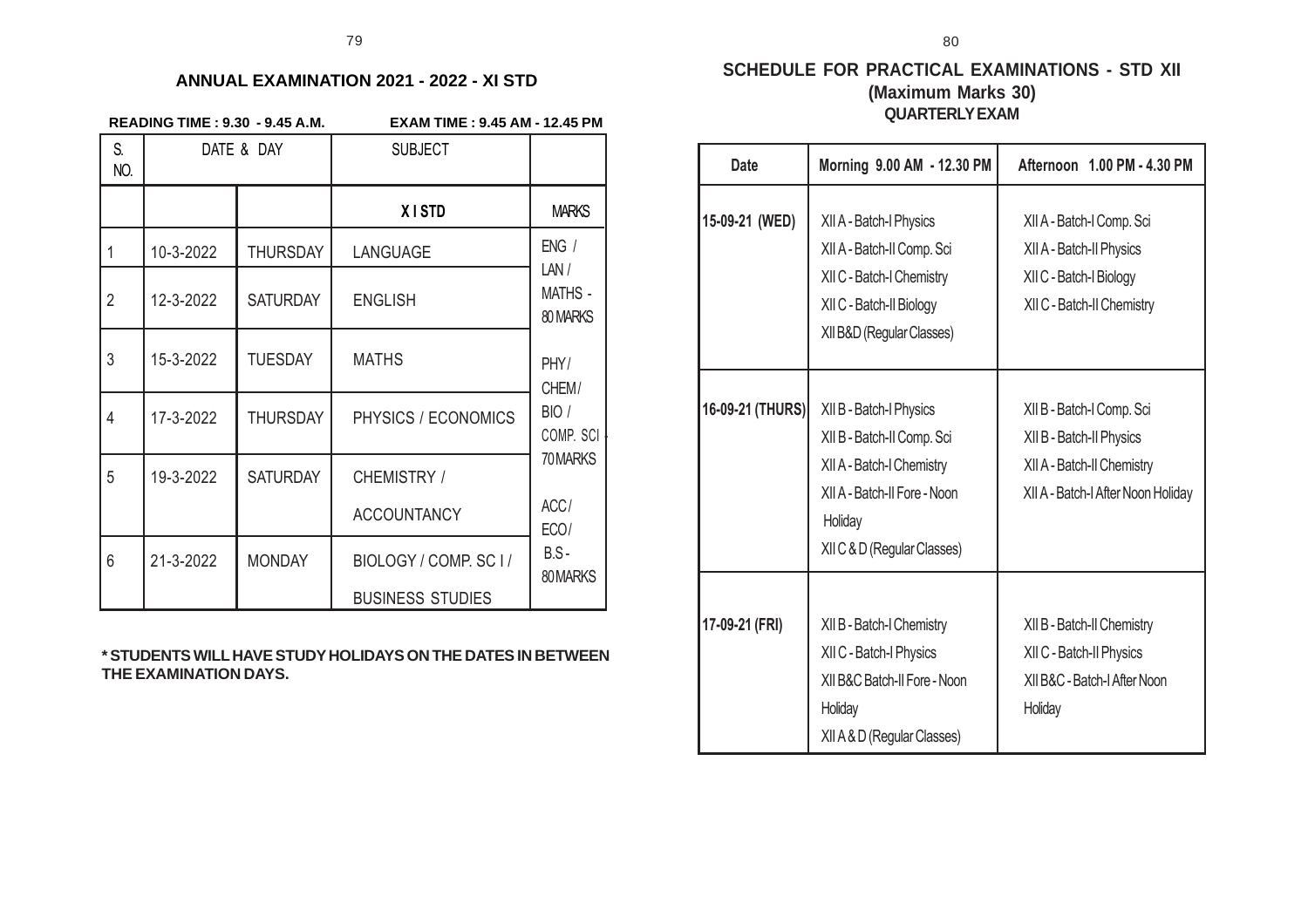#### **ANNUAL EXAMINATION 2021 - 2022 - XI STD**

|  |  | <b>READING TIME: 9.30 - 9.45 A.M</b> |  |
|--|--|--------------------------------------|--|
|  |  |                                      |  |

**READING TIME : 9.30 - 9.45 A.M. EXAM TIME : 9.45 AM - 12.45 PM**

| S.<br>NO.      | DATE & DAY |                 | <b>SUBJECT</b>          |                                    |
|----------------|------------|-----------------|-------------------------|------------------------------------|
|                |            |                 | <b>XISTD</b>            | <b>MARKS</b>                       |
| 1              | 10-3-2022  | <b>THURSDAY</b> | LANGUAGE                | ENG /                              |
| $\overline{2}$ | 12-3-2022  | <b>SATURDAY</b> | <b>ENGLISH</b>          | LAN/<br><b>MATHS -</b><br>80 MARKS |
| 3              | 15-3-2022  | <b>TUESDAY</b>  | <b>MATHS</b>            | PHY/<br>CHEM/                      |
| 4              | 17-3-2022  | <b>THURSDAY</b> | PHYSICS / ECONOMICS     | BIO /<br>COMP. SCI                 |
| 5              | 19-3-2022  | <b>SATURDAY</b> | CHEMISTRY /             | 70 MARKS                           |
|                |            |                 | <b>ACCOUNTANCY</b>      | ACC/<br>ECO/                       |
| 6              | 21-3-2022  | <b>MONDAY</b>   | BIOLOGY / COMP. SC I /  | $B.S -$<br>80 MARKS                |
|                |            |                 | <b>BUSINESS STUDIES</b> |                                    |

**\* STUDENTS WILL HAVE STUDY HOLIDAYS ON THE DATES IN BETWEEN THE EXAMINATION DAYS.**

#### **SCHEDULE FOR PRACTICAL EXAMINATIONS - STD XII (Maximum Marks 30) QUARTERLY EXAM**

80

| <b>Date</b>      | Morning 9.00 AM - 12.30 PM                                                                                                                                   | Afternoon 1.00 PM - 4.30 PM                                                                                               |
|------------------|--------------------------------------------------------------------------------------------------------------------------------------------------------------|---------------------------------------------------------------------------------------------------------------------------|
| 15-09-21 (WED)   | XII A - Batch-I Physics<br>XII A - Batch-II Comp. Sci<br>XII C - Batch-I Chemistry<br>XII C - Batch-II Biology<br>XII B&D (Regular Classes)                  | XII A - Batch-I Comp. Sci<br>XII A - Batch-II Physics<br>XII C - Batch-I Biology<br>XII C - Batch-II Chemistry            |
| 16-09-21 (THURS) | XII B - Batch-I Physics<br>XII B - Batch-II Comp. Sci<br>XII A - Batch-I Chemistry<br>XII A - Batch-II Fore - Noon<br>Holiday<br>XII C & D (Regular Classes) | XII B - Batch-I Comp. Sci<br>XII B - Batch-II Physics<br>XII A - Batch-II Chemistry<br>XII A - Batch-I After Noon Holiday |
| 17-09-21 (FRI)   | XII B - Batch-I Chemistry<br>XII C - Batch-I Physics<br>XII B&C Batch-II Fore - Noon<br>Holiday<br>XII A & D (Regular Classes)                               | XII B - Batch-II Chemistry<br>XII C - Batch-II Physics<br>XII B&C - Batch-I After Noon<br>Holiday                         |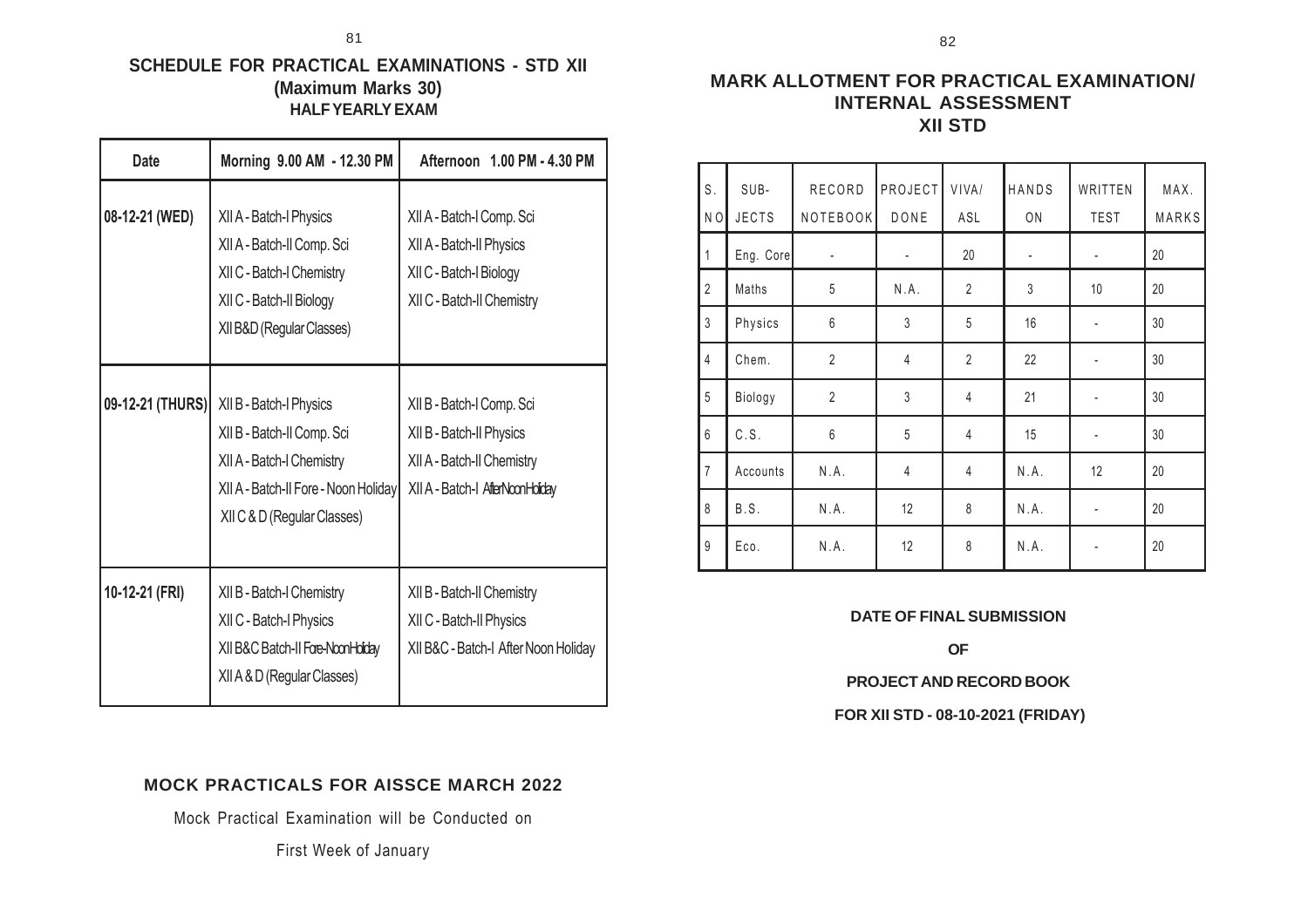### **SCHEDULE FOR PRACTICAL EXAMINATIONS - STD XII (Maximum Marks 30) HALF YEARLY EXAM**

| <b>Date</b>      | Morning 9.00 AM - 12.30 PM                                                                                                                                | Afternoon 1.00 PM - 4.30 PM                                                                                             |
|------------------|-----------------------------------------------------------------------------------------------------------------------------------------------------------|-------------------------------------------------------------------------------------------------------------------------|
| 08-12-21 (WED)   | XII A - Batch-I Physics<br>XII A - Batch-II Comp. Sci<br>XII C - Batch-I Chemistry<br>XII C - Batch-II Biology<br>XII B&D (Regular Classes)               | XII A - Batch-I Comp. Sci<br>XII A - Batch-II Physics<br>XII C - Batch-I Biology<br>XII C - Batch-II Chemistry          |
| 09-12-21 (THURS) | XII B - Batch-I Physics<br>XII B - Batch-II Comp. Sci<br>XII A - Batch-I Chemistry<br>XII A - Batch-II Fore - Noon Holiday<br>XII C & D (Regular Classes) | XII B - Batch-I Comp. Sci<br>XII B - Batch-II Physics<br>XII A - Batch-II Chemistry<br>XII A - Batch-I AfterNoonHoliday |
| 10-12-21 (FRI)   | XII B - Batch-I Chemistry<br>XII C - Batch-I Physics<br>XII B&C Batch-II Fore-NoonHolday<br>XII A & D (Regular Classes)                                   | XII B - Batch-II Chemistry<br>XII C - Batch-II Physics<br>XII B&C - Batch-I After Noon Holiday                          |

### **MARK ALLOTMENT FOR PRACTICAL EXAMINATION/ INTERNAL ASSESSMENT XII STD**

| S.             | SUB-         | RECORD           | <b>PROJECT</b> | VIVA/          | HANDS          | WRITTEN                      | MAX.  |
|----------------|--------------|------------------|----------------|----------------|----------------|------------------------------|-------|
| N <sub>O</sub> | <b>JECTS</b> | NOTEBOOK         | DONE           | ASL            | ON             | <b>TEST</b>                  | MARKS |
| 1              | Eng. Core    | ÷,               |                | 20             | $\frac{1}{2}$  | $\overline{\phantom{a}}$     | 20    |
| $\overline{2}$ | Maths        | $\sqrt{5}$       | N.A.           | $\overline{2}$ | $\mathfrak{Z}$ | 10                           | 20    |
| $\mathfrak{Z}$ | Physics      | $6\,$            | 3              | 5              | 16             | ÷                            | 30    |
| $\overline{4}$ | Chem.        | $\overline{2}$   | $\overline{4}$ | $\overline{2}$ | 22             | $\overline{\phantom{a}}$     | 30    |
| 5              | Biology      | $\overline{2}$   | 3              | 4              | 21             | $\qquad \qquad \blacksquare$ | 30    |
| 6              | C.S.         | $\boldsymbol{6}$ | 5              | $\overline{4}$ | 15             | $\overline{\phantom{a}}$     | 30    |
| $\overline{7}$ | Accounts     | N.A.             | $\overline{4}$ | $\overline{4}$ | N.A.           | 12                           | 20    |
| 8              | B.S.         | N.A.             | 12             | 8              | N.A.           | $\overline{\phantom{a}}$     | 20    |
| 9              | Eco.         | N.A.             | 12             | 8              | N.A.           |                              | 20    |

#### **DATE OF FINAL SUBMISSION**

**OF**

**PROJECT AND RECORD BOOK**

 **FOR XII STD - 08-10-2021 (FRIDAY)**

### **MOCK PRACTICALS FOR AISSCE MARCH 2022**

Mock Practical Examination will be Conducted on

First Week of January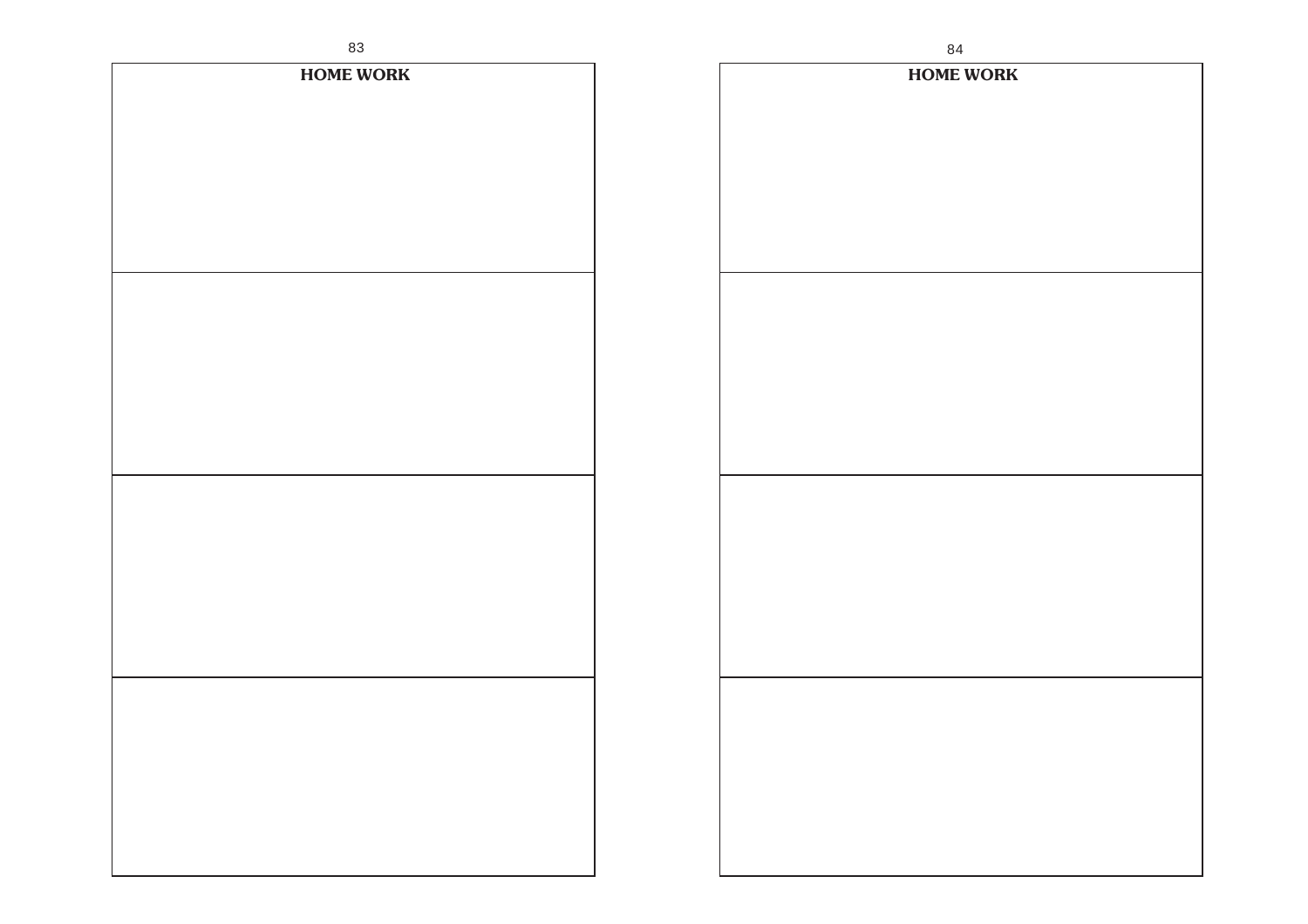| 83               | $\bf 84$         |
|------------------|------------------|
| <b>HOME WORK</b> | <b>HOME WORK</b> |
|                  |                  |
|                  |                  |
|                  |                  |
|                  |                  |
|                  |                  |
|                  |                  |
|                  |                  |
|                  |                  |
|                  |                  |
|                  |                  |
|                  |                  |
|                  |                  |
|                  |                  |
|                  |                  |
|                  |                  |
|                  |                  |
|                  |                  |
|                  |                  |
|                  |                  |
|                  |                  |
|                  |                  |
|                  |                  |
|                  |                  |
|                  |                  |
|                  |                  |
|                  |                  |
|                  |                  |
|                  |                  |
|                  |                  |
|                  |                  |
|                  |                  |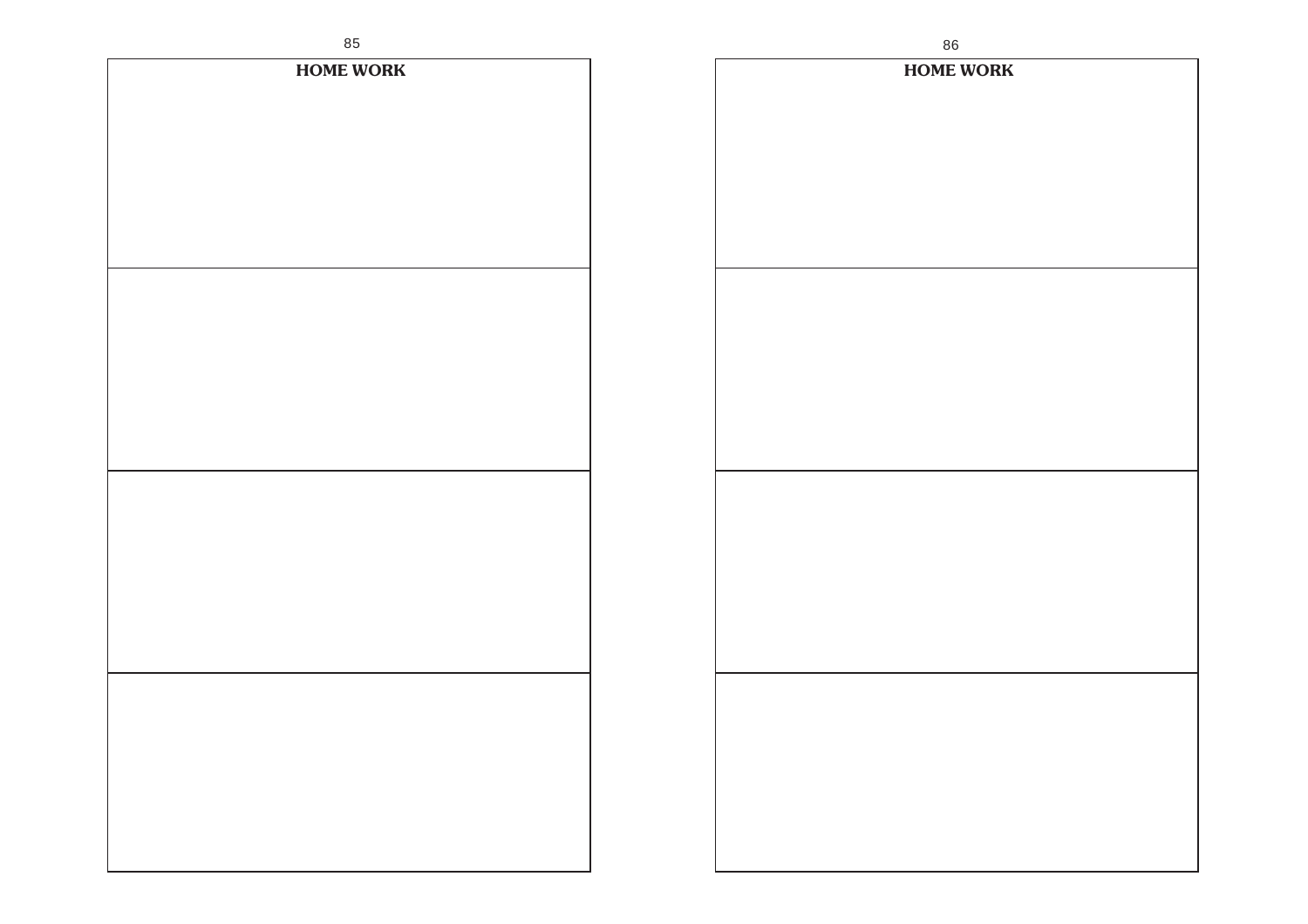| ပေ               | 80               |
|------------------|------------------|
| <b>HOME WORK</b> | <b>HOME WORK</b> |
|                  |                  |
|                  |                  |
|                  |                  |
|                  |                  |
|                  |                  |
|                  |                  |
|                  |                  |
|                  |                  |
|                  |                  |
|                  |                  |
|                  |                  |
|                  |                  |
|                  |                  |
|                  |                  |
|                  |                  |
|                  |                  |
|                  |                  |
|                  |                  |
|                  |                  |
|                  |                  |
|                  |                  |
|                  |                  |
|                  |                  |
|                  |                  |
|                  |                  |
|                  |                  |
|                  |                  |
|                  |                  |
|                  |                  |
|                  |                  |
|                  |                  |
|                  |                  |
|                  |                  |
|                  |                  |
|                  |                  |
|                  |                  |
|                  |                  |
|                  |                  |
|                  |                  |
|                  |                  |
|                  |                  |
|                  |                  |
|                  |                  |
|                  |                  |
|                  |                  |
|                  |                  |
|                  |                  |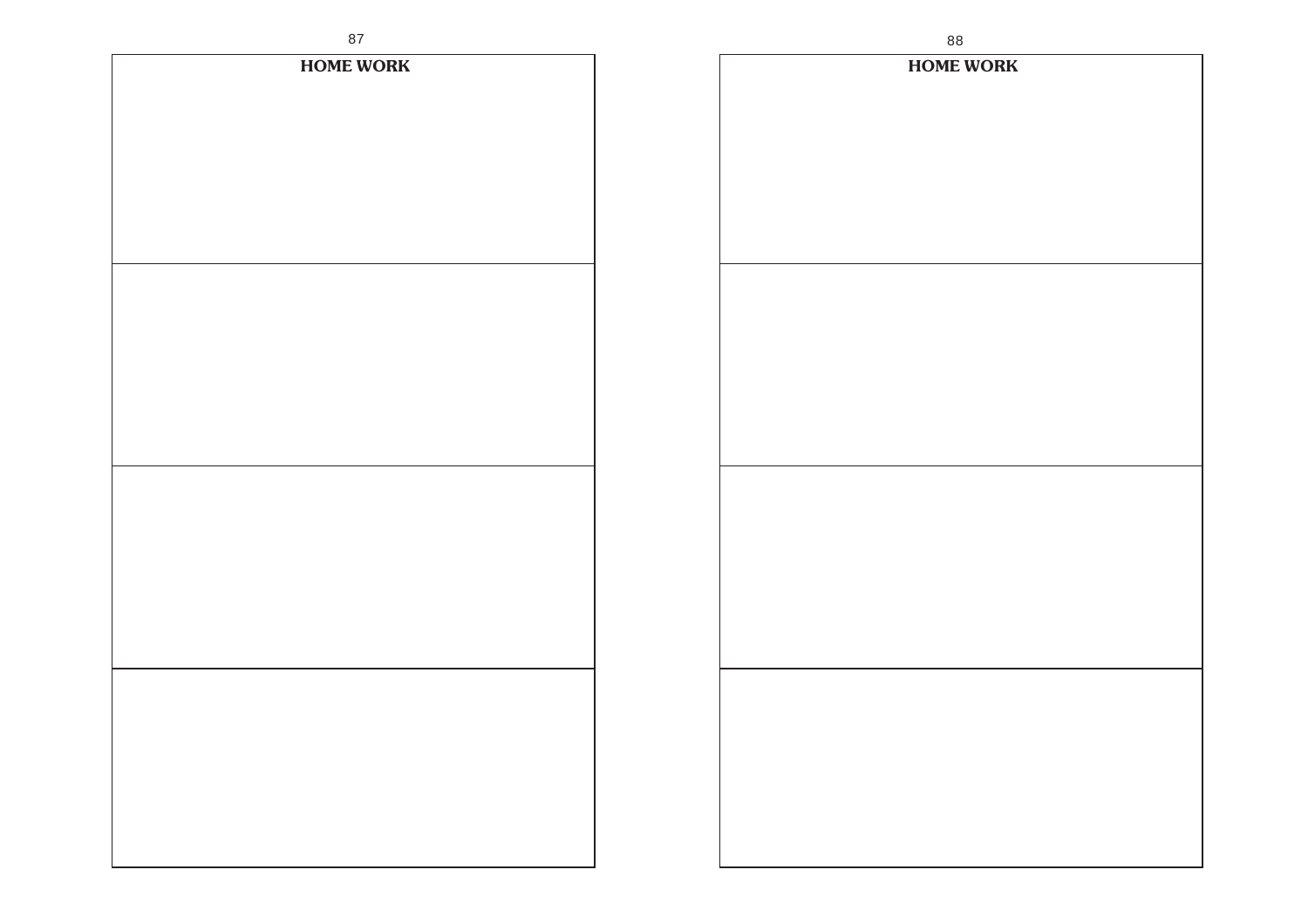| 87               | 88               |
|------------------|------------------|
| <b>HOME WORK</b> | <b>HOME WORK</b> |
|                  |                  |
|                  |                  |
|                  |                  |
|                  |                  |
|                  |                  |
|                  |                  |
|                  |                  |
|                  |                  |
|                  |                  |
|                  |                  |
|                  |                  |
|                  |                  |
|                  |                  |
|                  |                  |
|                  |                  |
|                  |                  |
|                  |                  |
|                  |                  |
|                  |                  |
|                  |                  |
|                  |                  |
|                  |                  |
|                  |                  |
|                  |                  |
|                  |                  |
|                  |                  |
|                  |                  |
|                  |                  |
|                  |                  |
|                  |                  |
|                  |                  |
|                  |                  |
|                  |                  |
|                  |                  |
|                  |                  |
|                  |                  |
|                  |                  |
|                  |                  |
|                  |                  |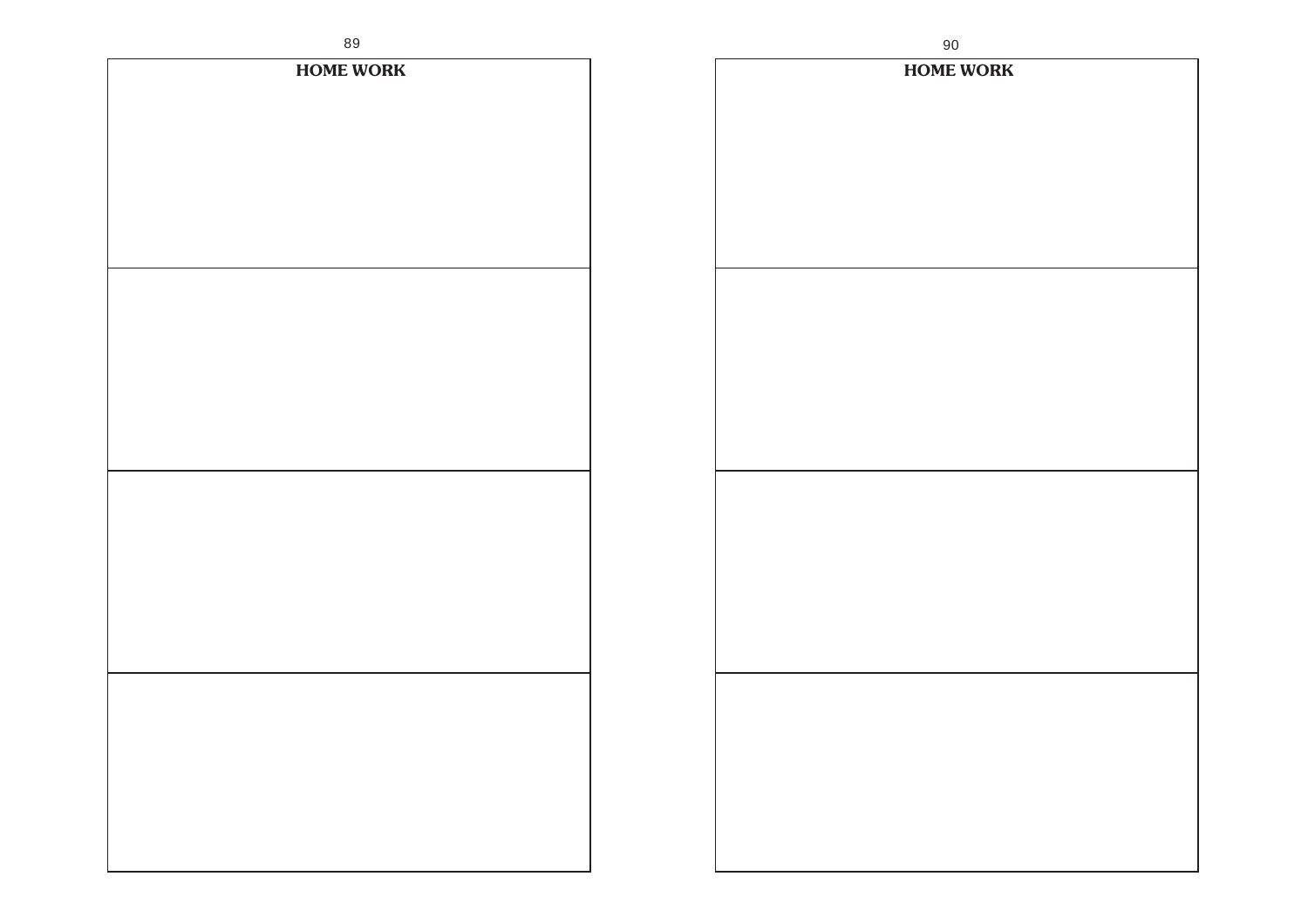| oa.              | 90               |
|------------------|------------------|
| <b>HOME WORK</b> | <b>HOME WORK</b> |
|                  |                  |
|                  |                  |
|                  |                  |
|                  |                  |
|                  |                  |
|                  |                  |
|                  |                  |
|                  |                  |
|                  |                  |
|                  |                  |
|                  |                  |
|                  |                  |
|                  |                  |
|                  |                  |
|                  |                  |
|                  |                  |
|                  |                  |
|                  |                  |
|                  |                  |
|                  |                  |
|                  |                  |
|                  |                  |
|                  |                  |
|                  |                  |
|                  |                  |
|                  |                  |
|                  |                  |
|                  |                  |
|                  |                  |
|                  |                  |
|                  |                  |
|                  |                  |
|                  |                  |
|                  |                  |
|                  |                  |
|                  |                  |
|                  |                  |
|                  |                  |
|                  |                  |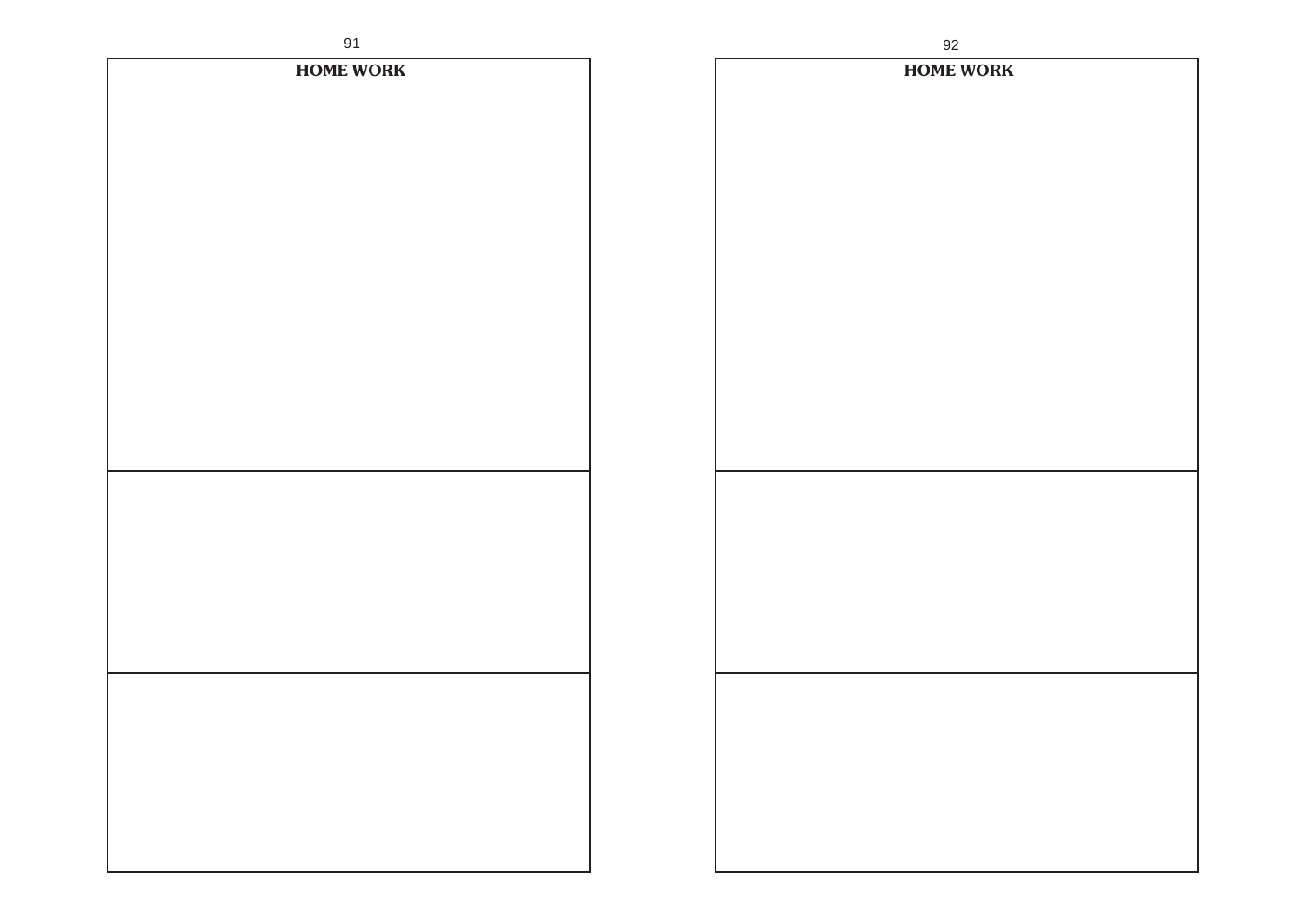| 91               |              |
|------------------|--------------|
| <b>HOME WORK</b> | $\mathbf{F}$ |
|                  |              |
|                  |              |
|                  |              |
|                  |              |
|                  |              |
|                  |              |
|                  |              |
|                  |              |
|                  |              |
|                  |              |
|                  |              |
|                  |              |
|                  |              |
|                  |              |
|                  |              |
|                  |              |
|                  |              |
|                  |              |
|                  |              |
|                  |              |
|                  |              |
|                  |              |
|                  |              |
|                  |              |
|                  |              |
|                  |              |
|                  |              |
|                  |              |
|                  |              |
|                  |              |
|                  |              |
|                  |              |

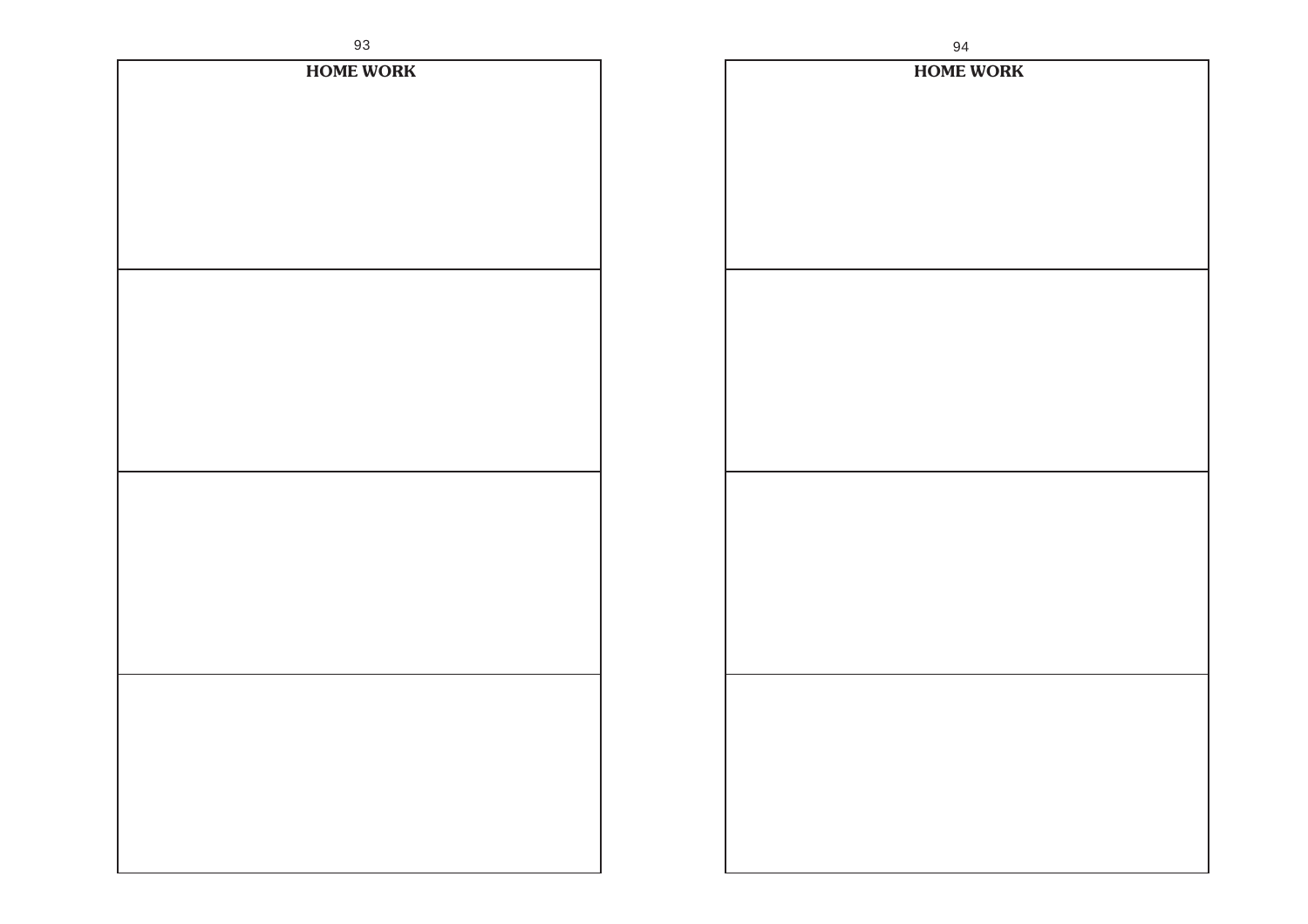